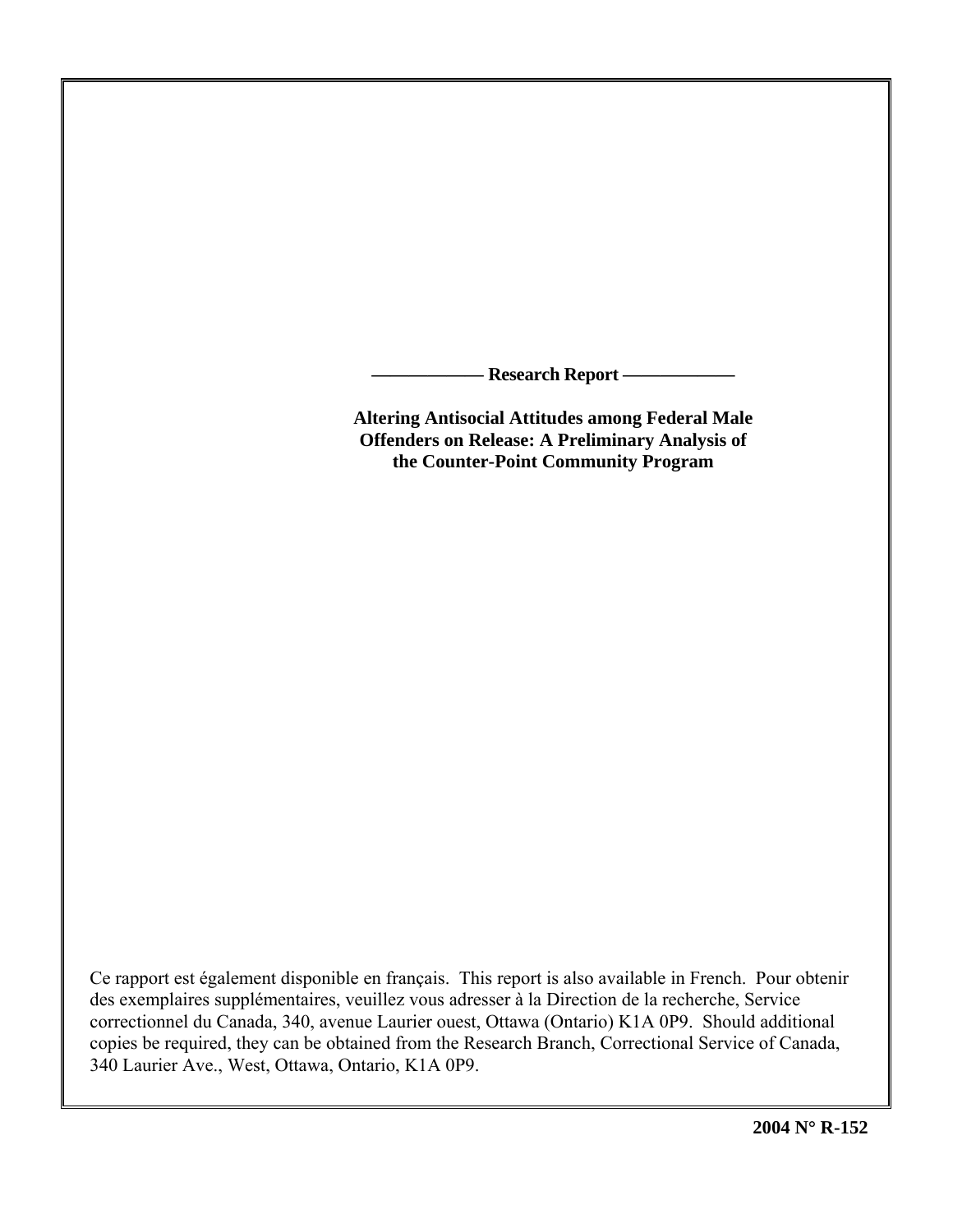**Research Report –** 

**Altering Antisocial Attitudes among Federal Male Offenders on Release: A Preliminary Analysis of the Counter-Point Community Program** 

Ce rapport est également disponible en français. This report is also available in French. Pour obtenir des exemplaires supplémentaires, veuillez vous adresser à la Direction de la recherche, Service correctionnel du Canada, 340, avenue Laurier ouest, Ottawa (Ontario) K1A 0P9. Should additional copies be required, they can be obtained from the Research Branch, Correctional Service of Canada, 340 Laurier Ave., West, Ottawa, Ontario, K1A 0P9.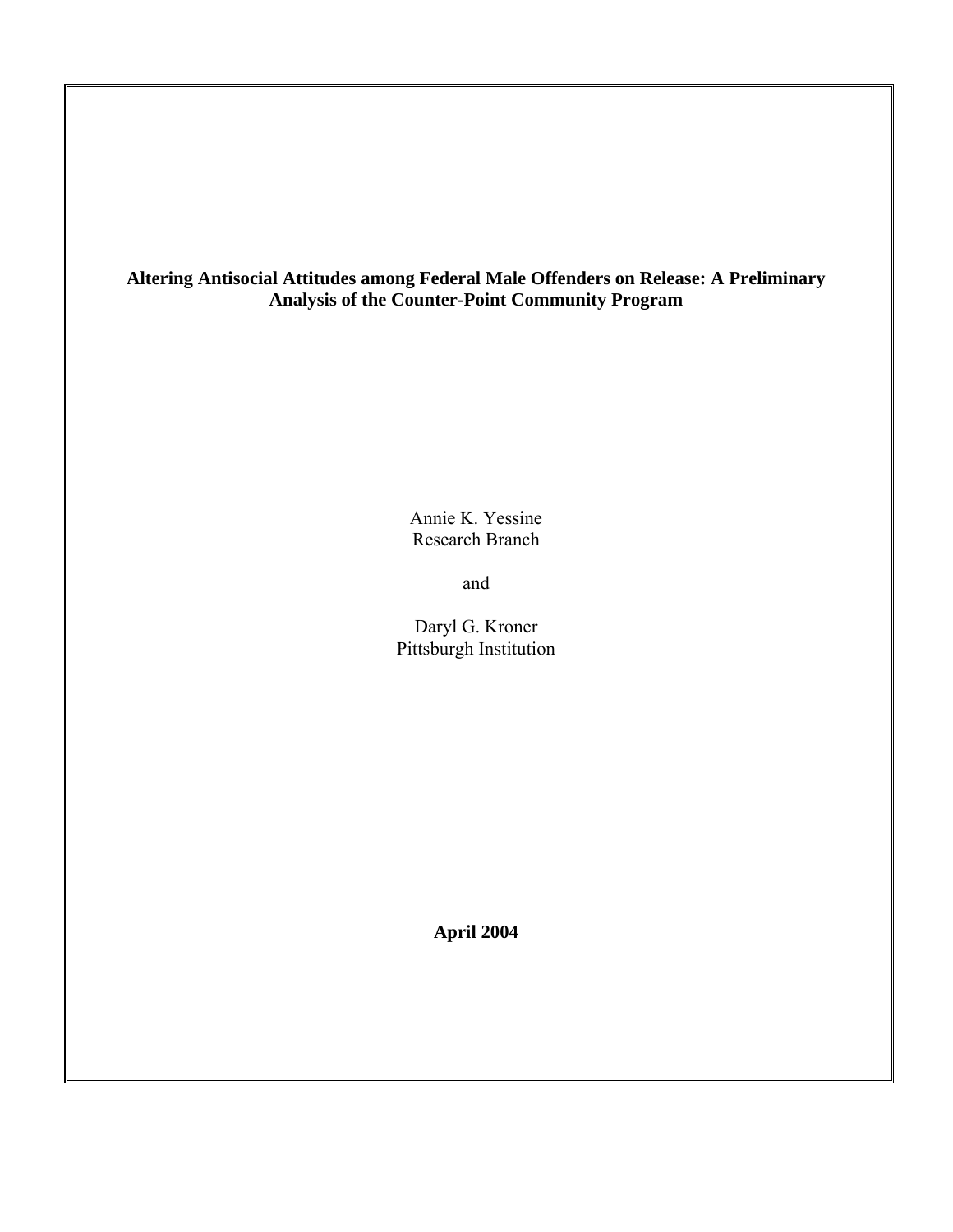# **Altering Antisocial Attitudes among Federal Male Offenders on Release: A Preliminary Analysis of the Counter-Point Community Program**

Annie K. Yessine Research Branch

and

Daryl G. Kroner Pittsburgh Institution

**April 2004**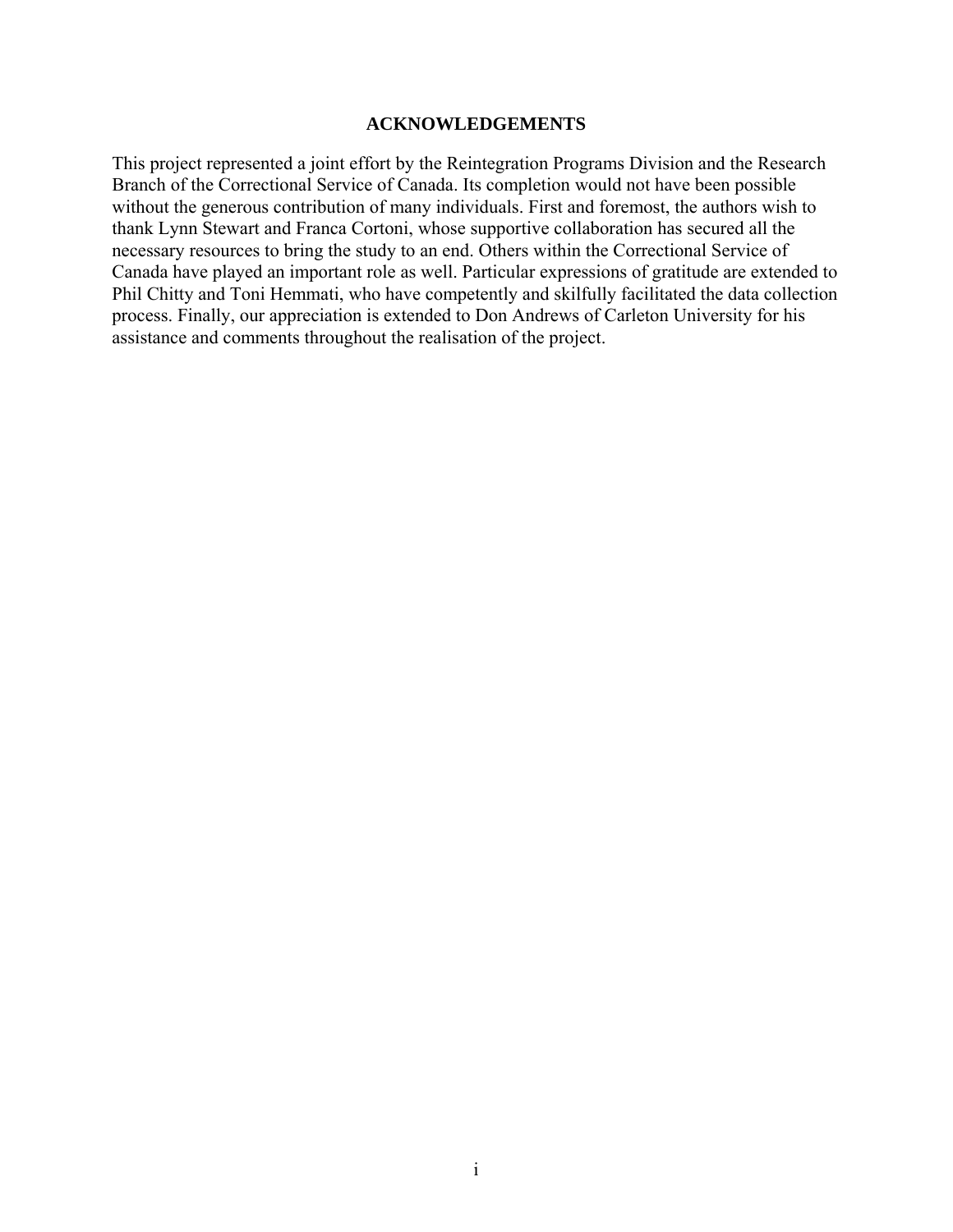## **ACKNOWLEDGEMENTS**

<span id="page-2-0"></span>This project represented a joint effort by the Reintegration Programs Division and the Research Branch of the Correctional Service of Canada. Its completion would not have been possible without the generous contribution of many individuals. First and foremost, the authors wish to thank Lynn Stewart and Franca Cortoni, whose supportive collaboration has secured all the necessary resources to bring the study to an end. Others within the Correctional Service of Canada have played an important role as well. Particular expressions of gratitude are extended to Phil Chitty and Toni Hemmati, who have competently and skilfully facilitated the data collection process. Finally, our appreciation is extended to Don Andrews of Carleton University for his assistance and comments throughout the realisation of the project.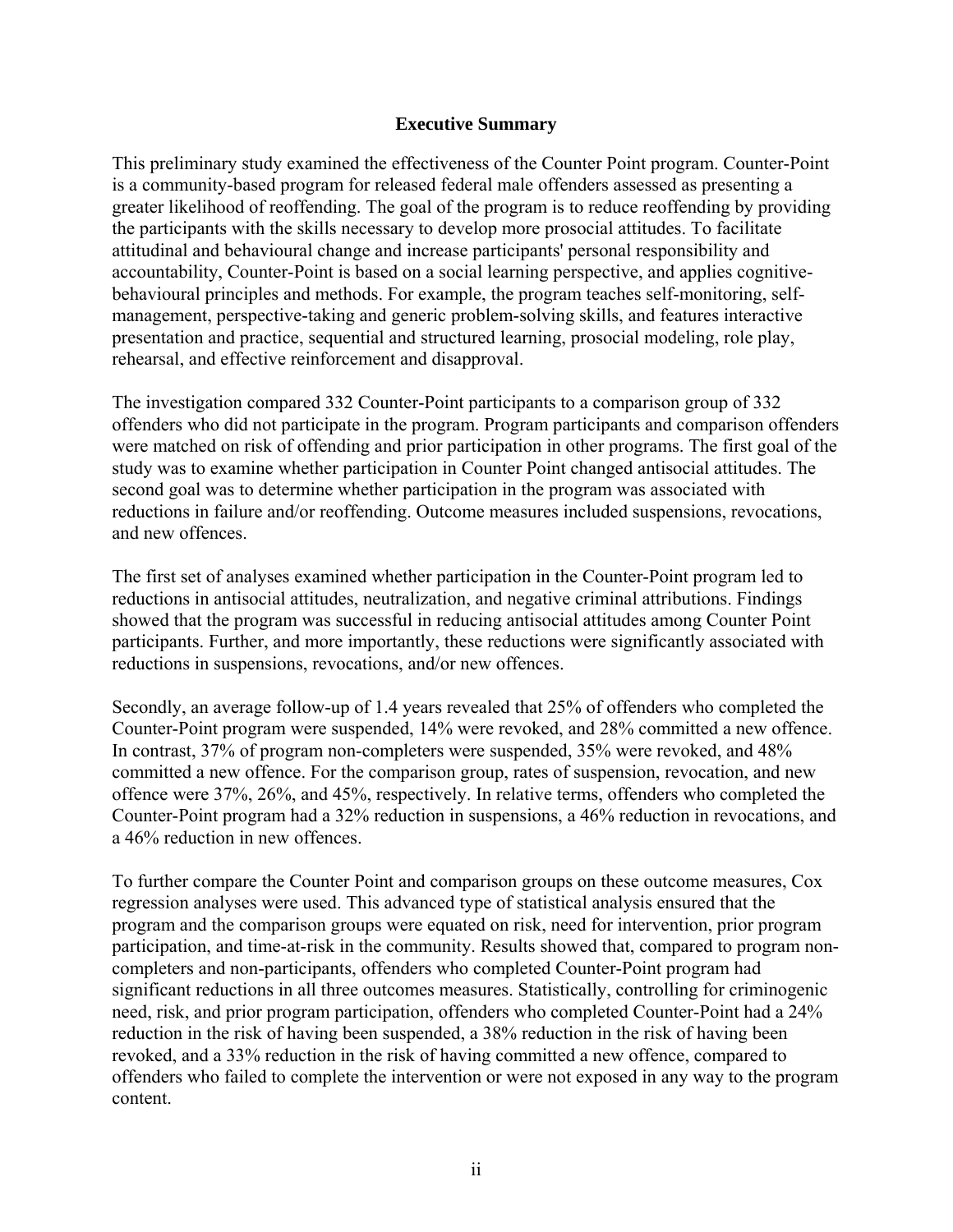# **Executive Summary**

<span id="page-3-0"></span>This preliminary study examined the effectiveness of the Counter Point program. Counter-Point is a community-based program for released federal male offenders assessed as presenting a greater likelihood of reoffending. The goal of the program is to reduce reoffending by providing the participants with the skills necessary to develop more prosocial attitudes. To facilitate attitudinal and behavioural change and increase participants' personal responsibility and accountability, Counter-Point is based on a social learning perspective, and applies cognitivebehavioural principles and methods. For example, the program teaches self-monitoring, selfmanagement, perspective-taking and generic problem-solving skills, and features interactive presentation and practice, sequential and structured learning, prosocial modeling, role play, rehearsal, and effective reinforcement and disapproval.

The investigation compared 332 Counter-Point participants to a comparison group of 332 offenders who did not participate in the program. Program participants and comparison offenders were matched on risk of offending and prior participation in other programs. The first goal of the study was to examine whether participation in Counter Point changed antisocial attitudes. The second goal was to determine whether participation in the program was associated with reductions in failure and/or reoffending. Outcome measures included suspensions, revocations, and new offences.

The first set of analyses examined whether participation in the Counter-Point program led to reductions in antisocial attitudes, neutralization, and negative criminal attributions. Findings showed that the program was successful in reducing antisocial attitudes among Counter Point participants. Further, and more importantly, these reductions were significantly associated with reductions in suspensions, revocations, and/or new offences.

Secondly, an average follow-up of 1.4 years revealed that 25% of offenders who completed the Counter-Point program were suspended, 14% were revoked, and 28% committed a new offence. In contrast, 37% of program non-completers were suspended, 35% were revoked, and 48% committed a new offence. For the comparison group, rates of suspension, revocation, and new offence were 37%, 26%, and 45%, respectively. In relative terms, offenders who completed the Counter-Point program had a 32% reduction in suspensions, a 46% reduction in revocations, and a 46% reduction in new offences.

To further compare the Counter Point and comparison groups on these outcome measures, Cox regression analyses were used. This advanced type of statistical analysis ensured that the program and the comparison groups were equated on risk, need for intervention, prior program participation, and time-at-risk in the community. Results showed that, compared to program noncompleters and non-participants, offenders who completed Counter-Point program had significant reductions in all three outcomes measures. Statistically, controlling for criminogenic need, risk, and prior program participation, offenders who completed Counter-Point had a 24% reduction in the risk of having been suspended, a 38% reduction in the risk of having been revoked, and a 33% reduction in the risk of having committed a new offence, compared to offenders who failed to complete the intervention or were not exposed in any way to the program content.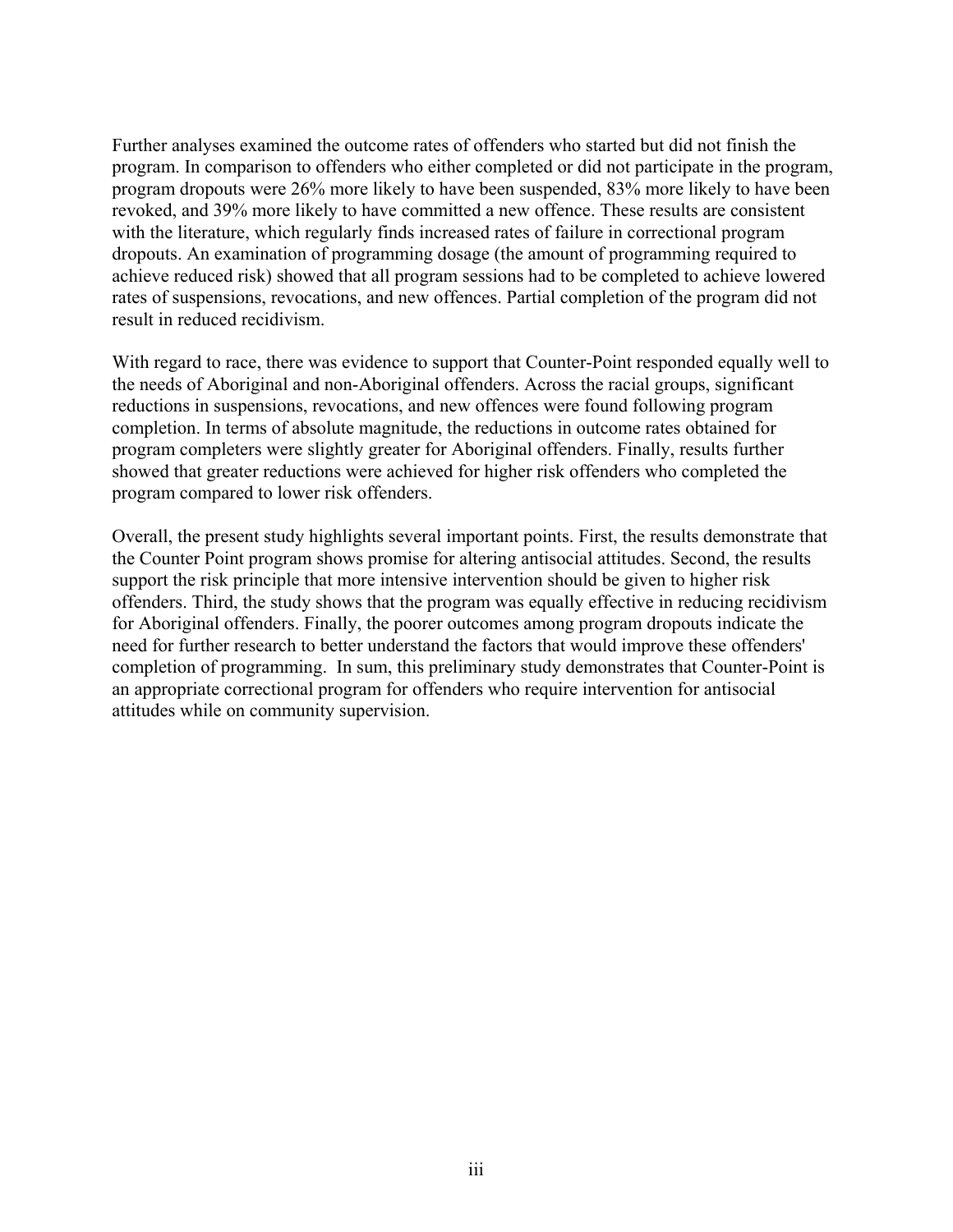Further analyses examined the outcome rates of offenders who started but did not finish the program. In comparison to offenders who either completed or did not participate in the program, program dropouts were 26% more likely to have been suspended, 83% more likely to have been revoked, and 39% more likely to have committed a new offence. These results are consistent with the literature, which regularly finds increased rates of failure in correctional program dropouts. An examination of programming dosage (the amount of programming required to achieve reduced risk) showed that all program sessions had to be completed to achieve lowered rates of suspensions, revocations, and new offences. Partial completion of the program did not result in reduced recidivism.

With regard to race, there was evidence to support that Counter-Point responded equally well to the needs of Aboriginal and non-Aboriginal offenders. Across the racial groups, significant reductions in suspensions, revocations, and new offences were found following program completion. In terms of absolute magnitude, the reductions in outcome rates obtained for program completers were slightly greater for Aboriginal offenders. Finally, results further showed that greater reductions were achieved for higher risk offenders who completed the program compared to lower risk offenders.

Overall, the present study highlights several important points. First, the results demonstrate that the Counter Point program shows promise for altering antisocial attitudes. Second, the results support the risk principle that more intensive intervention should be given to higher risk offenders. Third, the study shows that the program was equally effective in reducing recidivism for Aboriginal offenders. Finally, the poorer outcomes among program dropouts indicate the need for further research to better understand the factors that would improve these offenders' completion of programming. In sum, this preliminary study demonstrates that Counter-Point is an appropriate correctional program for offenders who require intervention for antisocial attitudes while on community supervision.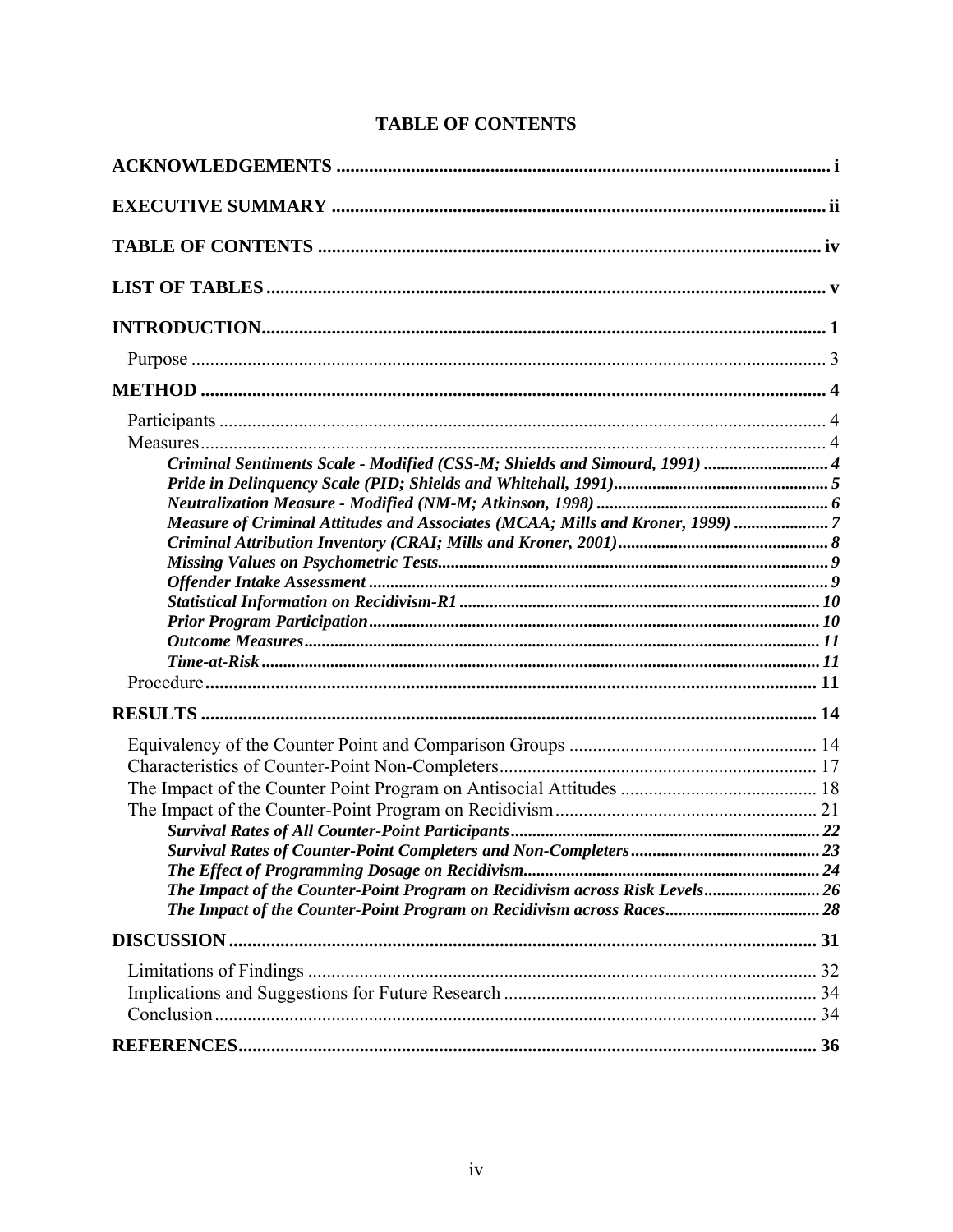<span id="page-5-0"></span>

| Criminal Sentiments Scale - Modified (CSS-M; Shields and Simourd, 1991)  4<br>Measure of Criminal Attitudes and Associates (MCAA; Mills and Kroner, 1999) 7 |  |
|-------------------------------------------------------------------------------------------------------------------------------------------------------------|--|
|                                                                                                                                                             |  |
| The Impact of the Counter-Point Program on Recidivism across Risk Levels 26                                                                                 |  |
|                                                                                                                                                             |  |
|                                                                                                                                                             |  |
|                                                                                                                                                             |  |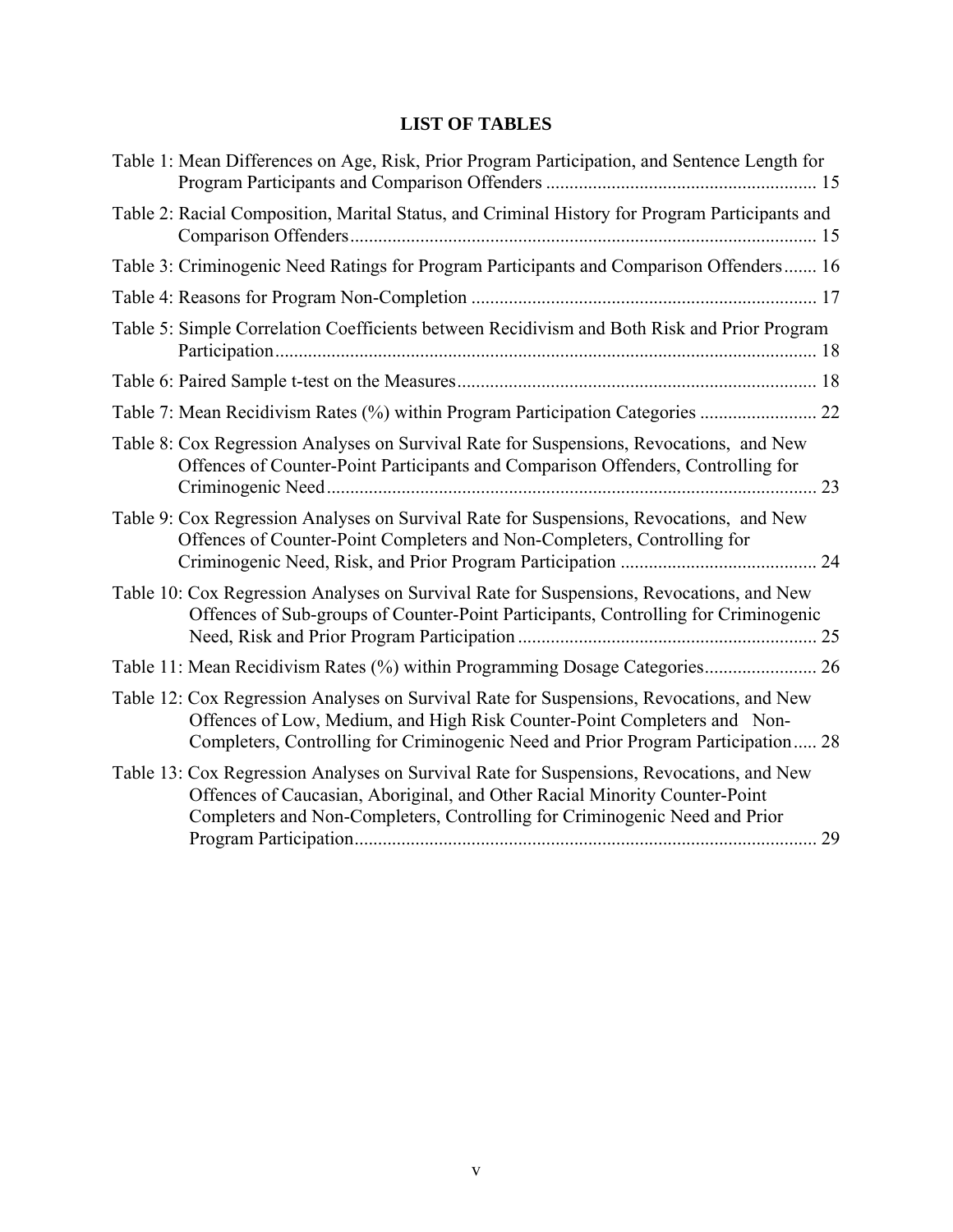# **LIST OF TABLES**

<span id="page-6-0"></span>

| Table 1: Mean Differences on Age, Risk, Prior Program Participation, and Sentence Length for                                                                                                                                                             |    |
|----------------------------------------------------------------------------------------------------------------------------------------------------------------------------------------------------------------------------------------------------------|----|
| Table 2: Racial Composition, Marital Status, and Criminal History for Program Participants and                                                                                                                                                           |    |
| Table 3: Criminogenic Need Ratings for Program Participants and Comparison Offenders 16                                                                                                                                                                  |    |
|                                                                                                                                                                                                                                                          |    |
| Table 5: Simple Correlation Coefficients between Recidivism and Both Risk and Prior Program                                                                                                                                                              |    |
|                                                                                                                                                                                                                                                          |    |
| Table 7: Mean Recidivism Rates (%) within Program Participation Categories  22                                                                                                                                                                           |    |
| Table 8: Cox Regression Analyses on Survival Rate for Suspensions, Revocations, and New<br>Offences of Counter-Point Participants and Comparison Offenders, Controlling for                                                                              | 23 |
| Table 9: Cox Regression Analyses on Survival Rate for Suspensions, Revocations, and New<br>Offences of Counter-Point Completers and Non-Completers, Controlling for                                                                                      |    |
| Table 10: Cox Regression Analyses on Survival Rate for Suspensions, Revocations, and New<br>Offences of Sub-groups of Counter-Point Participants, Controlling for Criminogenic                                                                           |    |
|                                                                                                                                                                                                                                                          |    |
| Table 12: Cox Regression Analyses on Survival Rate for Suspensions, Revocations, and New<br>Offences of Low, Medium, and High Risk Counter-Point Completers and Non-<br>Completers, Controlling for Criminogenic Need and Prior Program Participation 28 |    |
| Table 13: Cox Regression Analyses on Survival Rate for Suspensions, Revocations, and New<br>Offences of Caucasian, Aboriginal, and Other Racial Minority Counter-Point<br>Completers and Non-Completers, Controlling for Criminogenic Need and Prior     |    |
|                                                                                                                                                                                                                                                          |    |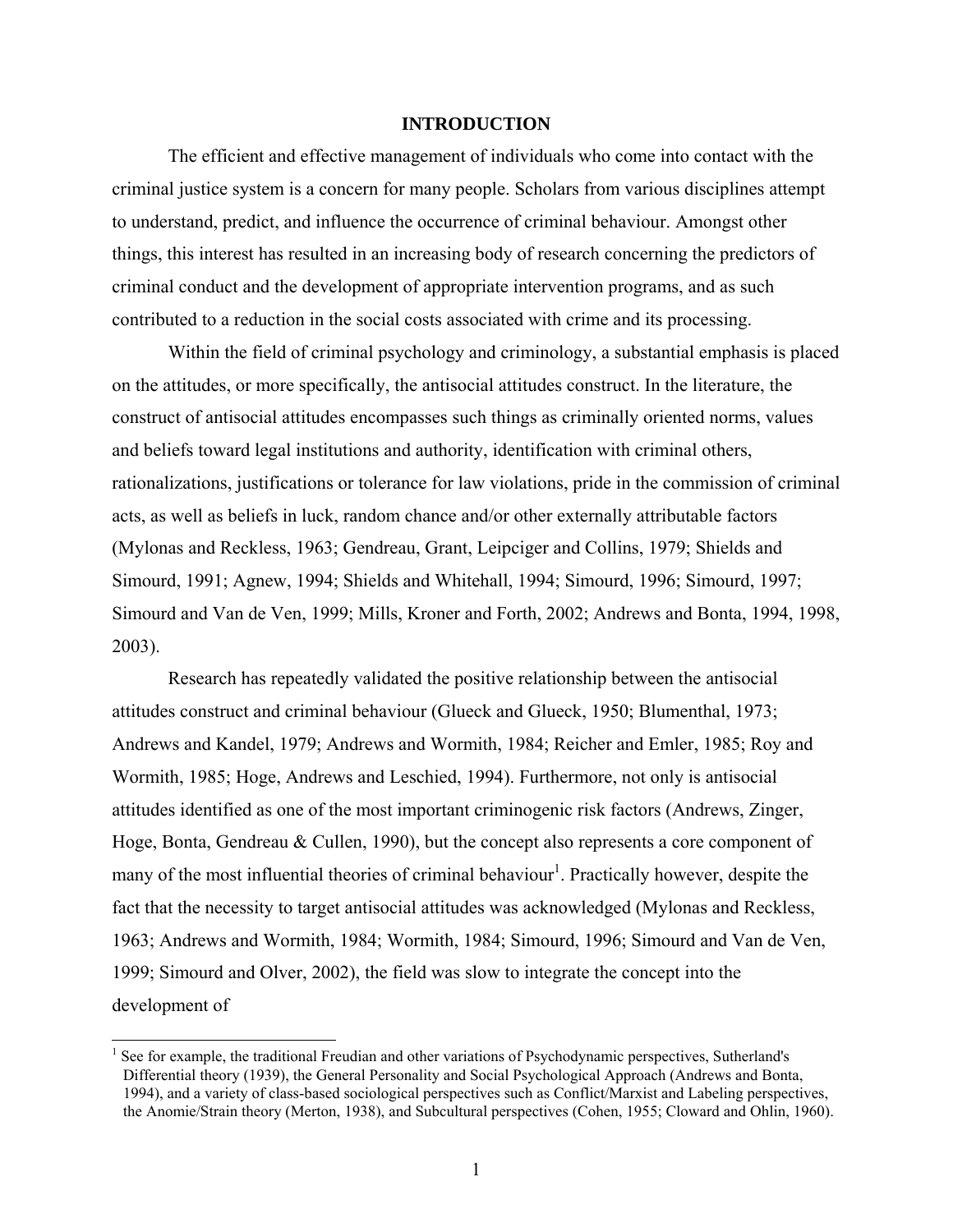### **INTRODUCTION**

<span id="page-7-0"></span>The efficient and effective management of individuals who come into contact with the criminal justice system is a concern for many people. Scholars from various disciplines attempt to understand, predict, and influence the occurrence of criminal behaviour. Amongst other things, this interest has resulted in an increasing body of research concerning the predictors of criminal conduct and the development of appropriate intervention programs, and as such contributed to a reduction in the social costs associated with crime and its processing.

Within the field of criminal psychology and criminology, a substantial emphasis is placed on the attitudes, or more specifically, the antisocial attitudes construct. In the literature, the construct of antisocial attitudes encompasses such things as criminally oriented norms, values and beliefs toward legal institutions and authority, identification with criminal others, rationalizations, justifications or tolerance for law violations, pride in the commission of criminal acts, as well as beliefs in luck, random chance and/or other externally attributable factors (Mylonas and Reckless, 1963; Gendreau, Grant, Leipciger and Collins, 1979; Shields and Simourd, 1991; Agnew, 1994; Shields and Whitehall, 1994; Simourd, 1996; Simourd, 1997; Simourd and Van de Ven, 1999; Mills, Kroner and Forth, 2002; Andrews and Bonta, 1994, 1998, 2003).

Research has repeatedly validated the positive relationship between the antisocial attitudes construct and criminal behaviour (Glueck and Glueck, 1950; Blumenthal, 1973; Andrews and Kandel, 1979; Andrews and Wormith, 1984; Reicher and Emler, 1985; Roy and Wormith, 1985; Hoge, Andrews and Leschied, 1994). Furthermore, not only is antisocial attitudes identified as one of the most important criminogenic risk factors (Andrews, Zinger, Hoge, Bonta, Gendreau & Cullen, 1990), but the concept also represents a core component of many of the most influential theories of criminal behaviour<sup>1</sup>. Practically however, despite the fact that the necessity to target antisocial attitudes was acknowledged (Mylonas and Reckless, 1963; Andrews and Wormith, 1984; Wormith, 1984; Simourd, 1996; Simourd and Van de Ven, 1999; Simourd and Olver, 2002), the field was slow to integrate the concept into the development of

<span id="page-7-1"></span> $\frac{1}{1}$  $<sup>1</sup>$  See for example, the traditional Freudian and other variations of Psychodynamic perspectives, Sutherland's</sup> Differential theory (1939), the General Personality and Social Psychological Approach (Andrews and Bonta, 1994), and a variety of class-based sociological perspectives such as Conflict/Marxist and Labeling perspectives, the Anomie/Strain theory (Merton, 1938), and Subcultural perspectives (Cohen, 1955; Cloward and Ohlin, 1960).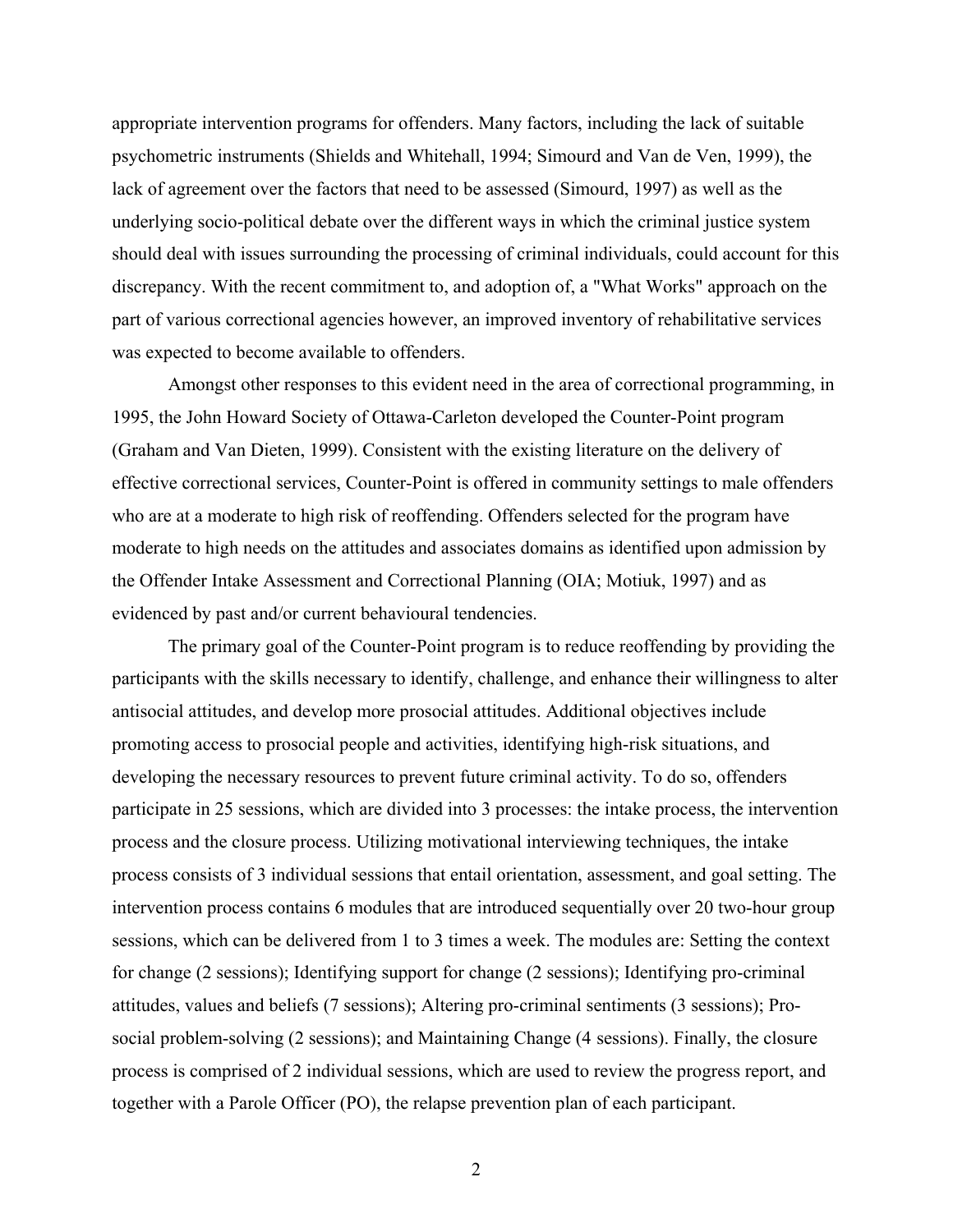appropriate intervention programs for offenders. Many factors, including the lack of suitable psychometric instruments (Shields and Whitehall, 1994; Simourd and Van de Ven, 1999), the lack of agreement over the factors that need to be assessed (Simourd, 1997) as well as the underlying socio-political debate over the different ways in which the criminal justice system should deal with issues surrounding the processing of criminal individuals, could account for this discrepancy. With the recent commitment to, and adoption of, a "What Works" approach on the part of various correctional agencies however, an improved inventory of rehabilitative services was expected to become available to offenders.

Amongst other responses to this evident need in the area of correctional programming, in 1995, the John Howard Society of Ottawa-Carleton developed the Counter-Point program (Graham and Van Dieten, 1999). Consistent with the existing literature on the delivery of effective correctional services, Counter-Point is offered in community settings to male offenders who are at a moderate to high risk of reoffending. Offenders selected for the program have moderate to high needs on the attitudes and associates domains as identified upon admission by the Offender Intake Assessment and Correctional Planning (OIA; Motiuk, 1997) and as evidenced by past and/or current behavioural tendencies.

The primary goal of the Counter-Point program is to reduce reoffending by providing the participants with the skills necessary to identify, challenge, and enhance their willingness to alter antisocial attitudes, and develop more prosocial attitudes. Additional objectives include promoting access to prosocial people and activities, identifying high-risk situations, and developing the necessary resources to prevent future criminal activity. To do so, offenders participate in 25 sessions, which are divided into 3 processes: the intake process, the intervention process and the closure process. Utilizing motivational interviewing techniques, the intake process consists of 3 individual sessions that entail orientation, assessment, and goal setting. The intervention process contains 6 modules that are introduced sequentially over 20 two-hour group sessions, which can be delivered from 1 to 3 times a week. The modules are: Setting the context for change (2 sessions); Identifying support for change (2 sessions); Identifying pro-criminal attitudes, values and beliefs (7 sessions); Altering pro-criminal sentiments (3 sessions); Prosocial problem-solving (2 sessions); and Maintaining Change (4 sessions). Finally, the closure process is comprised of 2 individual sessions, which are used to review the progress report, and together with a Parole Officer (PO), the relapse prevention plan of each participant.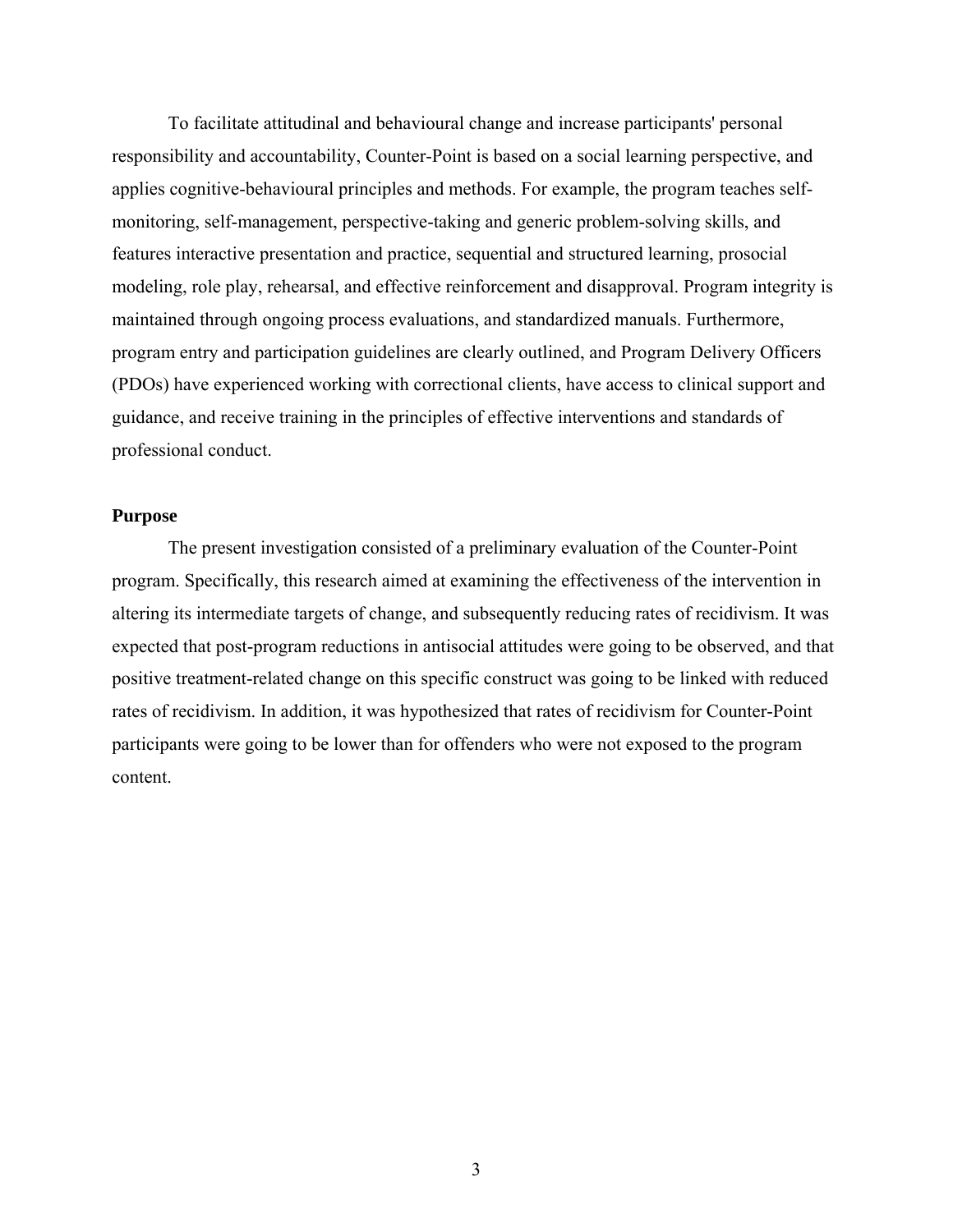<span id="page-9-0"></span>To facilitate attitudinal and behavioural change and increase participants' personal responsibility and accountability, Counter-Point is based on a social learning perspective, and applies cognitive-behavioural principles and methods. For example, the program teaches selfmonitoring, self-management, perspective-taking and generic problem-solving skills, and features interactive presentation and practice, sequential and structured learning, prosocial modeling, role play, rehearsal, and effective reinforcement and disapproval. Program integrity is maintained through ongoing process evaluations, and standardized manuals. Furthermore, program entry and participation guidelines are clearly outlined, and Program Delivery Officers (PDOs) have experienced working with correctional clients, have access to clinical support and guidance, and receive training in the principles of effective interventions and standards of professional conduct.

## **Purpose**

The present investigation consisted of a preliminary evaluation of the Counter-Point program. Specifically, this research aimed at examining the effectiveness of the intervention in altering its intermediate targets of change, and subsequently reducing rates of recidivism. It was expected that post-program reductions in antisocial attitudes were going to be observed, and that positive treatment-related change on this specific construct was going to be linked with reduced rates of recidivism. In addition, it was hypothesized that rates of recidivism for Counter-Point participants were going to be lower than for offenders who were not exposed to the program content.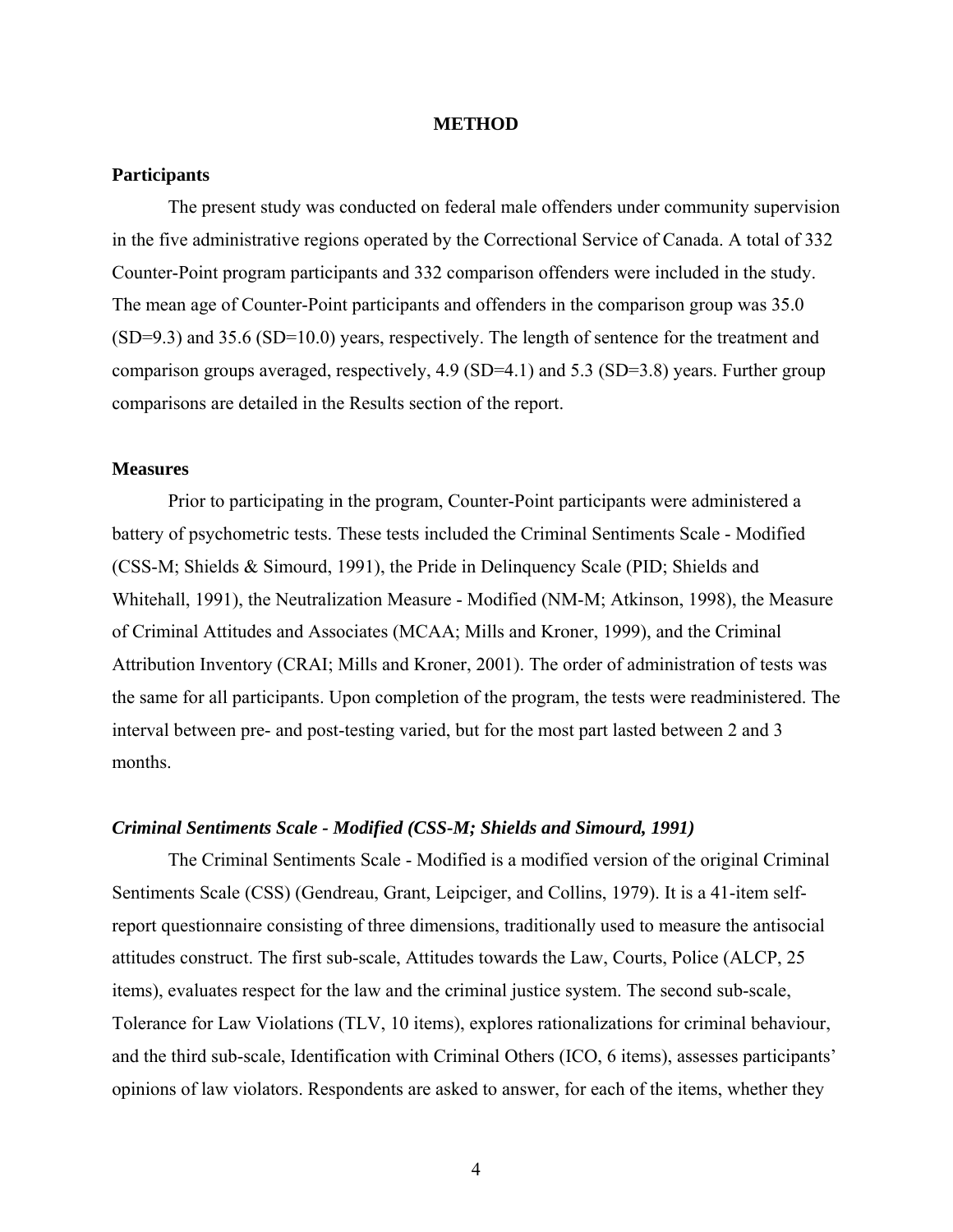### **METHOD**

## <span id="page-10-0"></span>**Participants**

The present study was conducted on federal male offenders under community supervision in the five administrative regions operated by the Correctional Service of Canada. A total of 332 Counter-Point program participants and 332 comparison offenders were included in the study. The mean age of Counter-Point participants and offenders in the comparison group was 35.0 (SD=9.3) and 35.6 (SD=10.0) years, respectively. The length of sentence for the treatment and comparison groups averaged, respectively, 4.9 (SD=4.1) and 5.3 (SD=3.8) years. Further group comparisons are detailed in the Results section of the report.

## **Measures**

Prior to participating in the program, Counter-Point participants were administered a battery of psychometric tests. These tests included the Criminal Sentiments Scale - Modified (CSS-M; Shields & Simourd, 1991), the Pride in Delinquency Scale (PID; Shields and Whitehall, 1991), the Neutralization Measure - Modified (NM-M; Atkinson, 1998), the Measure of Criminal Attitudes and Associates (MCAA; Mills and Kroner, 1999), and the Criminal Attribution Inventory (CRAI; Mills and Kroner, 2001). The order of administration of tests was the same for all participants. Upon completion of the program, the tests were readministered. The interval between pre- and post-testing varied, but for the most part lasted between 2 and 3 months.

### *Criminal Sentiments Scale - Modified (CSS-M; Shields and Simourd, 1991)*

The Criminal Sentiments Scale - Modified is a modified version of the original Criminal Sentiments Scale (CSS) (Gendreau, Grant, Leipciger, and Collins, 1979). It is a 41-item selfreport questionnaire consisting of three dimensions, traditionally used to measure the antisocial attitudes construct. The first sub-scale, Attitudes towards the Law, Courts, Police (ALCP, 25 items), evaluates respect for the law and the criminal justice system. The second sub-scale, Tolerance for Law Violations (TLV, 10 items), explores rationalizations for criminal behaviour, and the third sub-scale, Identification with Criminal Others (ICO, 6 items), assesses participants' opinions of law violators. Respondents are asked to answer, for each of the items, whether they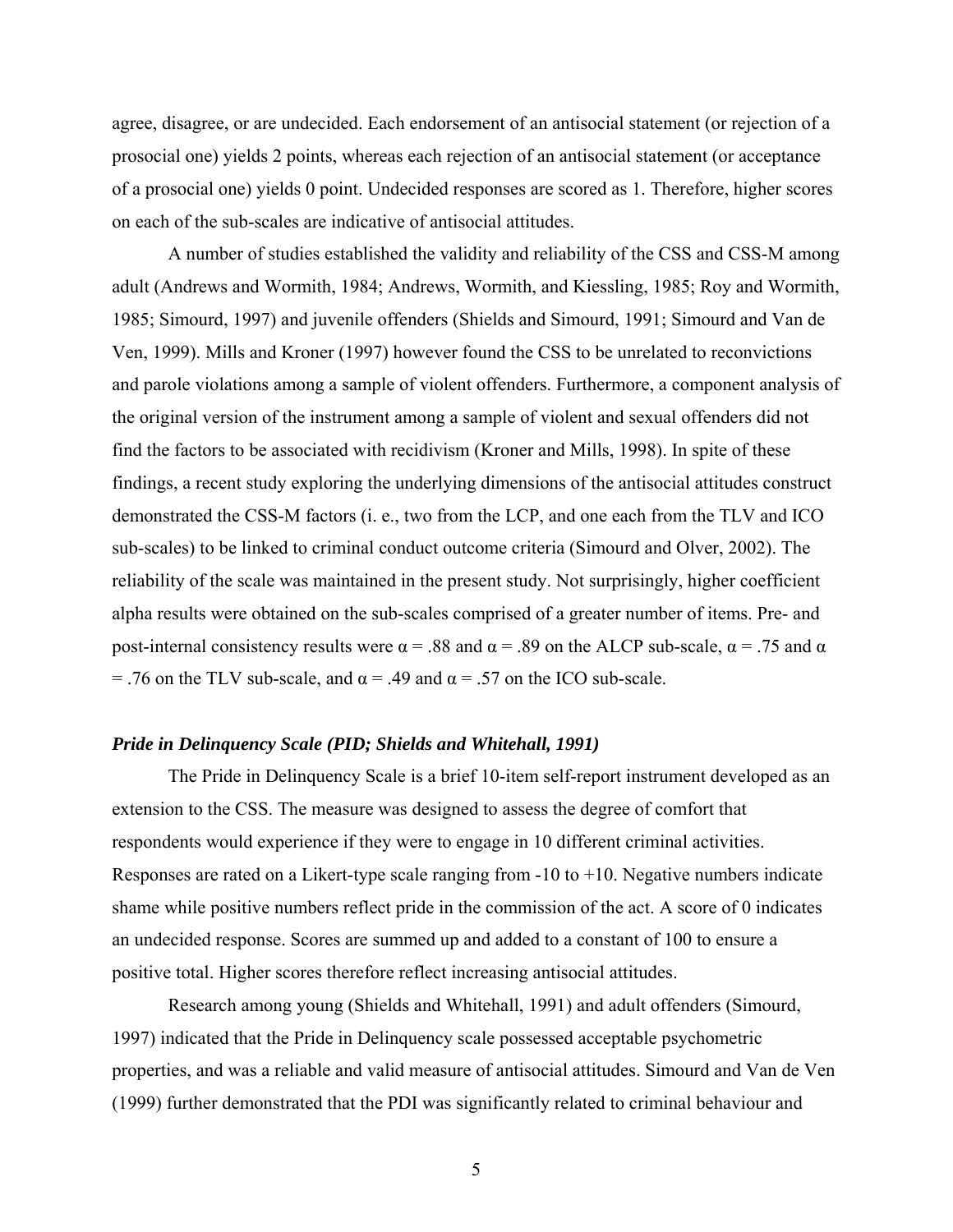<span id="page-11-0"></span>agree, disagree, or are undecided. Each endorsement of an antisocial statement (or rejection of a prosocial one) yields 2 points, whereas each rejection of an antisocial statement (or acceptance of a prosocial one) yields 0 point. Undecided responses are scored as 1. Therefore, higher scores on each of the sub-scales are indicative of antisocial attitudes.

A number of studies established the validity and reliability of the CSS and CSS-M among adult (Andrews and Wormith, 1984; Andrews, Wormith, and Kiessling, 1985; Roy and Wormith, 1985; Simourd, 1997) and juvenile offenders (Shields and Simourd, 1991; Simourd and Van de Ven, 1999). Mills and Kroner (1997) however found the CSS to be unrelated to reconvictions and parole violations among a sample of violent offenders. Furthermore, a component analysis of the original version of the instrument among a sample of violent and sexual offenders did not find the factors to be associated with recidivism (Kroner and Mills, 1998). In spite of these findings, a recent study exploring the underlying dimensions of the antisocial attitudes construct demonstrated the CSS-M factors (i. e., two from the LCP, and one each from the TLV and ICO sub-scales) to be linked to criminal conduct outcome criteria (Simourd and Olver, 2002). The reliability of the scale was maintained in the present study. Not surprisingly, higher coefficient alpha results were obtained on the sub-scales comprised of a greater number of items. Pre- and post-internal consistency results were  $\alpha$  = .88 and  $\alpha$  = .89 on the ALCP sub-scale,  $\alpha$  = .75 and  $\alpha$ = .76 on the TLV sub-scale, and  $\alpha$  = .49 and  $\alpha$  = .57 on the ICO sub-scale.

### *Pride in Delinquency Scale (PID; Shields and Whitehall, 1991)*

The Pride in Delinquency Scale is a brief 10-item self-report instrument developed as an extension to the CSS. The measure was designed to assess the degree of comfort that respondents would experience if they were to engage in 10 different criminal activities. Responses are rated on a Likert-type scale ranging from  $-10$  to  $+10$ . Negative numbers indicate shame while positive numbers reflect pride in the commission of the act. A score of 0 indicates an undecided response. Scores are summed up and added to a constant of 100 to ensure a positive total. Higher scores therefore reflect increasing antisocial attitudes.

Research among young (Shields and Whitehall, 1991) and adult offenders (Simourd, 1997) indicated that the Pride in Delinquency scale possessed acceptable psychometric properties, and was a reliable and valid measure of antisocial attitudes. Simourd and Van de Ven (1999) further demonstrated that the PDI was significantly related to criminal behaviour and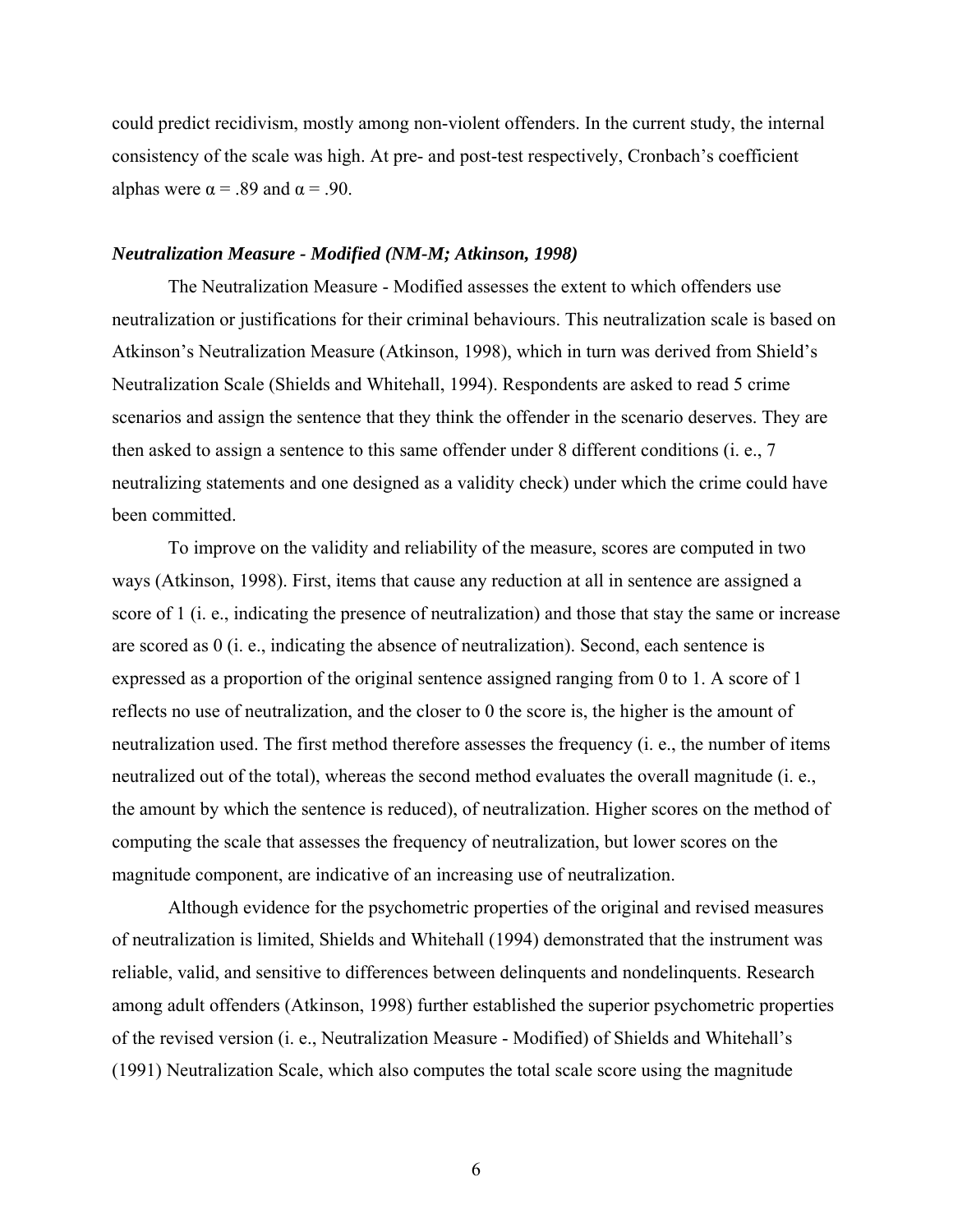<span id="page-12-0"></span>could predict recidivism, mostly among non-violent offenders. In the current study, the internal consistency of the scale was high. At pre- and post-test respectively, Cronbach's coefficient alphas were  $\alpha = .89$  and  $\alpha = .90$ .

#### *Neutralization Measure - Modified (NM-M; Atkinson, 1998)*

The Neutralization Measure - Modified assesses the extent to which offenders use neutralization or justifications for their criminal behaviours. This neutralization scale is based on Atkinson's Neutralization Measure (Atkinson, 1998), which in turn was derived from Shield's Neutralization Scale (Shields and Whitehall, 1994). Respondents are asked to read 5 crime scenarios and assign the sentence that they think the offender in the scenario deserves. They are then asked to assign a sentence to this same offender under 8 different conditions (i. e., 7 neutralizing statements and one designed as a validity check) under which the crime could have been committed.

To improve on the validity and reliability of the measure, scores are computed in two ways (Atkinson, 1998). First, items that cause any reduction at all in sentence are assigned a score of 1 (i. e., indicating the presence of neutralization) and those that stay the same or increase are scored as 0 (i. e., indicating the absence of neutralization). Second, each sentence is expressed as a proportion of the original sentence assigned ranging from 0 to 1. A score of 1 reflects no use of neutralization, and the closer to 0 the score is, the higher is the amount of neutralization used. The first method therefore assesses the frequency (i. e., the number of items neutralized out of the total), whereas the second method evaluates the overall magnitude (i. e., the amount by which the sentence is reduced), of neutralization. Higher scores on the method of computing the scale that assesses the frequency of neutralization, but lower scores on the magnitude component, are indicative of an increasing use of neutralization.

Although evidence for the psychometric properties of the original and revised measures of neutralization is limited, Shields and Whitehall (1994) demonstrated that the instrument was reliable, valid, and sensitive to differences between delinquents and nondelinquents. Research among adult offenders (Atkinson, 1998) further established the superior psychometric properties of the revised version (i. e., Neutralization Measure - Modified) of Shields and Whitehall's (1991) Neutralization Scale, which also computes the total scale score using the magnitude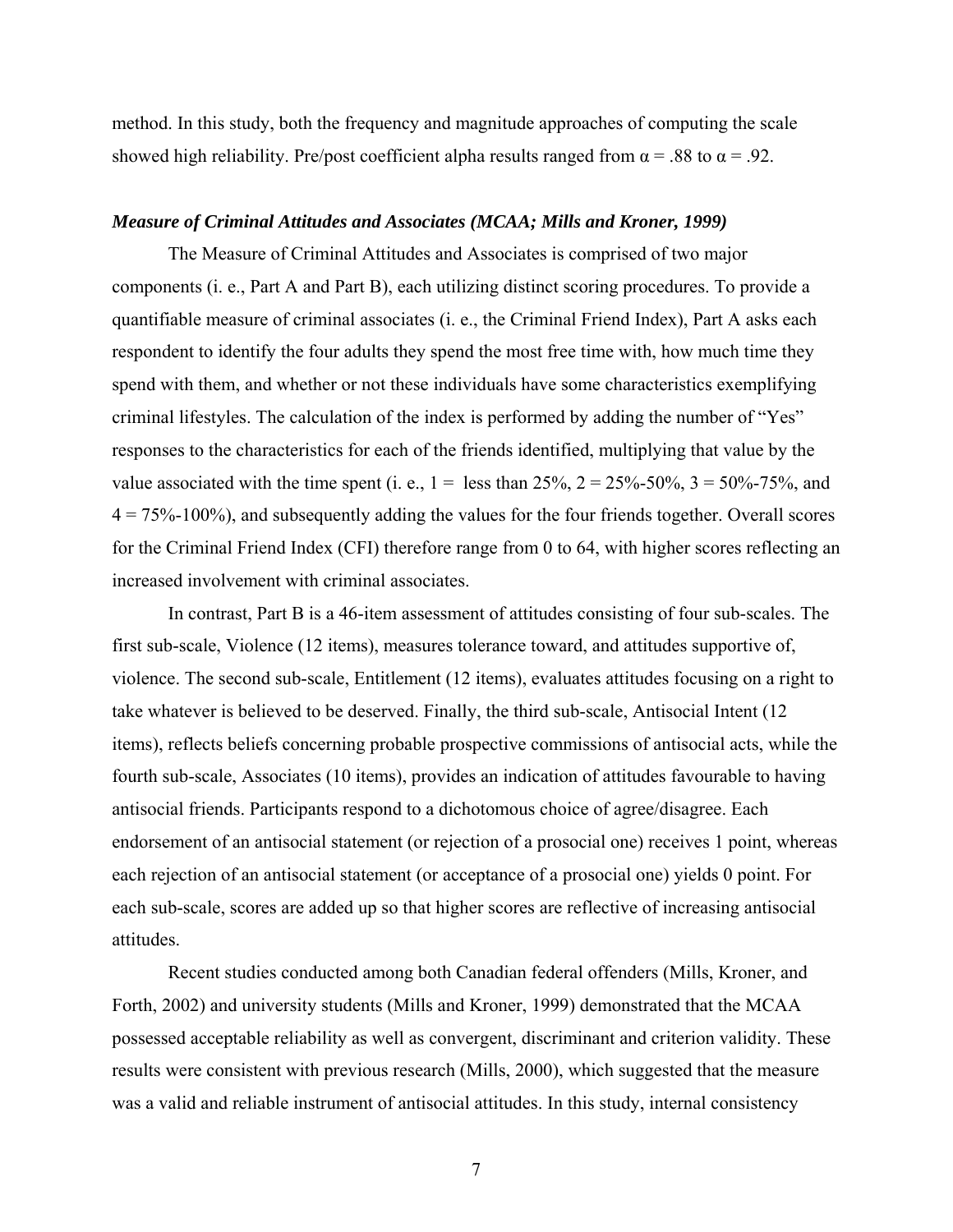<span id="page-13-0"></span>method. In this study, both the frequency and magnitude approaches of computing the scale showed high reliability. Pre/post coefficient alpha results ranged from  $\alpha = .88$  to  $\alpha = .92$ .

## *Measure of Criminal Attitudes and Associates (MCAA; Mills and Kroner, 1999)*

The Measure of Criminal Attitudes and Associates is comprised of two major components (i. e., Part A and Part B), each utilizing distinct scoring procedures. To provide a quantifiable measure of criminal associates (i. e., the Criminal Friend Index), Part A asks each respondent to identify the four adults they spend the most free time with, how much time they spend with them, and whether or not these individuals have some characteristics exemplifying criminal lifestyles. The calculation of the index is performed by adding the number of "Yes" responses to the characteristics for each of the friends identified, multiplying that value by the value associated with the time spent (i. e.,  $1 =$  less than 25%,  $2 = 25\% - 50\%$ ,  $3 = 50\% - 75\%$ , and  $4 = 75\% - 100\%$ , and subsequently adding the values for the four friends together. Overall scores for the Criminal Friend Index (CFI) therefore range from 0 to 64, with higher scores reflecting an increased involvement with criminal associates.

In contrast, Part B is a 46-item assessment of attitudes consisting of four sub-scales. The first sub-scale, Violence (12 items), measures tolerance toward, and attitudes supportive of, violence. The second sub-scale, Entitlement (12 items), evaluates attitudes focusing on a right to take whatever is believed to be deserved. Finally, the third sub-scale, Antisocial Intent (12 items), reflects beliefs concerning probable prospective commissions of antisocial acts, while the fourth sub-scale, Associates (10 items), provides an indication of attitudes favourable to having antisocial friends. Participants respond to a dichotomous choice of agree/disagree. Each endorsement of an antisocial statement (or rejection of a prosocial one) receives 1 point, whereas each rejection of an antisocial statement (or acceptance of a prosocial one) yields 0 point. For each sub-scale, scores are added up so that higher scores are reflective of increasing antisocial attitudes.

Recent studies conducted among both Canadian federal offenders (Mills, Kroner, and Forth, 2002) and university students (Mills and Kroner, 1999) demonstrated that the MCAA possessed acceptable reliability as well as convergent, discriminant and criterion validity. These results were consistent with previous research (Mills, 2000), which suggested that the measure was a valid and reliable instrument of antisocial attitudes. In this study, internal consistency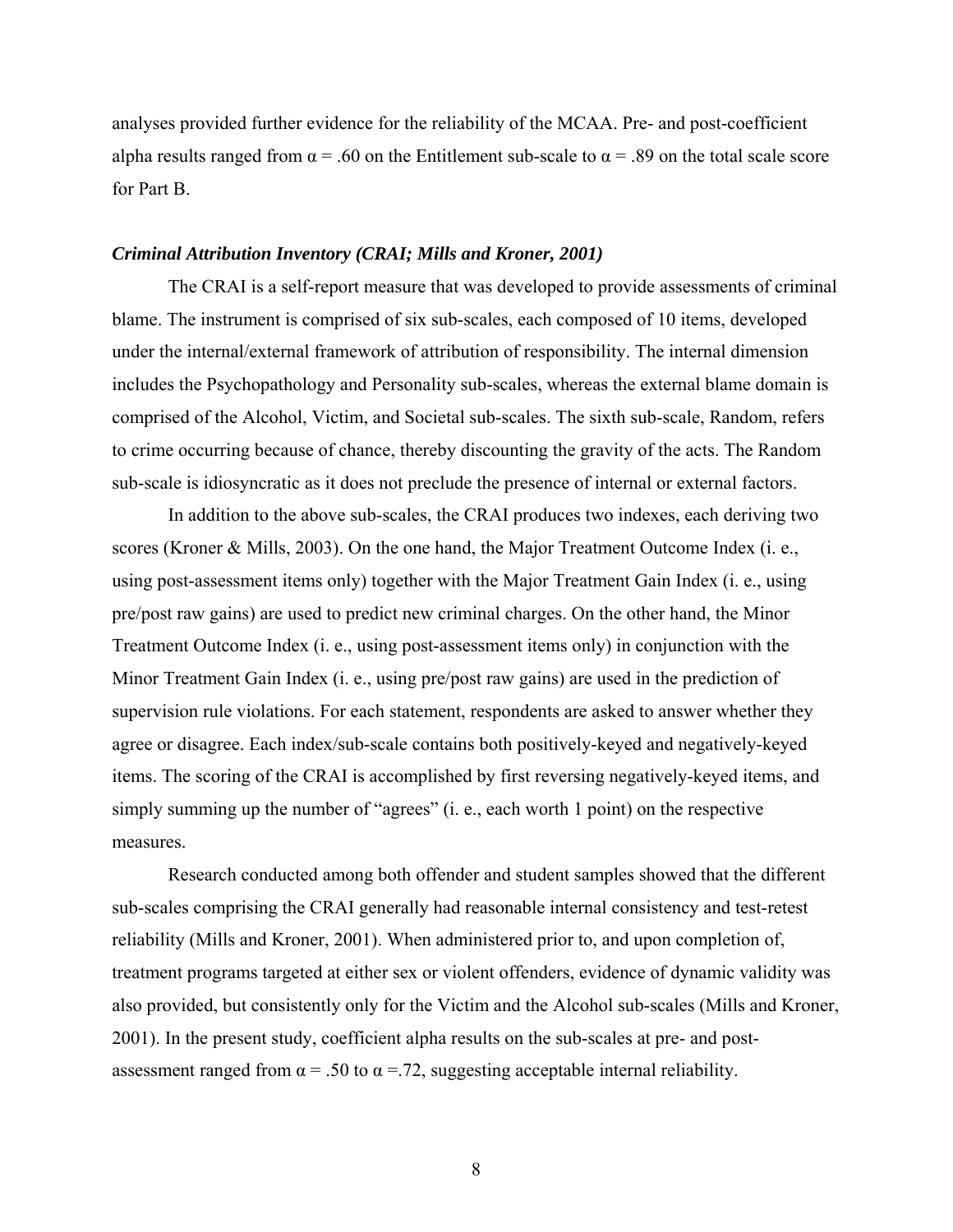<span id="page-14-0"></span>analyses provided further evidence for the reliability of the MCAA. Pre- and post-coefficient alpha results ranged from  $\alpha$  = .60 on the Entitlement sub-scale to  $\alpha$  = .89 on the total scale score for Part B.

#### *Criminal Attribution Inventory (CRAI; Mills and Kroner, 2001)*

The CRAI is a self-report measure that was developed to provide assessments of criminal blame. The instrument is comprised of six sub-scales, each composed of 10 items, developed under the internal/external framework of attribution of responsibility. The internal dimension includes the Psychopathology and Personality sub-scales, whereas the external blame domain is comprised of the Alcohol, Victim, and Societal sub-scales. The sixth sub-scale, Random, refers to crime occurring because of chance, thereby discounting the gravity of the acts. The Random sub-scale is idiosyncratic as it does not preclude the presence of internal or external factors.

In addition to the above sub-scales, the CRAI produces two indexes, each deriving two scores (Kroner & Mills, 2003). On the one hand, the Major Treatment Outcome Index (i. e., using post-assessment items only) together with the Major Treatment Gain Index (i. e., using pre/post raw gains) are used to predict new criminal charges. On the other hand, the Minor Treatment Outcome Index (i. e., using post-assessment items only) in conjunction with the Minor Treatment Gain Index (i. e., using pre/post raw gains) are used in the prediction of supervision rule violations. For each statement, respondents are asked to answer whether they agree or disagree. Each index/sub-scale contains both positively-keyed and negatively-keyed items. The scoring of the CRAI is accomplished by first reversing negatively-keyed items, and simply summing up the number of "agrees" (i. e., each worth 1 point) on the respective measures.

Research conducted among both offender and student samples showed that the different sub-scales comprising the CRAI generally had reasonable internal consistency and test-retest reliability (Mills and Kroner, 2001). When administered prior to, and upon completion of, treatment programs targeted at either sex or violent offenders, evidence of dynamic validity was also provided, but consistently only for the Victim and the Alcohol sub-scales (Mills and Kroner, 2001). In the present study, coefficient alpha results on the sub-scales at pre- and postassessment ranged from  $\alpha$  = .50 to  $\alpha$  = .72, suggesting acceptable internal reliability.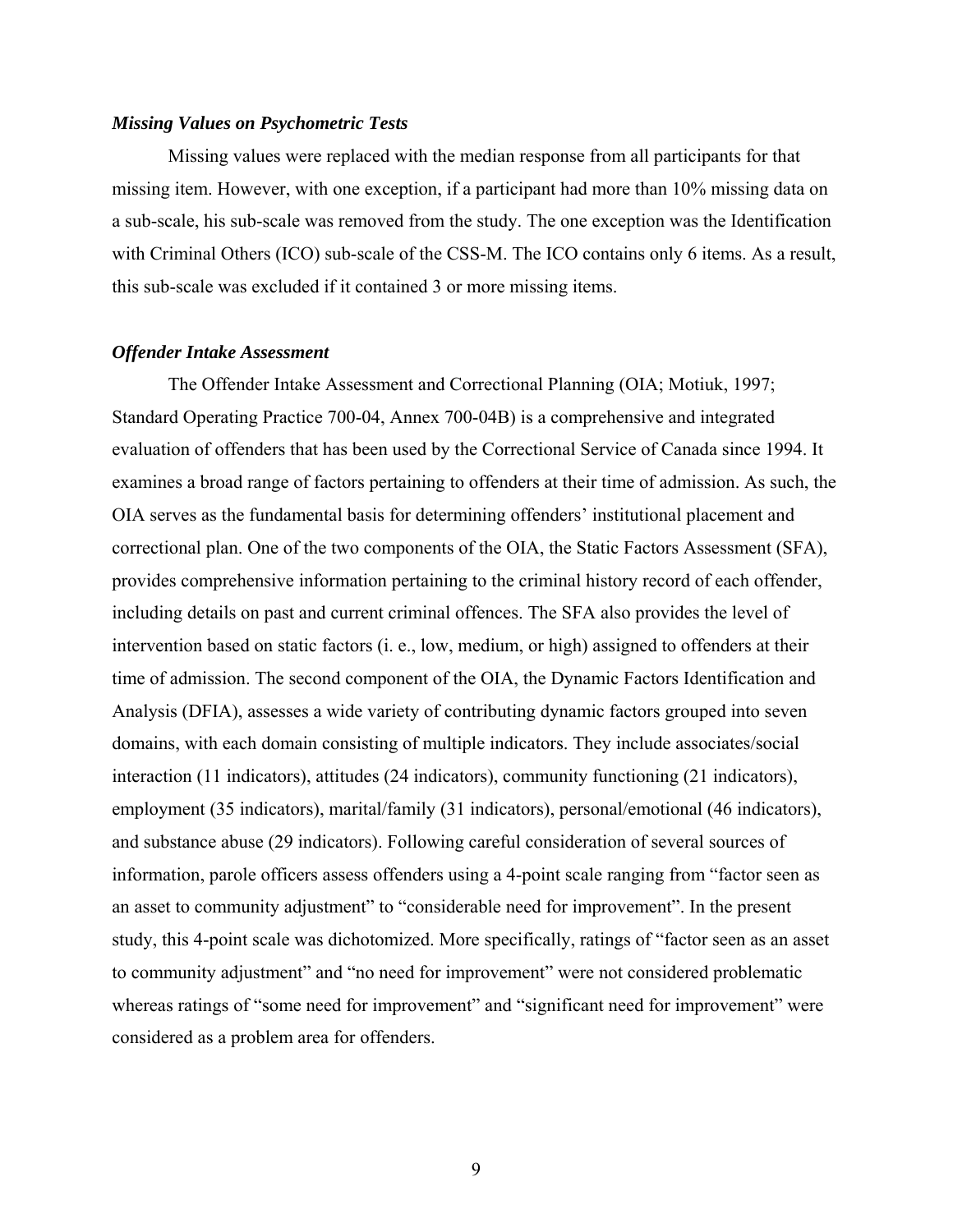### <span id="page-15-0"></span>*Missing Values on Psychometric Tests*

Missing values were replaced with the median response from all participants for that missing item. However, with one exception, if a participant had more than 10% missing data on a sub-scale, his sub-scale was removed from the study. The one exception was the Identification with Criminal Others (ICO) sub-scale of the CSS-M. The ICO contains only 6 items. As a result, this sub-scale was excluded if it contained 3 or more missing items.

## *Offender Intake Assessment*

The Offender Intake Assessment and Correctional Planning (OIA; Motiuk, 1997; Standard Operating Practice 700-04, Annex 700-04B) is a comprehensive and integrated evaluation of offenders that has been used by the Correctional Service of Canada since 1994. It examines a broad range of factors pertaining to offenders at their time of admission. As such, the OIA serves as the fundamental basis for determining offenders' institutional placement and correctional plan. One of the two components of the OIA, the Static Factors Assessment (SFA), provides comprehensive information pertaining to the criminal history record of each offender, including details on past and current criminal offences. The SFA also provides the level of intervention based on static factors (i. e., low, medium, or high) assigned to offenders at their time of admission. The second component of the OIA, the Dynamic Factors Identification and Analysis (DFIA), assesses a wide variety of contributing dynamic factors grouped into seven domains, with each domain consisting of multiple indicators. They include associates/social interaction (11 indicators), attitudes (24 indicators), community functioning (21 indicators), employment (35 indicators), marital/family (31 indicators), personal/emotional (46 indicators), and substance abuse (29 indicators). Following careful consideration of several sources of information, parole officers assess offenders using a 4-point scale ranging from "factor seen as an asset to community adjustment" to "considerable need for improvement". In the present study, this 4-point scale was dichotomized. More specifically, ratings of "factor seen as an asset to community adjustment" and "no need for improvement" were not considered problematic whereas ratings of "some need for improvement" and "significant need for improvement" were considered as a problem area for offenders.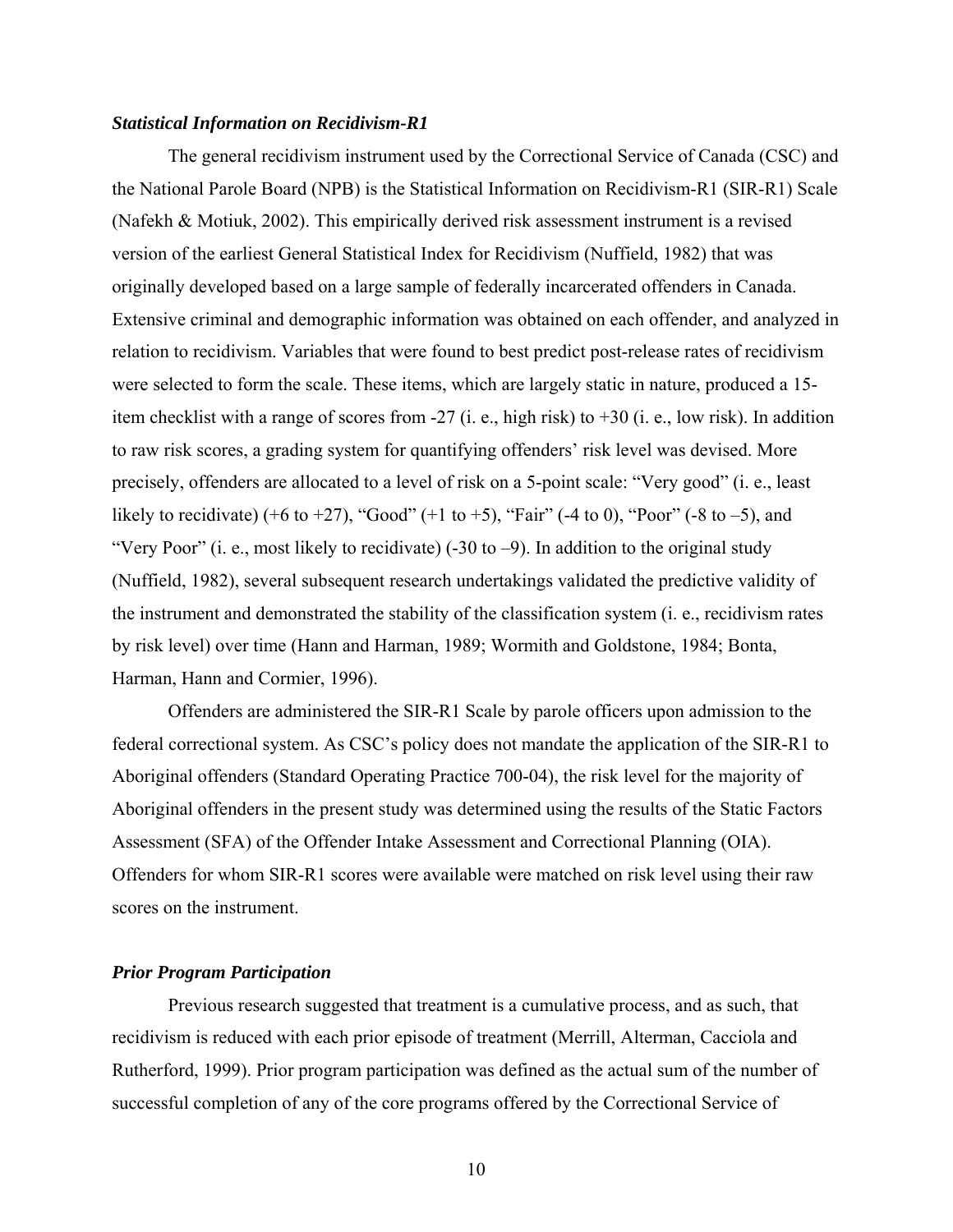### <span id="page-16-0"></span>*Statistical Information on Recidivism-R1*

The general recidivism instrument used by the Correctional Service of Canada (CSC) and the National Parole Board (NPB) is the Statistical Information on Recidivism-R1 (SIR-R1) Scale (Nafekh & Motiuk, 2002). This empirically derived risk assessment instrument is a revised version of the earliest General Statistical Index for Recidivism (Nuffield, 1982) that was originally developed based on a large sample of federally incarcerated offenders in Canada. Extensive criminal and demographic information was obtained on each offender, and analyzed in relation to recidivism. Variables that were found to best predict post-release rates of recidivism were selected to form the scale. These items, which are largely static in nature, produced a 15 item checklist with a range of scores from -27 (i. e., high risk) to +30 (i. e., low risk). In addition to raw risk scores, a grading system for quantifying offenders' risk level was devised. More precisely, offenders are allocated to a level of risk on a 5-point scale: "Very good" (i. e., least likely to recidivate) (+6 to +27), "Good" (+1 to +5), "Fair" (-4 to 0), "Poor" (-8 to -5), and "Very Poor" (i. e., most likely to recidivate)  $(-30 \text{ to } -9)$ . In addition to the original study (Nuffield, 1982), several subsequent research undertakings validated the predictive validity of the instrument and demonstrated the stability of the classification system (i. e., recidivism rates by risk level) over time (Hann and Harman, 1989; Wormith and Goldstone, 1984; Bonta, Harman, Hann and Cormier, 1996).

Offenders are administered the SIR-R1 Scale by parole officers upon admission to the federal correctional system. As CSC's policy does not mandate the application of the SIR-R1 to Aboriginal offenders (Standard Operating Practice 700-04), the risk level for the majority of Aboriginal offenders in the present study was determined using the results of the Static Factors Assessment (SFA) of the Offender Intake Assessment and Correctional Planning (OIA). Offenders for whom SIR-R1 scores were available were matched on risk level using their raw scores on the instrument.

### *Prior Program Participation*

Previous research suggested that treatment is a cumulative process, and as such, that recidivism is reduced with each prior episode of treatment (Merrill, Alterman, Cacciola and Rutherford, 1999). Prior program participation was defined as the actual sum of the number of successful completion of any of the core programs offered by the Correctional Service of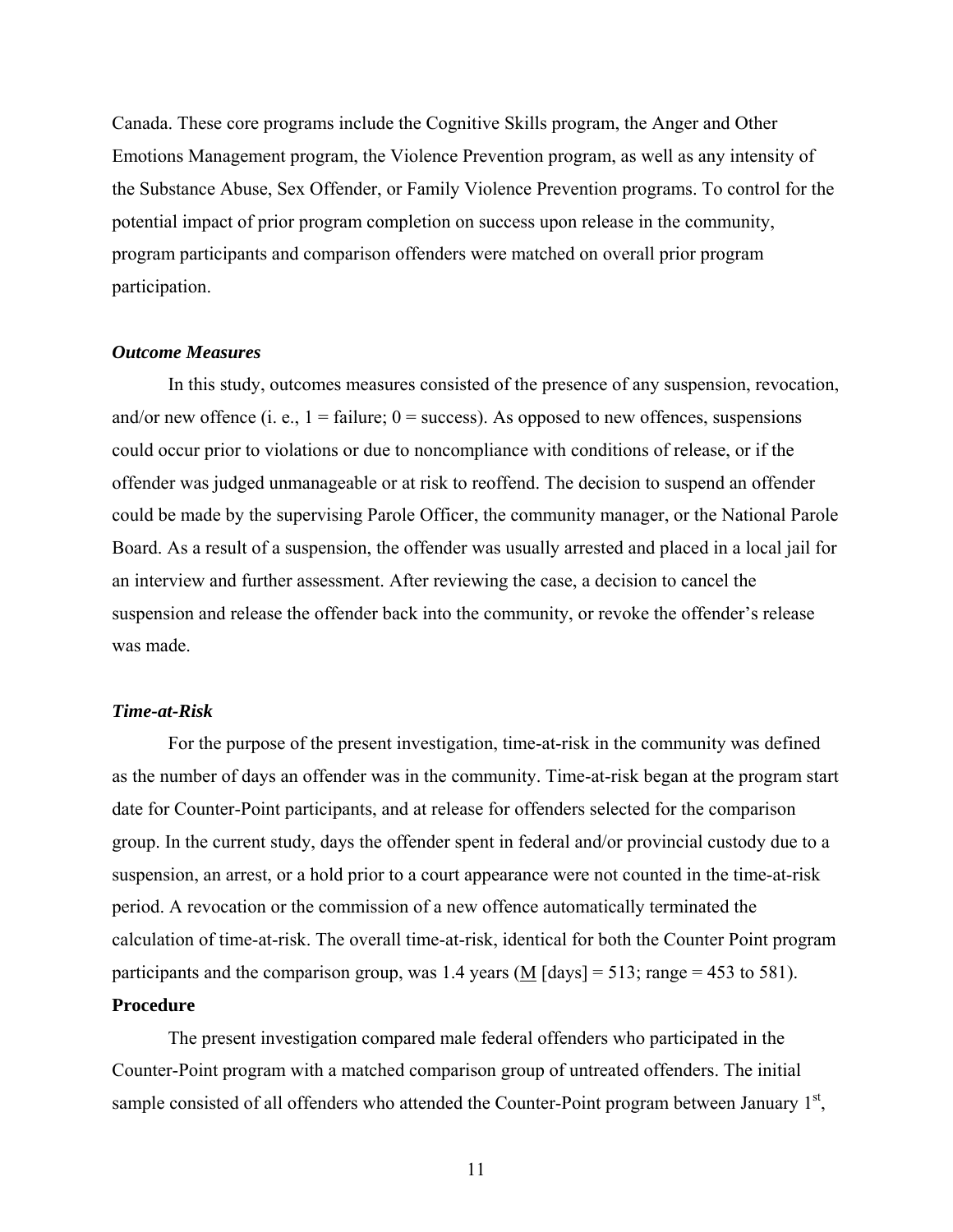<span id="page-17-0"></span>Canada. These core programs include the Cognitive Skills program, the Anger and Other Emotions Management program, the Violence Prevention program, as well as any intensity of the Substance Abuse, Sex Offender, or Family Violence Prevention programs. To control for the potential impact of prior program completion on success upon release in the community, program participants and comparison offenders were matched on overall prior program participation.

## *Outcome Measures*

In this study, outcomes measures consisted of the presence of any suspension, revocation, and/or new offence (i. e.,  $1 = \text{failure}$ ;  $0 = \text{success}$ ). As opposed to new offences, suspensions could occur prior to violations or due to noncompliance with conditions of release, or if the offender was judged unmanageable or at risk to reoffend. The decision to suspend an offender could be made by the supervising Parole Officer, the community manager, or the National Parole Board. As a result of a suspension, the offender was usually arrested and placed in a local jail for an interview and further assessment. After reviewing the case, a decision to cancel the suspension and release the offender back into the community, or revoke the offender's release was made.

## *Time-at-Risk*

For the purpose of the present investigation, time-at-risk in the community was defined as the number of days an offender was in the community. Time-at-risk began at the program start date for Counter-Point participants, and at release for offenders selected for the comparison group. In the current study, days the offender spent in federal and/or provincial custody due to a suspension, an arrest, or a hold prior to a court appearance were not counted in the time-at-risk period. A revocation or the commission of a new offence automatically terminated the calculation of time-at-risk. The overall time-at-risk, identical for both the Counter Point program participants and the comparison group, was 1.4 years ( $\overline{M}$  [days] = 513; range = 453 to 581).

# **Procedure**

The present investigation compared male federal offenders who participated in the Counter-Point program with a matched comparison group of untreated offenders. The initial sample consisted of all offenders who attended the Counter-Point program between January  $1<sup>st</sup>$ ,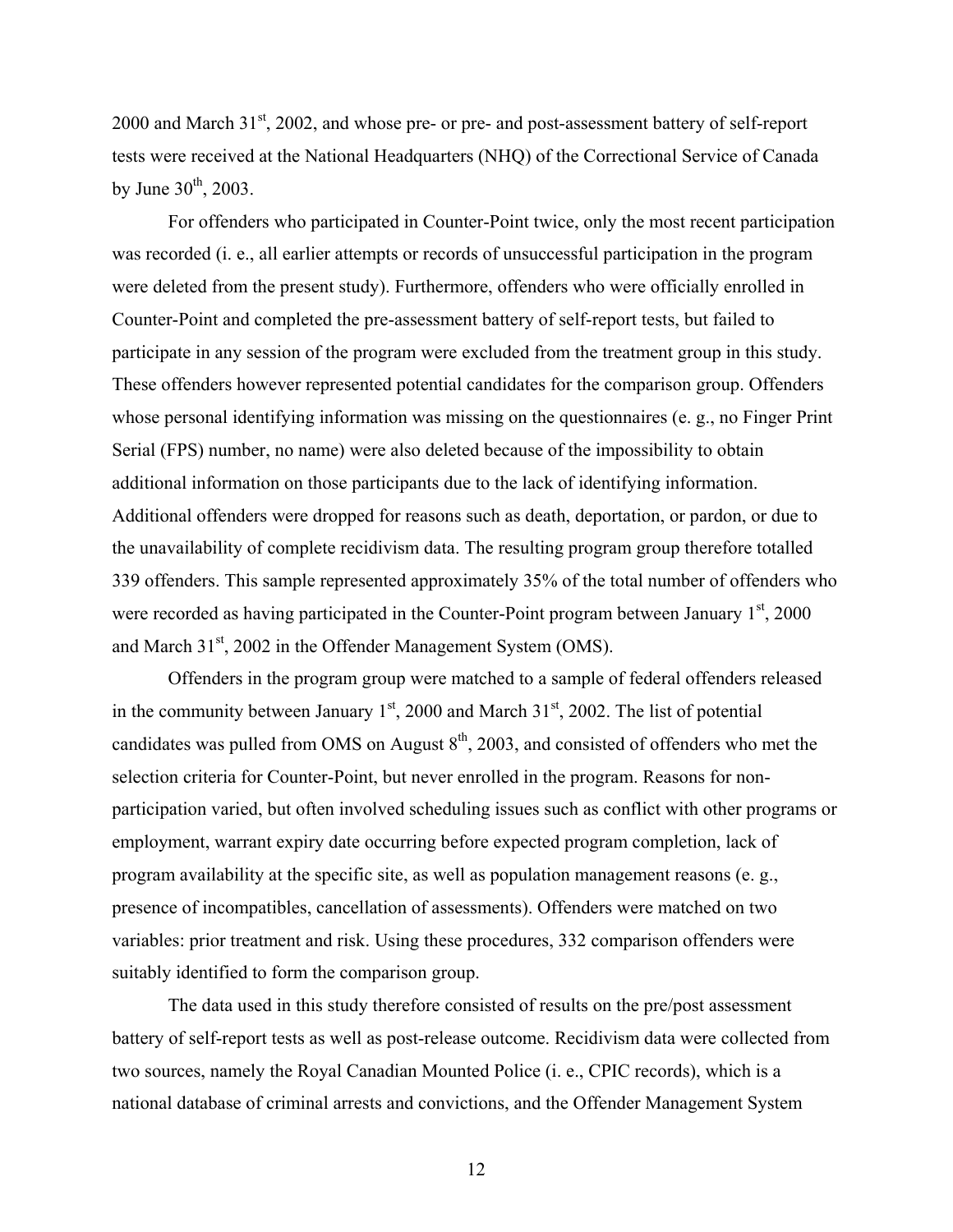2000 and March  $31<sup>st</sup>$ , 2002, and whose pre- or pre- and post-assessment battery of self-report tests were received at the National Headquarters (NHQ) of the Correctional Service of Canada by June  $30^{th}$ , 2003.

For offenders who participated in Counter-Point twice, only the most recent participation was recorded (i. e., all earlier attempts or records of unsuccessful participation in the program were deleted from the present study). Furthermore, offenders who were officially enrolled in Counter-Point and completed the pre-assessment battery of self-report tests, but failed to participate in any session of the program were excluded from the treatment group in this study. These offenders however represented potential candidates for the comparison group. Offenders whose personal identifying information was missing on the questionnaires (e. g., no Finger Print Serial (FPS) number, no name) were also deleted because of the impossibility to obtain additional information on those participants due to the lack of identifying information. Additional offenders were dropped for reasons such as death, deportation, or pardon, or due to the unavailability of complete recidivism data. The resulting program group therefore totalled 339 offenders. This sample represented approximately 35% of the total number of offenders who were recorded as having participated in the Counter-Point program between January  $1<sup>st</sup>$ , 2000 and March 31<sup>st</sup>, 2002 in the Offender Management System (OMS).

Offenders in the program group were matched to a sample of federal offenders released in the community between January  $1<sup>st</sup>$ , 2000 and March  $31<sup>st</sup>$ , 2002. The list of potential candidates was pulled from OMS on August  $8<sup>th</sup>$ , 2003, and consisted of offenders who met the selection criteria for Counter-Point, but never enrolled in the program. Reasons for nonparticipation varied, but often involved scheduling issues such as conflict with other programs or employment, warrant expiry date occurring before expected program completion, lack of program availability at the specific site, as well as population management reasons (e. g., presence of incompatibles, cancellation of assessments). Offenders were matched on two variables: prior treatment and risk. Using these procedures, 332 comparison offenders were suitably identified to form the comparison group.

The data used in this study therefore consisted of results on the pre/post assessment battery of self-report tests as well as post-release outcome. Recidivism data were collected from two sources, namely the Royal Canadian Mounted Police (i. e., CPIC records), which is a national database of criminal arrests and convictions, and the Offender Management System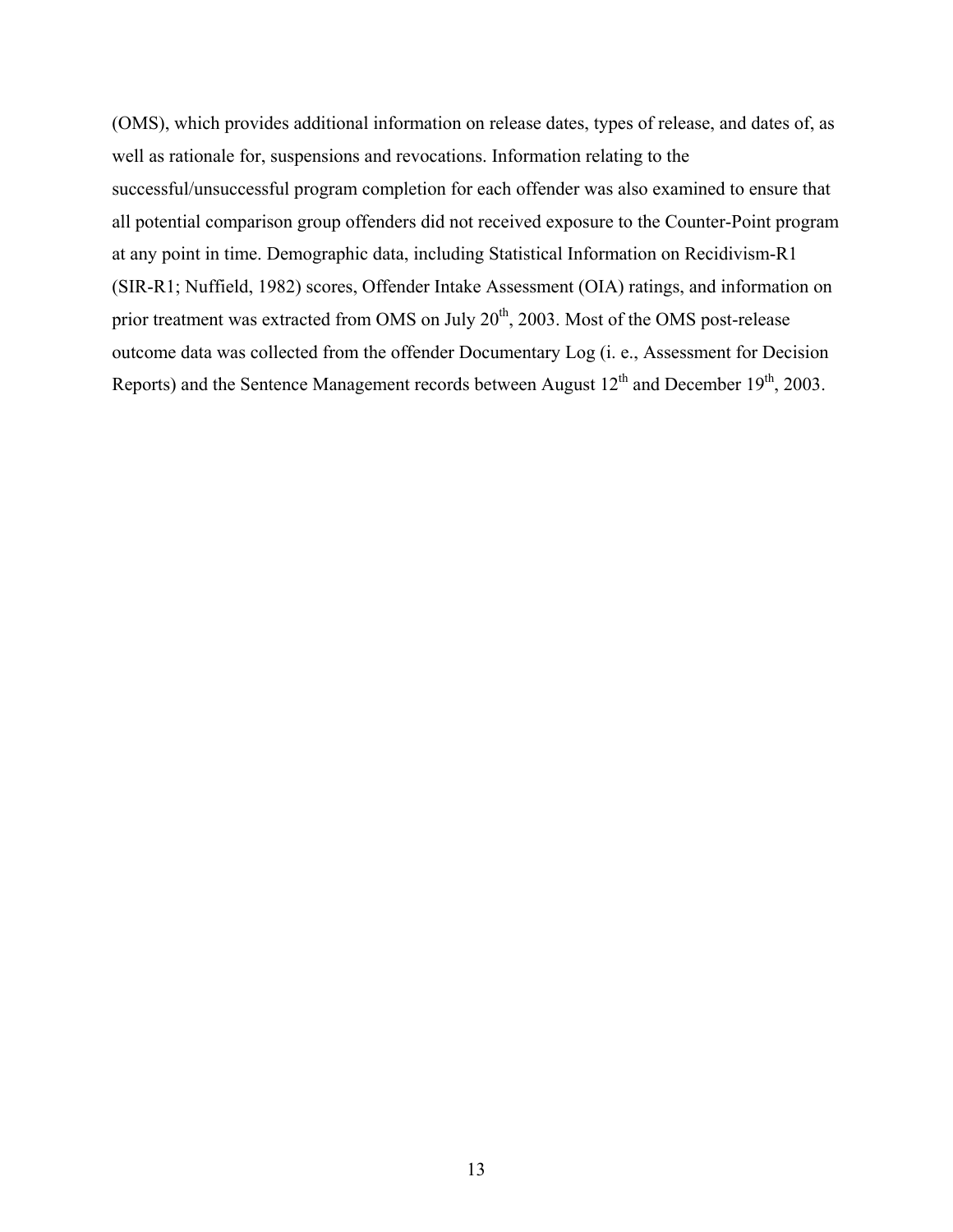(OMS), which provides additional information on release dates, types of release, and dates of, as well as rationale for, suspensions and revocations. Information relating to the successful/unsuccessful program completion for each offender was also examined to ensure that all potential comparison group offenders did not received exposure to the Counter-Point program at any point in time. Demographic data, including Statistical Information on Recidivism-R1 (SIR-R1; Nuffield, 1982) scores, Offender Intake Assessment (OIA) ratings, and information on prior treatment was extracted from OMS on July  $20<sup>th</sup>$ , 2003. Most of the OMS post-release outcome data was collected from the offender Documentary Log (i. e., Assessment for Decision Reports) and the Sentence Management records between August  $12<sup>th</sup>$  and December  $19<sup>th</sup>$ , 2003.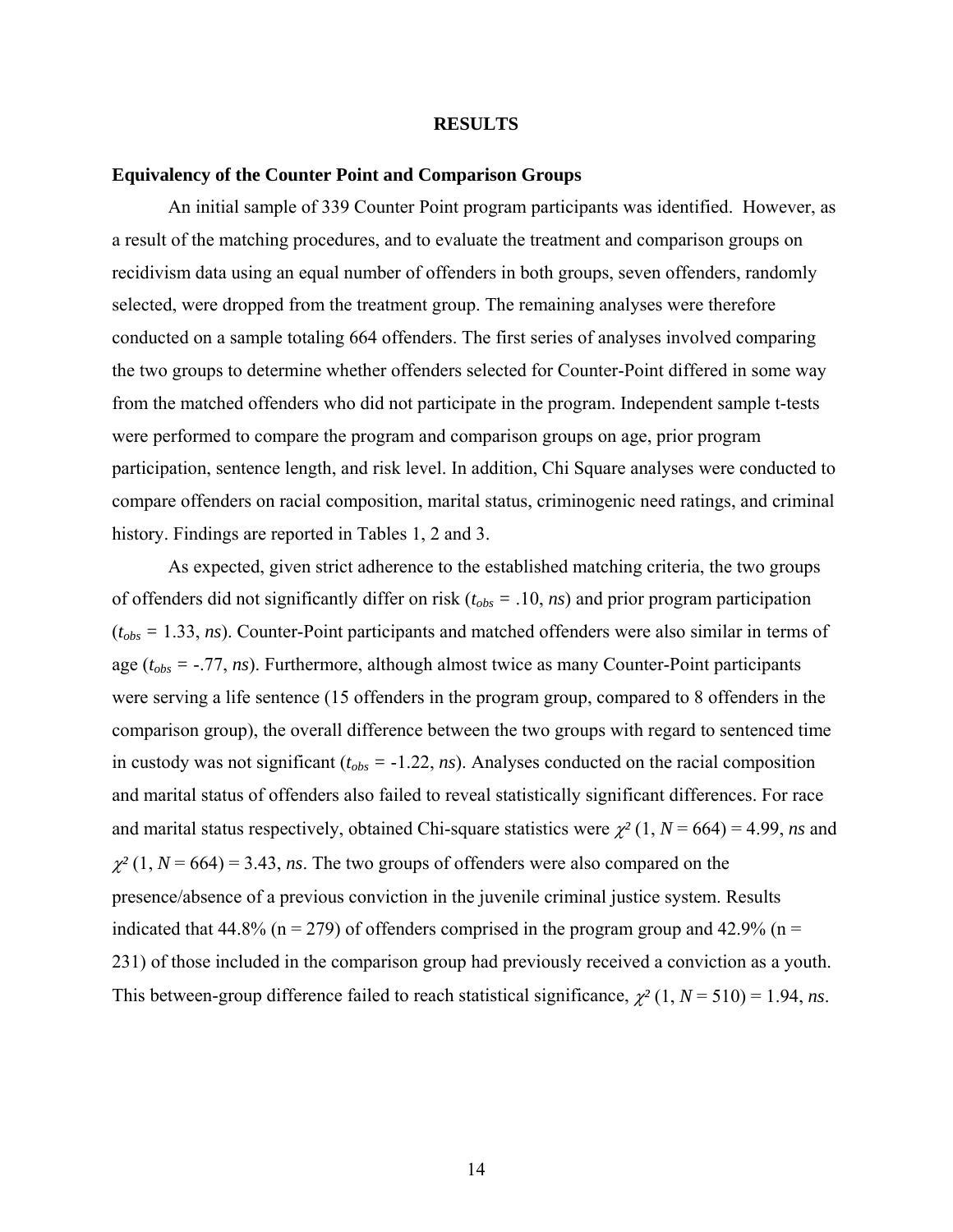### **RESULTS**

### <span id="page-20-0"></span>**Equivalency of the Counter Point and Comparison Groups**

An initial sample of 339 Counter Point program participants was identified. However, as a result of the matching procedures, and to evaluate the treatment and comparison groups on recidivism data using an equal number of offenders in both groups, seven offenders, randomly selected, were dropped from the treatment group. The remaining analyses were therefore conducted on a sample totaling 664 offenders. The first series of analyses involved comparing the two groups to determine whether offenders selected for Counter-Point differed in some way from the matched offenders who did not participate in the program. Independent sample t-tests were performed to compare the program and comparison groups on age, prior program participation, sentence length, and risk level. In addition, Chi Square analyses were conducted to compare offenders on racial composition, marital status, criminogenic need ratings, and criminal history. Findings are reported in Tables 1, 2 and 3.

As expected, given strict adherence to the established matching criteria, the two groups of offenders did not significantly differ on risk (*tobs =* .10, *ns*) and prior program participation (*tobs =* 1.33, *ns*). Counter-Point participants and matched offenders were also similar in terms of age (*tobs =* -.77, *ns*). Furthermore, although almost twice as many Counter-Point participants were serving a life sentence (15 offenders in the program group, compared to 8 offenders in the comparison group), the overall difference between the two groups with regard to sentenced time in custody was not significant  $(t_{obs} = -1.22, ns)$ . Analyses conducted on the racial composition and marital status of offenders also failed to reveal statistically significant differences. For race and marital status respectively, obtained Chi-square statistics were  $\chi^2(1, N = 664) = 4.99$ , *ns* and  $\chi^2$  (1,  $N = 664$ ) = 3.43, *ns*. The two groups of offenders were also compared on the presence/absence of a previous conviction in the juvenile criminal justice system. Results indicated that 44.8% ( $n = 279$ ) of offenders comprised in the program group and 42.9% ( $n =$ 231) of those included in the comparison group had previously received a conviction as a youth. This between-group difference failed to reach statistical significance,  $\chi^2$  (1, *N* = 510) = 1.94, *ns*.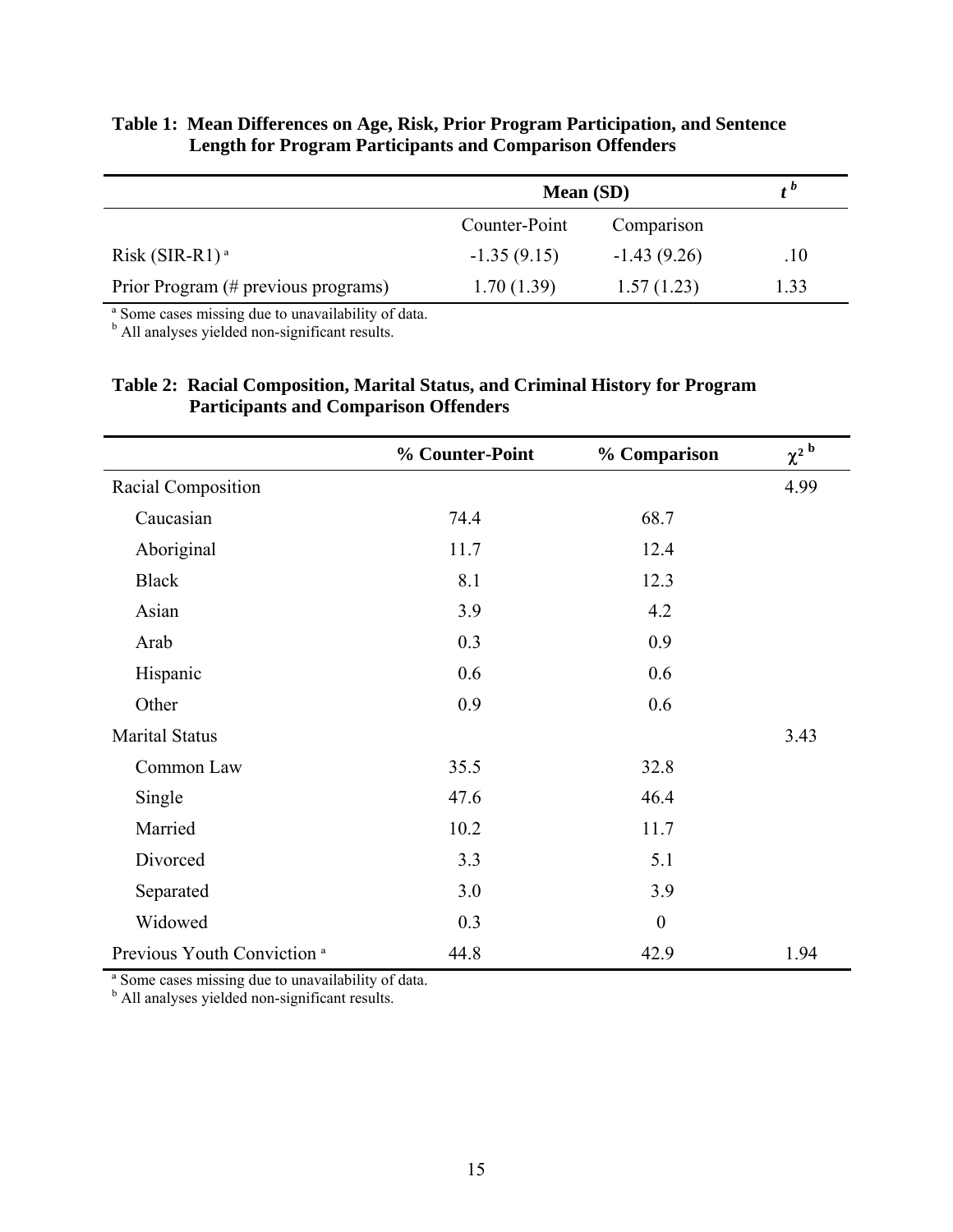# <span id="page-21-0"></span>**Table 1: Mean Differences on Age, Risk, Prior Program Participation, and Sentence Length for Program Participants and Comparison Offenders**

|                                     | <b>Mean</b> (SD) |               |      |
|-------------------------------------|------------------|---------------|------|
|                                     | Counter-Point    | Comparison    |      |
| $Risk$ (SIR-R1) <sup>a</sup>        | $-1.35(9.15)$    | $-1.43(9.26)$ | .10  |
| Prior Program (# previous programs) | 1.70(1.39)       | 1.57(1.23)    | 1.33 |

ª Some cases missing due to unavailability of data.

<sup>b</sup> All analyses yielded non-significant results.

# **Table 2: Racial Composition, Marital Status, and Criminal History for Program Participants and Comparison Offenders**

|                                        | % Counter-Point | % Comparison     | $\chi^2$ <sup>b</sup> |
|----------------------------------------|-----------------|------------------|-----------------------|
| Racial Composition                     |                 |                  | 4.99                  |
| Caucasian                              | 74.4            | 68.7             |                       |
| Aboriginal                             | 11.7            | 12.4             |                       |
| <b>Black</b>                           | 8.1             | 12.3             |                       |
| Asian                                  | 3.9             | 4.2              |                       |
| Arab                                   | 0.3             | 0.9              |                       |
| Hispanic                               | 0.6             | 0.6              |                       |
| Other                                  | 0.9             | 0.6              |                       |
| <b>Marital Status</b>                  |                 |                  | 3.43                  |
| Common Law                             | 35.5            | 32.8             |                       |
| Single                                 | 47.6            | 46.4             |                       |
| Married                                | 10.2            | 11.7             |                       |
| Divorced                               | 3.3             | 5.1              |                       |
| Separated                              | 3.0             | 3.9              |                       |
| Widowed                                | 0.3             | $\boldsymbol{0}$ |                       |
| Previous Youth Conviction <sup>a</sup> | 44.8            | 42.9             | 1.94                  |

<sup>a</sup> Some cases missing due to unavailability of data.<br><sup>b</sup> All analyses yielded non-significant results.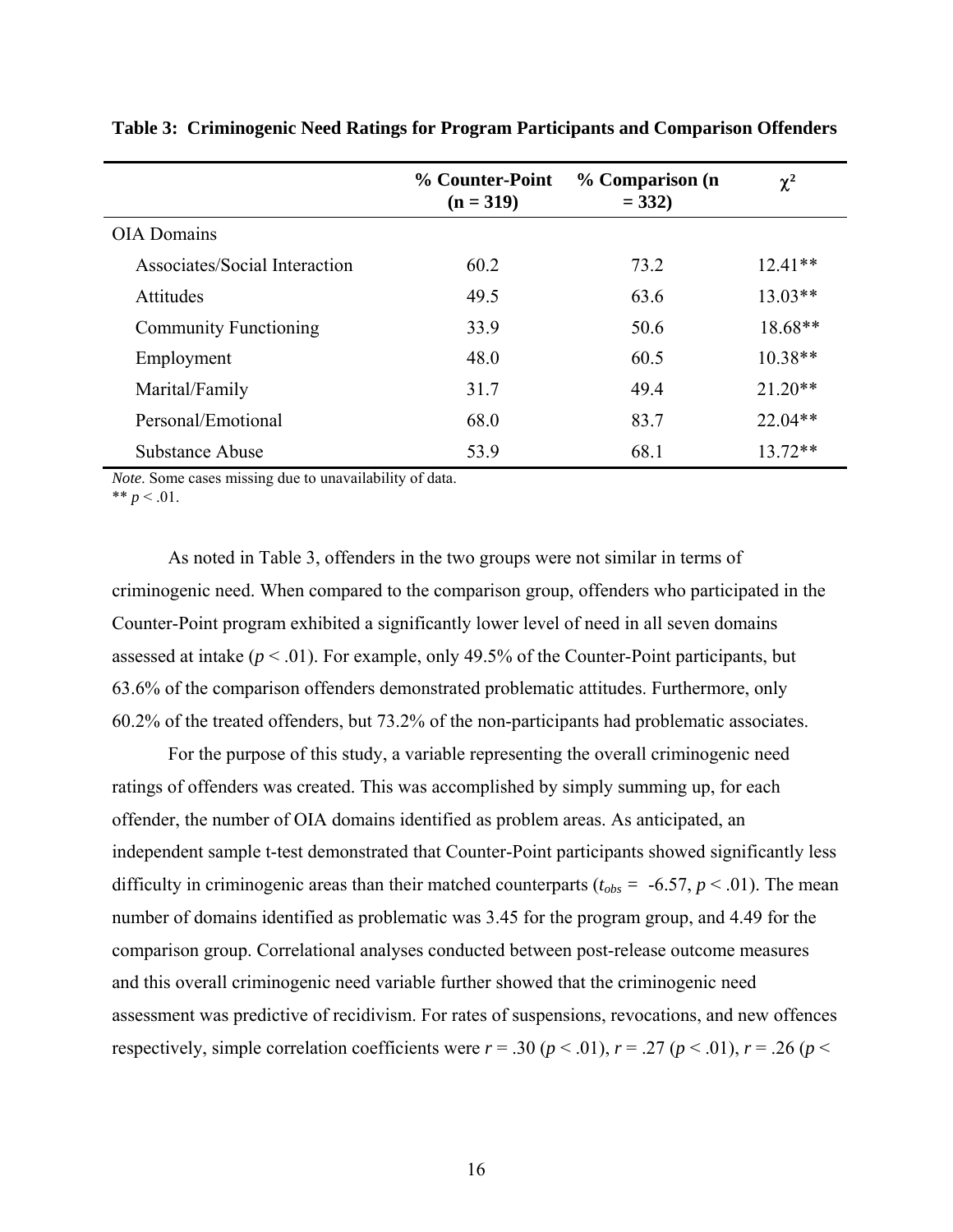|                               | % Counter-Point<br>$(n = 319)$ | % Comparison (n<br>$= 332$ | $\chi^2$  |
|-------------------------------|--------------------------------|----------------------------|-----------|
| <b>OIA</b> Domains            |                                |                            |           |
| Associates/Social Interaction | 60.2                           | 73.2                       | $12.41**$ |
| Attitudes                     | 49.5                           | 63.6                       | $13.03**$ |
| <b>Community Functioning</b>  | 33.9                           | 50.6                       | 18.68**   |
| Employment                    | 48.0                           | 60.5                       | $10.38**$ |
| Marital/Family                | 31.7                           | 49.4                       | $21.20**$ |
| Personal/Emotional            | 68.0                           | 83.7                       | $22.04**$ |
| Substance Abuse               | 53.9                           | 68.1                       | $13.72**$ |

<span id="page-22-0"></span>**Table 3: Criminogenic Need Ratings for Program Participants and Comparison Offenders** 

*Note*. Some cases missing due to unavailability of data.

\*\*  $p < .01$ .

As noted in Table 3, offenders in the two groups were not similar in terms of criminogenic need. When compared to the comparison group, offenders who participated in the Counter-Point program exhibited a significantly lower level of need in all seven domains assessed at intake  $(p < .01)$ . For example, only 49.5% of the Counter-Point participants, but 63.6% of the comparison offenders demonstrated problematic attitudes. Furthermore, only 60.2% of the treated offenders, but 73.2% of the non-participants had problematic associates.

For the purpose of this study, a variable representing the overall criminogenic need ratings of offenders was created. This was accomplished by simply summing up, for each offender, the number of OIA domains identified as problem areas. As anticipated, an independent sample t-test demonstrated that Counter-Point participants showed significantly less difficulty in criminogenic areas than their matched counterparts ( $t_{obs} = -6.57$ ,  $p < .01$ ). The mean number of domains identified as problematic was 3.45 for the program group, and 4.49 for the comparison group. Correlational analyses conducted between post-release outcome measures and this overall criminogenic need variable further showed that the criminogenic need assessment was predictive of recidivism. For rates of suspensions, revocations, and new offences respectively, simple correlation coefficients were  $r = .30$  ( $p < .01$ ),  $r = .27$  ( $p < .01$ ),  $r = .26$  ( $p <$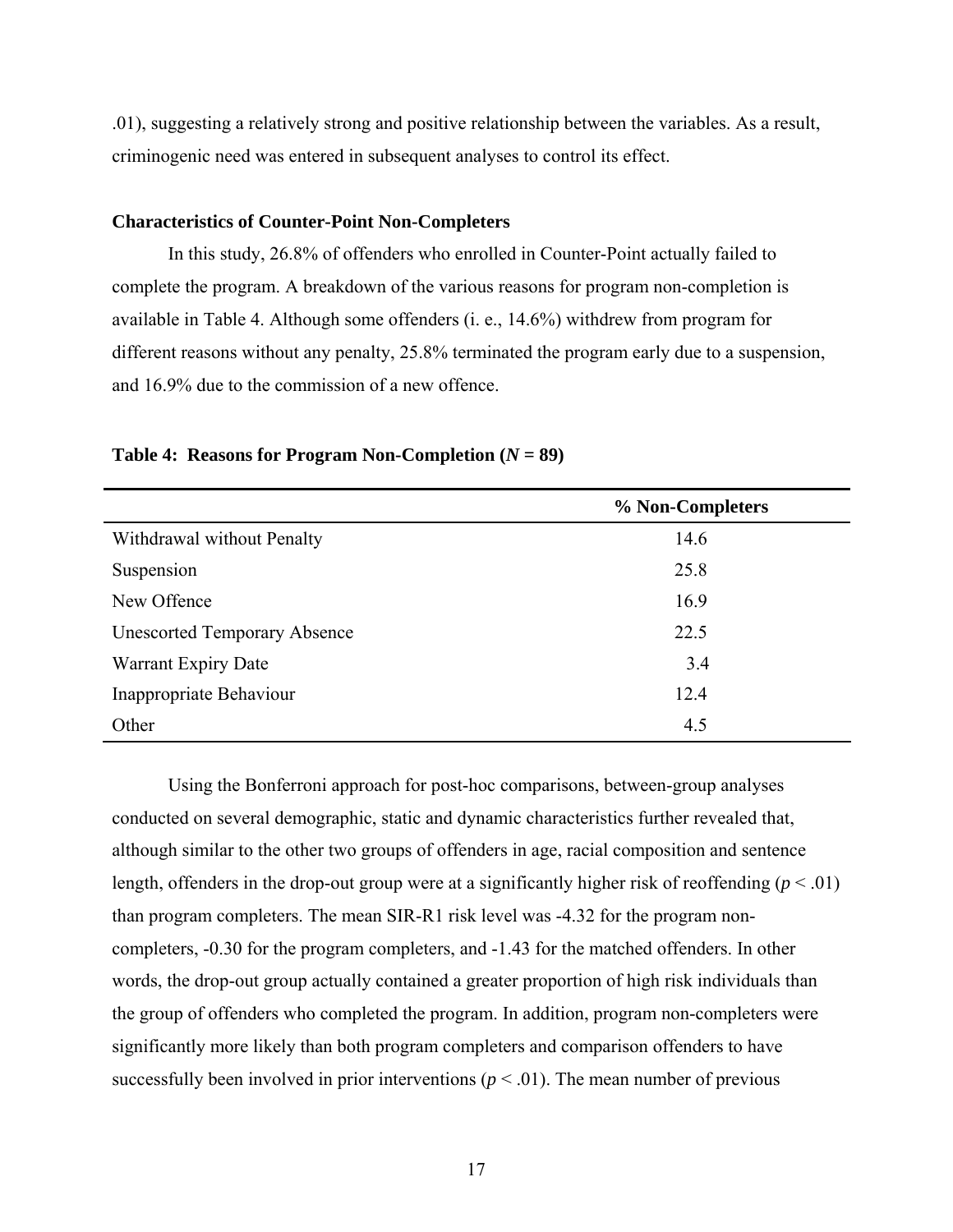<span id="page-23-0"></span>.01), suggesting a relatively strong and positive relationship between the variables. As a result, criminogenic need was entered in subsequent analyses to control its effect.

## **Characteristics of Counter-Point Non-Completers**

In this study, 26.8% of offenders who enrolled in Counter-Point actually failed to complete the program. A breakdown of the various reasons for program non-completion is available in Table 4. Although some offenders (i. e., 14.6%) withdrew from program for different reasons without any penalty, 25.8% terminated the program early due to a suspension, and 16.9% due to the commission of a new offence.

|                                     | % Non-Completers |
|-------------------------------------|------------------|
| Withdrawal without Penalty          | 14.6             |
| Suspension                          | 25.8             |
| New Offence                         | 16.9             |
| <b>Unescorted Temporary Absence</b> | 22.5             |
| Warrant Expiry Date                 | 3.4              |
| Inappropriate Behaviour             | 12.4             |
| Other                               | 4.5              |

### **Table 4: Reasons for Program Non-Completion**  $(N = 89)$

Using the Bonferroni approach for post-hoc comparisons, between-group analyses conducted on several demographic, static and dynamic characteristics further revealed that, although similar to the other two groups of offenders in age, racial composition and sentence length, offenders in the drop-out group were at a significantly higher risk of reoffending ( $p < .01$ ) than program completers. The mean SIR-R1 risk level was -4.32 for the program noncompleters, -0.30 for the program completers, and -1.43 for the matched offenders. In other words, the drop-out group actually contained a greater proportion of high risk individuals than the group of offenders who completed the program. In addition, program non-completers were significantly more likely than both program completers and comparison offenders to have successfully been involved in prior interventions ( $p < .01$ ). The mean number of previous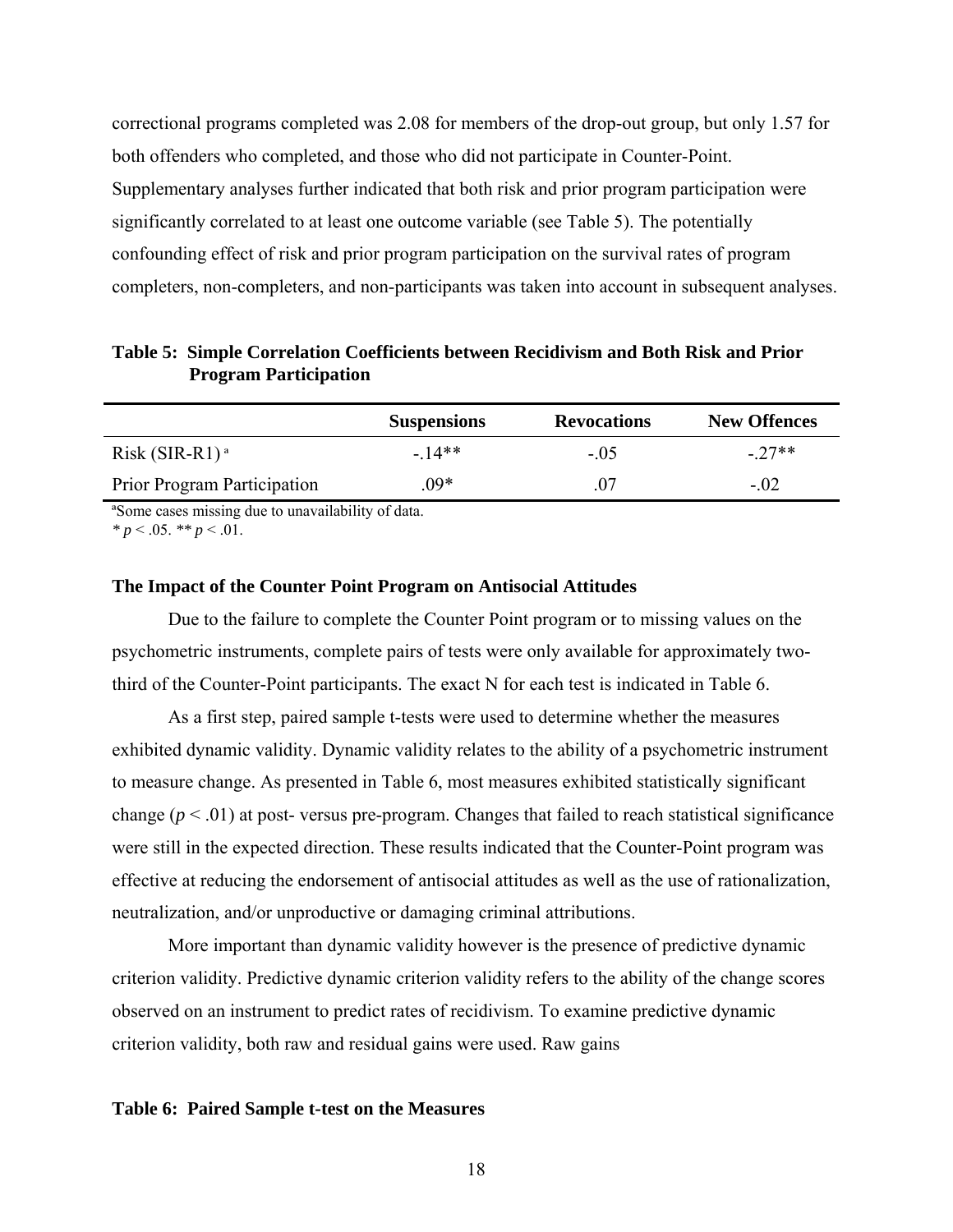<span id="page-24-0"></span>correctional programs completed was 2.08 for members of the drop-out group, but only 1.57 for both offenders who completed, and those who did not participate in Counter-Point. Supplementary analyses further indicated that both risk and prior program participation were significantly correlated to at least one outcome variable (see Table 5). The potentially confounding effect of risk and prior program participation on the survival rates of program completers, non-completers, and non-participants was taken into account in subsequent analyses.

**Table 5: Simple Correlation Coefficients between Recidivism and Both Risk and Prior Program Participation** 

|                             | <b>Suspensions</b> | <b>Revocations</b> | <b>New Offences</b> |
|-----------------------------|--------------------|--------------------|---------------------|
| $Risk(SIR-R1)^{a}$          | $-14**$            | $-0.5$             | $-27**$             |
| Prior Program Participation | $.09*$             | 07                 | $-.02$              |

ªSome cases missing due to unavailability of data.

 $p < 0.05$ .  $\sqrt[3]{p} < 0.01$ .

### **The Impact of the Counter Point Program on Antisocial Attitudes**

Due to the failure to complete the Counter Point program or to missing values on the psychometric instruments, complete pairs of tests were only available for approximately twothird of the Counter-Point participants. The exact N for each test is indicated in Table 6.

As a first step, paired sample t-tests were used to determine whether the measures exhibited dynamic validity. Dynamic validity relates to the ability of a psychometric instrument to measure change. As presented in Table 6, most measures exhibited statistically significant change  $(p < .01)$  at post-versus pre-program. Changes that failed to reach statistical significance were still in the expected direction. These results indicated that the Counter-Point program was effective at reducing the endorsement of antisocial attitudes as well as the use of rationalization, neutralization, and/or unproductive or damaging criminal attributions.

More important than dynamic validity however is the presence of predictive dynamic criterion validity. Predictive dynamic criterion validity refers to the ability of the change scores observed on an instrument to predict rates of recidivism. To examine predictive dynamic criterion validity, both raw and residual gains were used. Raw gains

### **Table 6: Paired Sample t-test on the Measures**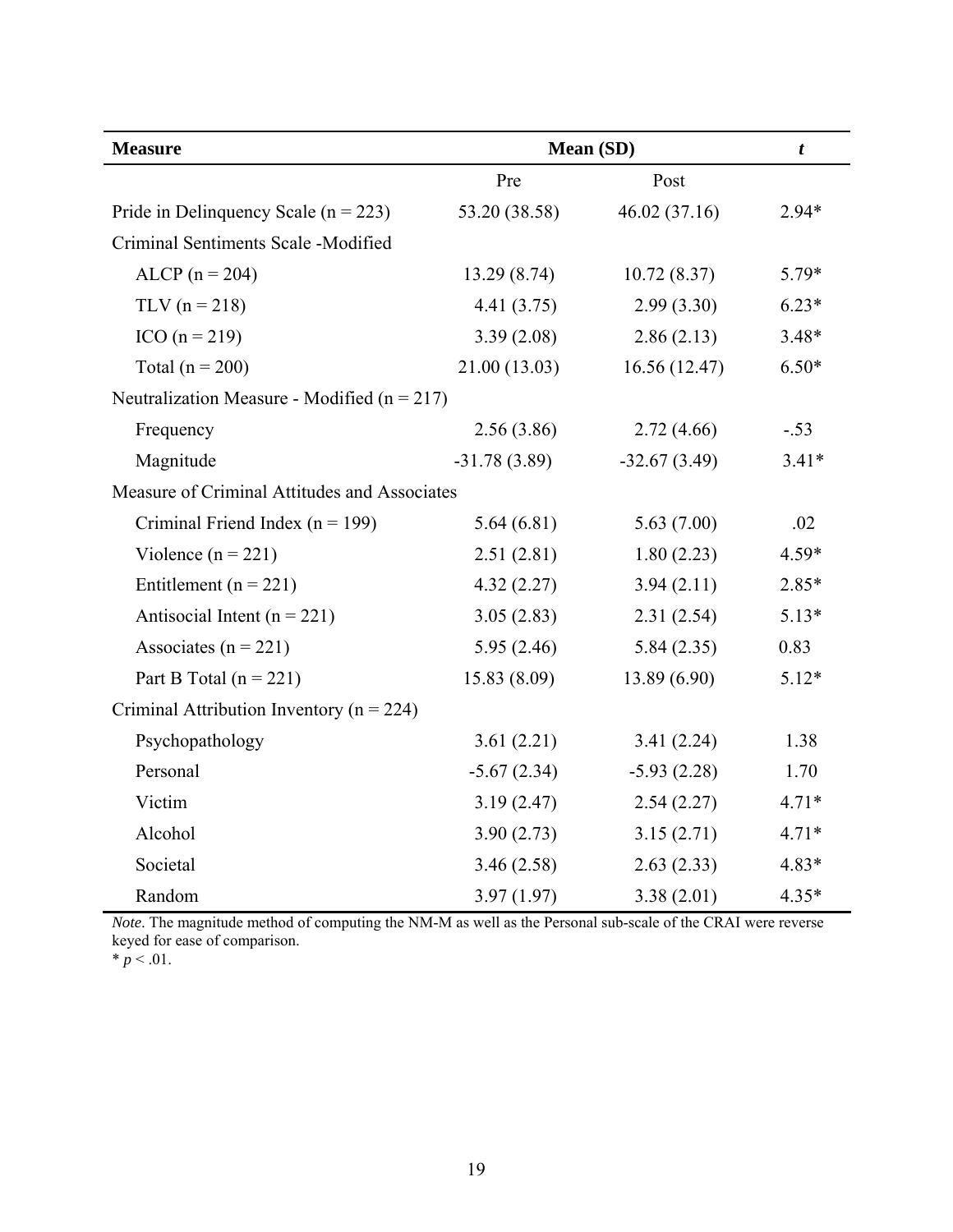| <b>Measure</b>                                  | Mean (SD)      |                | $\boldsymbol{t}$ |
|-------------------------------------------------|----------------|----------------|------------------|
|                                                 | Pre            | Post           |                  |
| Pride in Delinquency Scale ( $n = 223$ )        | 53.20 (38.58)  | 46.02 (37.16)  | $2.94*$          |
| Criminal Sentiments Scale -Modified             |                |                |                  |
| $ALCP (n = 204)$                                | 13.29(8.74)    | 10.72(8.37)    | 5.79*            |
| $TLV (n = 218)$                                 | 4.41 (3.75)    | 2.99(3.30)     | $6.23*$          |
| $ICO(n = 219)$                                  | 3.39(2.08)     | 2.86(2.13)     | $3.48*$          |
| Total ( $n = 200$ )                             | 21.00(13.03)   | 16.56(12.47)   | $6.50*$          |
| Neutralization Measure - Modified ( $n = 217$ ) |                |                |                  |
| Frequency                                       | 2.56(3.86)     | 2.72(4.66)     | $-.53$           |
| Magnitude                                       | $-31.78(3.89)$ | $-32.67(3.49)$ | $3.41*$          |
| Measure of Criminal Attitudes and Associates    |                |                |                  |
| Criminal Friend Index ( $n = 199$ )             | 5.64(6.81)     | 5.63(7.00)     | .02              |
| Violence ( $n = 221$ )                          | 2.51(2.81)     | 1.80(2.23)     | 4.59*            |
| Entitlement ( $n = 221$ )                       | 4.32(2.27)     | 3.94(2.11)     | 2.85*            |
| Antisocial Intent ( $n = 221$ )                 | 3.05(2.83)     | 2.31(2.54)     | $5.13*$          |
| Associates ( $n = 221$ )                        | 5.95(2.46)     | 5.84(2.35)     | 0.83             |
| Part B Total ( $n = 221$ )                      | 15.83(8.09)    | 13.89(6.90)    | $5.12*$          |
| Criminal Attribution Inventory ( $n = 224$ )    |                |                |                  |
| Psychopathology                                 | 3.61(2.21)     | 3.41(2.24)     | 1.38             |
| Personal                                        | $-5.67(2.34)$  | $-5.93(2.28)$  | 1.70             |
| Victim                                          | 3.19(2.47)     | 2.54(2.27)     | $4.71*$          |
| Alcohol                                         | 3.90(2.73)     | 3.15(2.71)     | $4.71*$          |
| Societal                                        | 3.46(2.58)     | 2.63(2.33)     | 4.83*            |
| Random                                          | 3.97(1.97)     | 3.38(2.01)     | $4.35*$          |

*Note*. The magnitude method of computing the NM-M as well as the Personal sub-scale of the CRAI were reverse keyed for ease of comparison.

 $* p < .01.$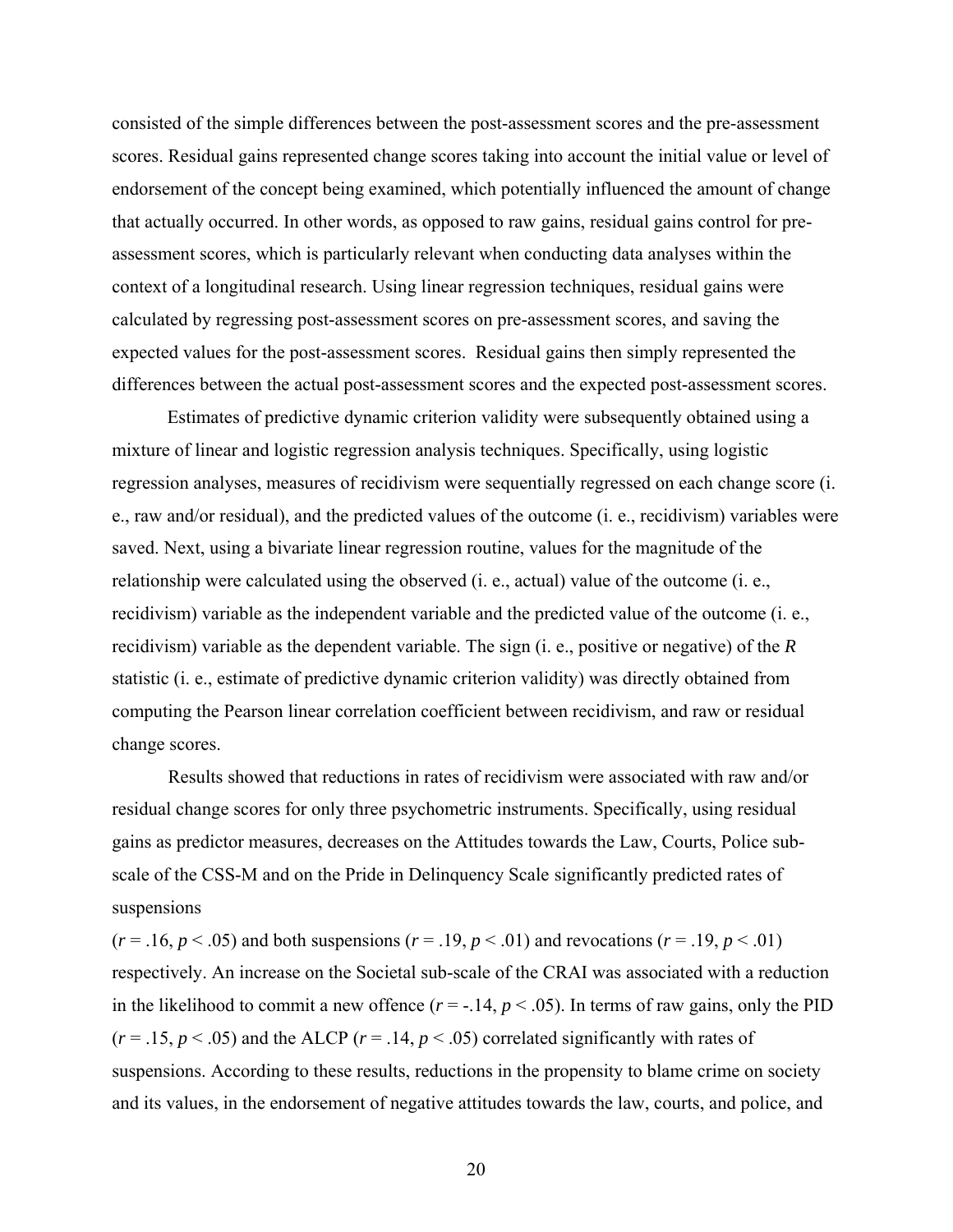consisted of the simple differences between the post-assessment scores and the pre-assessment scores. Residual gains represented change scores taking into account the initial value or level of endorsement of the concept being examined, which potentially influenced the amount of change that actually occurred. In other words, as opposed to raw gains, residual gains control for preassessment scores, which is particularly relevant when conducting data analyses within the context of a longitudinal research. Using linear regression techniques, residual gains were calculated by regressing post-assessment scores on pre-assessment scores, and saving the expected values for the post-assessment scores. Residual gains then simply represented the differences between the actual post-assessment scores and the expected post-assessment scores.

Estimates of predictive dynamic criterion validity were subsequently obtained using a mixture of linear and logistic regression analysis techniques. Specifically, using logistic regression analyses, measures of recidivism were sequentially regressed on each change score (i. e., raw and/or residual), and the predicted values of the outcome (i. e., recidivism) variables were saved. Next, using a bivariate linear regression routine, values for the magnitude of the relationship were calculated using the observed (i. e., actual) value of the outcome (i. e., recidivism) variable as the independent variable and the predicted value of the outcome (i. e., recidivism) variable as the dependent variable. The sign (i. e., positive or negative) of the *R*  statistic (i. e., estimate of predictive dynamic criterion validity) was directly obtained from computing the Pearson linear correlation coefficient between recidivism, and raw or residual change scores.

Results showed that reductions in rates of recidivism were associated with raw and/or residual change scores for only three psychometric instruments. Specifically, using residual gains as predictor measures, decreases on the Attitudes towards the Law, Courts, Police subscale of the CSS-M and on the Pride in Delinquency Scale significantly predicted rates of suspensions

 $(r = .16, p < .05)$  and both suspensions  $(r = .19, p < .01)$  and revocations  $(r = .19, p < .01)$ respectively. An increase on the Societal sub-scale of the CRAI was associated with a reduction in the likelihood to commit a new offence  $(r = -14, p < 0.05)$ . In terms of raw gains, only the PID  $(r = .15, p < .05)$  and the ALCP  $(r = .14, p < .05)$  correlated significantly with rates of suspensions. According to these results, reductions in the propensity to blame crime on society and its values, in the endorsement of negative attitudes towards the law, courts, and police, and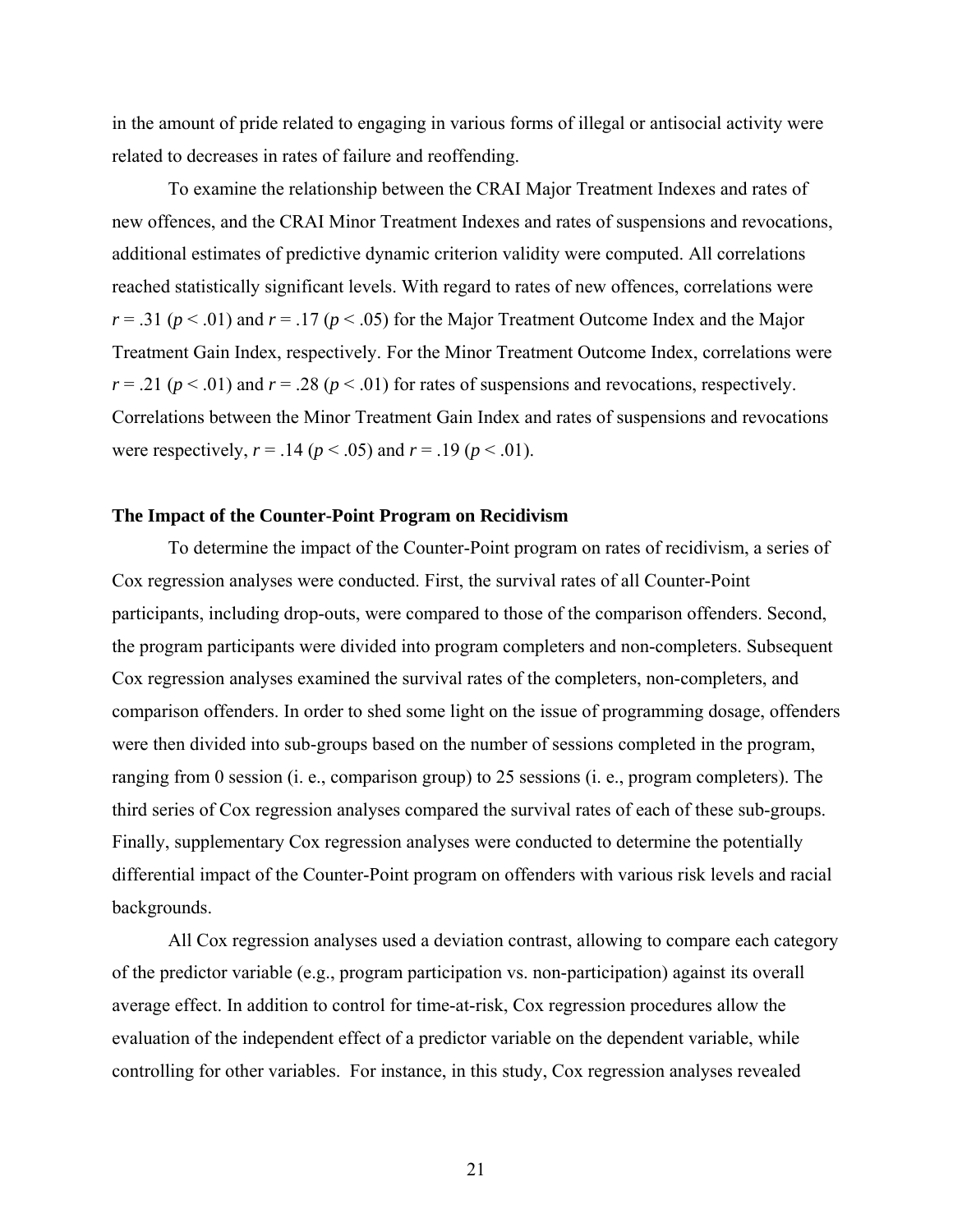<span id="page-27-0"></span>in the amount of pride related to engaging in various forms of illegal or antisocial activity were related to decreases in rates of failure and reoffending.

To examine the relationship between the CRAI Major Treatment Indexes and rates of new offences, and the CRAI Minor Treatment Indexes and rates of suspensions and revocations, additional estimates of predictive dynamic criterion validity were computed. All correlations reached statistically significant levels. With regard to rates of new offences, correlations were  $r = .31$  ( $p < .01$ ) and  $r = .17$  ( $p < .05$ ) for the Major Treatment Outcome Index and the Major Treatment Gain Index, respectively. For the Minor Treatment Outcome Index, correlations were  $r = .21$  ( $p < .01$ ) and  $r = .28$  ( $p < .01$ ) for rates of suspensions and revocations, respectively. Correlations between the Minor Treatment Gain Index and rates of suspensions and revocations were respectively,  $r = .14$  ( $p < .05$ ) and  $r = .19$  ( $p < .01$ ).

### **The Impact of the Counter-Point Program on Recidivism**

To determine the impact of the Counter-Point program on rates of recidivism, a series of Cox regression analyses were conducted. First, the survival rates of all Counter-Point participants, including drop-outs, were compared to those of the comparison offenders. Second, the program participants were divided into program completers and non-completers. Subsequent Cox regression analyses examined the survival rates of the completers, non-completers, and comparison offenders. In order to shed some light on the issue of programming dosage, offenders were then divided into sub-groups based on the number of sessions completed in the program, ranging from 0 session (i. e., comparison group) to 25 sessions (i. e., program completers). The third series of Cox regression analyses compared the survival rates of each of these sub-groups. Finally, supplementary Cox regression analyses were conducted to determine the potentially differential impact of the Counter-Point program on offenders with various risk levels and racial backgrounds.

All Cox regression analyses used a deviation contrast, allowing to compare each category of the predictor variable (e.g., program participation vs. non-participation) against its overall average effect. In addition to control for time-at-risk, Cox regression procedures allow the evaluation of the independent effect of a predictor variable on the dependent variable, while controlling for other variables. For instance, in this study, Cox regression analyses revealed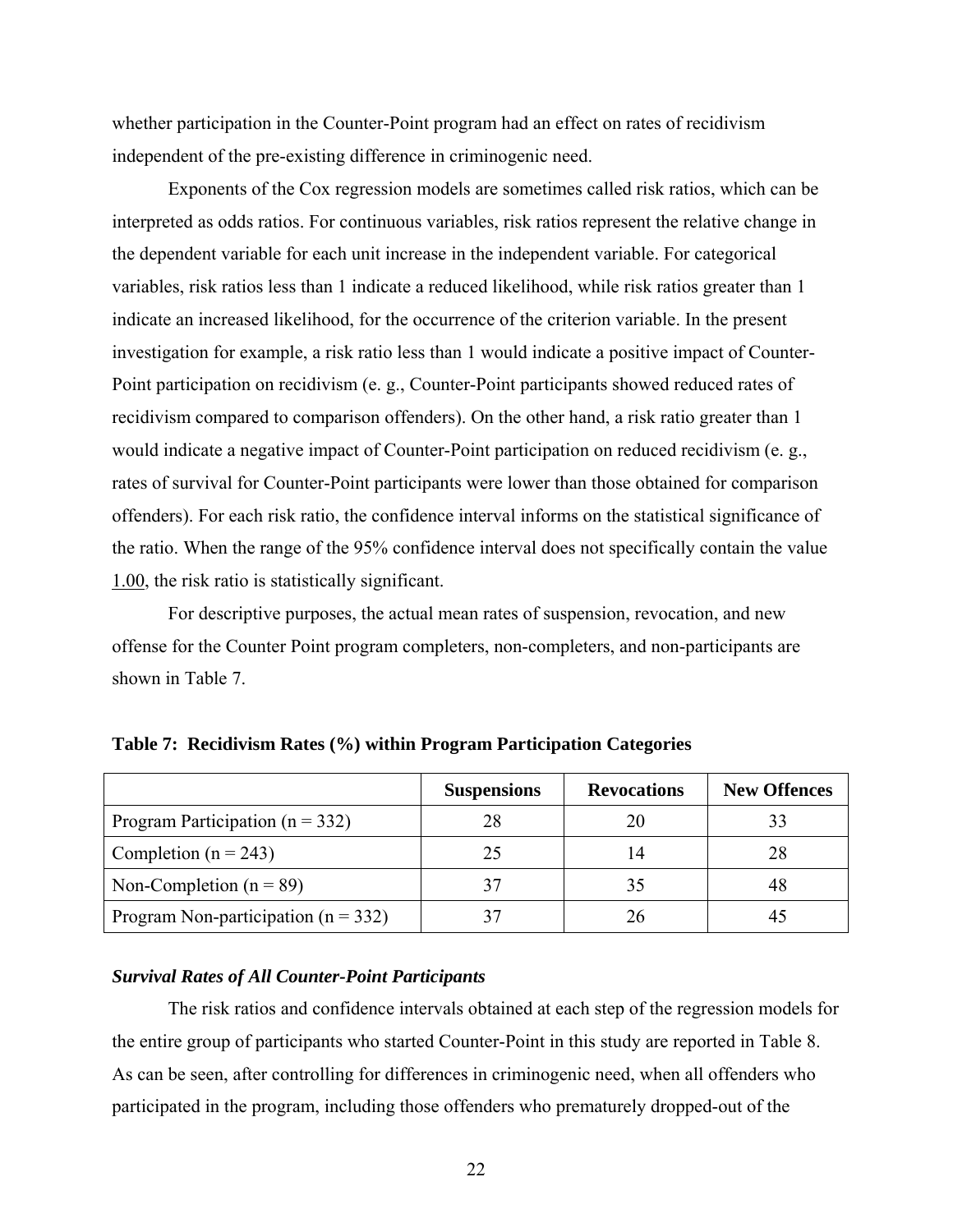<span id="page-28-0"></span>whether participation in the Counter-Point program had an effect on rates of recidivism independent of the pre-existing difference in criminogenic need.

Exponents of the Cox regression models are sometimes called risk ratios, which can be interpreted as odds ratios. For continuous variables, risk ratios represent the relative change in the dependent variable for each unit increase in the independent variable. For categorical variables, risk ratios less than 1 indicate a reduced likelihood, while risk ratios greater than 1 indicate an increased likelihood, for the occurrence of the criterion variable. In the present investigation for example, a risk ratio less than 1 would indicate a positive impact of Counter-Point participation on recidivism (e. g., Counter-Point participants showed reduced rates of recidivism compared to comparison offenders). On the other hand, a risk ratio greater than 1 would indicate a negative impact of Counter-Point participation on reduced recidivism (e. g., rates of survival for Counter-Point participants were lower than those obtained for comparison offenders). For each risk ratio, the confidence interval informs on the statistical significance of the ratio. When the range of the 95% confidence interval does not specifically contain the value 1.00, the risk ratio is statistically significant.

For descriptive purposes, the actual mean rates of suspension, revocation, and new offense for the Counter Point program completers, non-completers, and non-participants are shown in Table 7.

|                                         | <b>Suspensions</b> | <b>Revocations</b> | <b>New Offences</b> |
|-----------------------------------------|--------------------|--------------------|---------------------|
| Program Participation ( $n = 332$ )     | 28                 |                    |                     |
| Completion ( $n = 243$ )                | 25                 | 14                 | 28                  |
| Non-Completion ( $n = 89$ )             |                    |                    | 48                  |
| Program Non-participation ( $n = 332$ ) |                    |                    |                     |

**Table 7: Recidivism Rates (%) within Program Participation Categories** 

## *Survival Rates of All Counter-Point Participants*

The risk ratios and confidence intervals obtained at each step of the regression models for the entire group of participants who started Counter-Point in this study are reported in Table 8. As can be seen, after controlling for differences in criminogenic need, when all offenders who participated in the program, including those offenders who prematurely dropped-out of the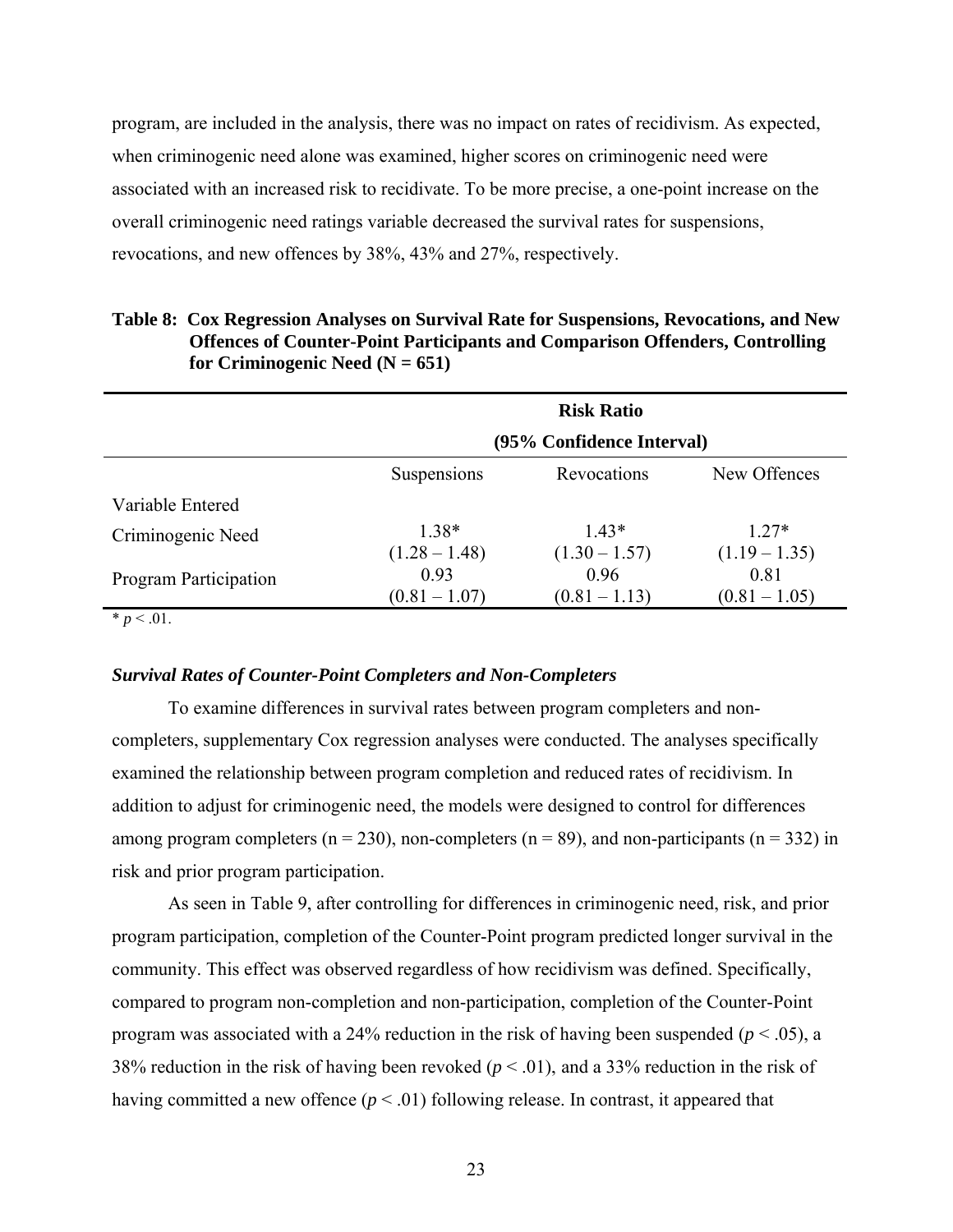<span id="page-29-0"></span>program, are included in the analysis, there was no impact on rates of recidivism. As expected, when criminogenic need alone was examined, higher scores on criminogenic need were associated with an increased risk to recidivate. To be more precise, a one-point increase on the overall criminogenic need ratings variable decreased the survival rates for suspensions, revocations, and new offences by 38%, 43% and 27%, respectively.

|                              |                 | <b>Risk Ratio</b>         |                 |
|------------------------------|-----------------|---------------------------|-----------------|
|                              |                 | (95% Confidence Interval) |                 |
|                              | Suspensions     | Revocations               | New Offences    |
| Variable Entered             |                 |                           |                 |
| Criminogenic Need            | $1.38*$         | $1.43*$                   | $1.27*$         |
|                              | $(1.28 - 1.48)$ | $(1.30 - 1.57)$           | $(1.19 - 1.35)$ |
| <b>Program Participation</b> | 0.93            | 0.96                      | 0.81            |
|                              | $(0.81 - 1.07)$ | $(0.81 - 1.13)$           | $(0.81 - 1.05)$ |

| Table 8: Cox Regression Analyses on Survival Rate for Suspensions, Revocations, and New |
|-----------------------------------------------------------------------------------------|
| <b>Offences of Counter-Point Participants and Comparison Offenders, Controlling</b>     |
| for Criminogenic Need $(N = 651)$                                                       |

\*  $p < .01$ .

### *Survival Rates of Counter-Point Completers and Non-Completers*

To examine differences in survival rates between program completers and noncompleters, supplementary Cox regression analyses were conducted. The analyses specifically examined the relationship between program completion and reduced rates of recidivism. In addition to adjust for criminogenic need, the models were designed to control for differences among program completers ( $n = 230$ ), non-completers ( $n = 89$ ), and non-participants ( $n = 332$ ) in risk and prior program participation.

As seen in Table 9, after controlling for differences in criminogenic need, risk, and prior program participation, completion of the Counter-Point program predicted longer survival in the community. This effect was observed regardless of how recidivism was defined. Specifically, compared to program non-completion and non-participation, completion of the Counter-Point program was associated with a 24% reduction in the risk of having been suspended ( $p < .05$ ), a 38% reduction in the risk of having been revoked ( $p < .01$ ), and a 33% reduction in the risk of having committed a new offence ( $p < .01$ ) following release. In contrast, it appeared that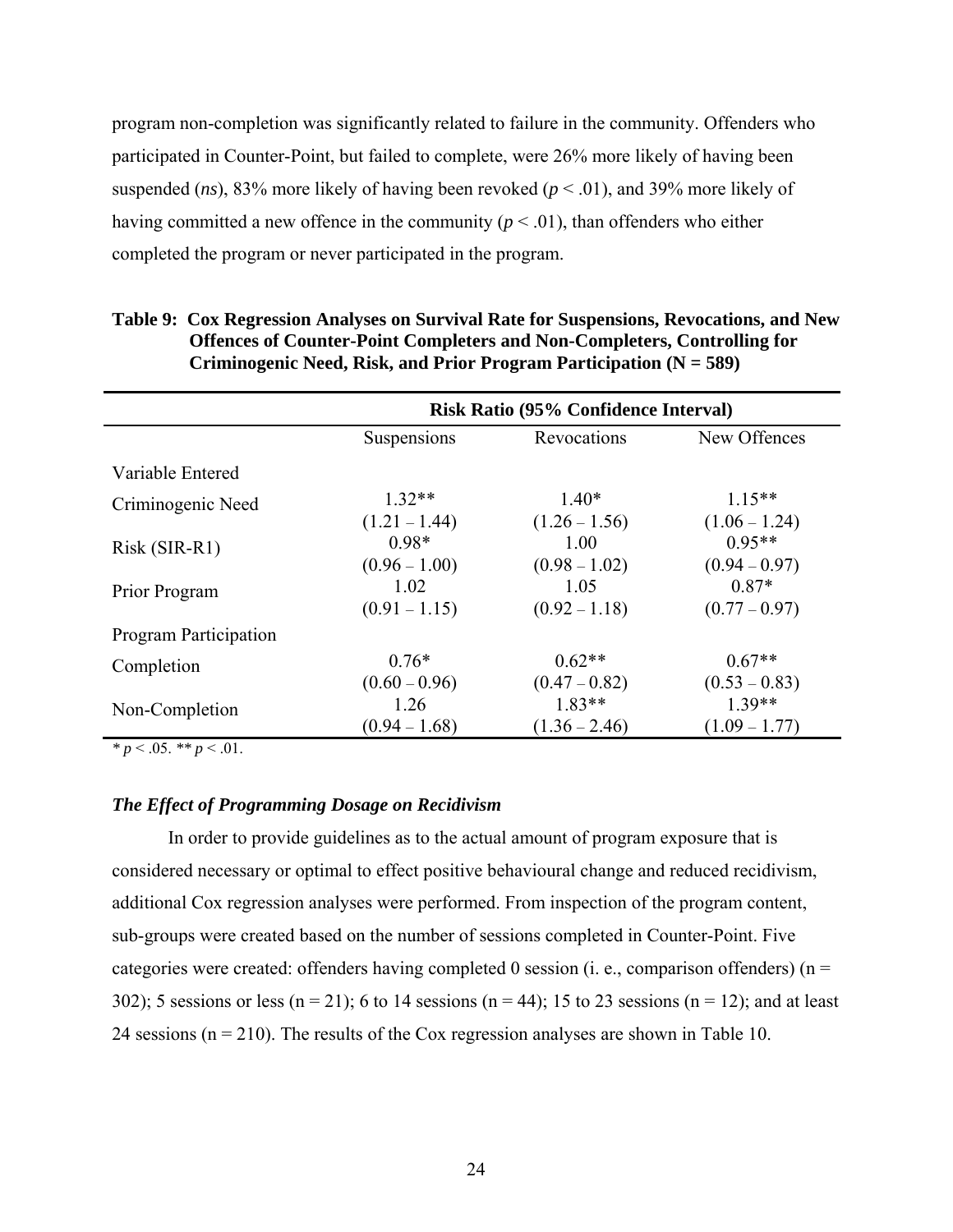<span id="page-30-0"></span>program non-completion was significantly related to failure in the community. Offenders who participated in Counter-Point, but failed to complete, were 26% more likely of having been suspended (*ns*), 83% more likely of having been revoked ( $p < .01$ ), and 39% more likely of having committed a new offence in the community ( $p < .01$ ), than offenders who either completed the program or never participated in the program.

|                              | Risk Ratio (95% Confidence Interval) |                 |                 |
|------------------------------|--------------------------------------|-----------------|-----------------|
|                              | Suspensions                          | Revocations     | New Offences    |
| Variable Entered             |                                      |                 |                 |
| Criminogenic Need            | $1.32**$                             | $1.40*$         | $1.15**$        |
|                              | $(1.21 - 1.44)$                      | $(1.26 - 1.56)$ | $(1.06 - 1.24)$ |
| Risk (SIR-R1)                | $0.98*$                              | 1.00            | $0.95**$        |
|                              | $(0.96 - 1.00)$                      | $(0.98 - 1.02)$ | $(0.94 - 0.97)$ |
| Prior Program                | 1.02                                 | 1.05            | $0.87*$         |
|                              | $(0.91 - 1.15)$                      | $(0.92 - 1.18)$ | $(0.77 - 0.97)$ |
| <b>Program Participation</b> |                                      |                 |                 |
| Completion                   | $0.76*$                              | $0.62**$        | $0.67**$        |
|                              | $(0.60 - 0.96)$                      | $(0.47 - 0.82)$ | $(0.53 - 0.83)$ |
| Non-Completion               | 1.26                                 | $1.83**$        | $1.39**$        |
|                              | $(0.94 - 1.68)$                      | $(1.36 - 2.46)$ | $(1.09 - 1.77)$ |

## **Table 9: Cox Regression Analyses on Survival Rate for Suspensions, Revocations, and New Offences of Counter-Point Completers and Non-Completers, Controlling for Criminogenic Need, Risk, and Prior Program Participation (N = 589)**

 $\frac{*}{p} < 0.05$ .  $\frac{*}{p} < 0.01$ .

## *The Effect of Programming Dosage on Recidivism*

In order to provide guidelines as to the actual amount of program exposure that is considered necessary or optimal to effect positive behavioural change and reduced recidivism, additional Cox regression analyses were performed. From inspection of the program content, sub-groups were created based on the number of sessions completed in Counter-Point. Five categories were created: offenders having completed 0 session (i. e., comparison offenders) ( $n =$ 302); 5 sessions or less (n = 21); 6 to 14 sessions (n = 44); 15 to 23 sessions (n = 12); and at least 24 sessions ( $n = 210$ ). The results of the Cox regression analyses are shown in Table 10.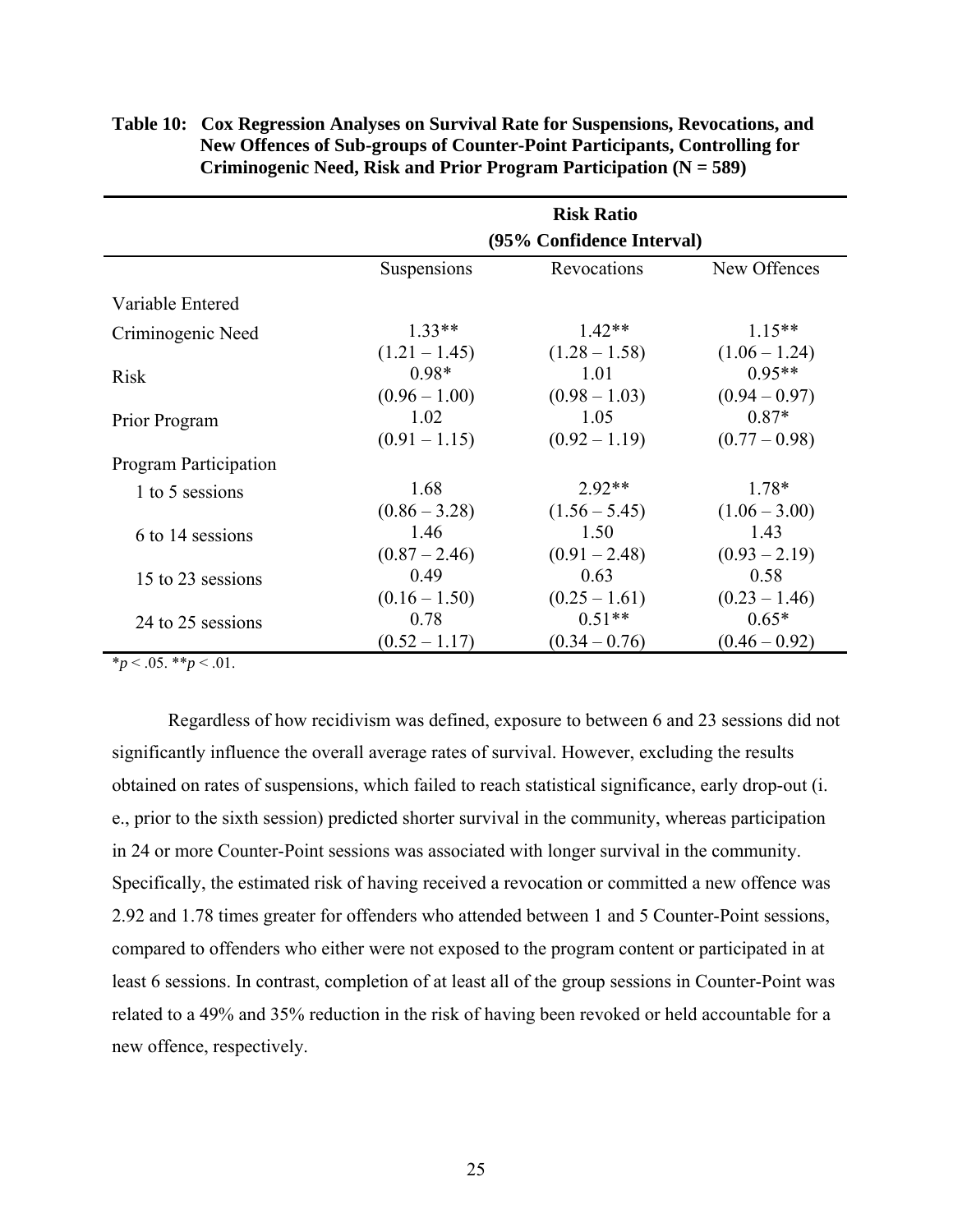|                       |                           | <b>Risk Ratio</b> |                 |
|-----------------------|---------------------------|-------------------|-----------------|
|                       | (95% Confidence Interval) |                   |                 |
|                       | Suspensions               | Revocations       | New Offences    |
| Variable Entered      |                           |                   |                 |
| Criminogenic Need     | $1.33**$                  | $1.42**$          | $1.15***$       |
|                       | $(1.21 - 1.45)$           | $(1.28 - 1.58)$   | $(1.06 - 1.24)$ |
| <b>Risk</b>           | $0.98*$                   | 1.01              | $0.95**$        |
|                       | $(0.96 - 1.00)$           | $(0.98 - 1.03)$   | $(0.94 - 0.97)$ |
| Prior Program         | 1.02                      | 1.05              | $0.87*$         |
|                       | $(0.91 - 1.15)$           | $(0.92 - 1.19)$   | $(0.77-0.98)$   |
| Program Participation |                           |                   |                 |
| 1 to 5 sessions       | 1.68                      | $2.92**$          | $1.78*$         |
|                       | $(0.86 - 3.28)$           | $(1.56 - 5.45)$   | $(1.06 - 3.00)$ |
| 6 to 14 sessions      | 1.46                      | 1.50              | 1.43            |
|                       | $(0.87 - 2.46)$           | $(0.91 - 2.48)$   | $(0.93 - 2.19)$ |
| 15 to 23 sessions     | 0.49                      | 0.63              | 0.58            |
|                       | $(0.16 - 1.50)$           | $(0.25 - 1.61)$   | $(0.23 - 1.46)$ |
| 24 to 25 sessions     | 0.78                      | $0.51**$          | $0.65*$         |
|                       | $(0.52 - 1.17)$           | $(0.34 - 0.76)$   | $(0.46 - 0.92)$ |

# <span id="page-31-0"></span>**Table 10: Cox Regression Analyses on Survival Rate for Suspensions, Revocations, and New Offences of Sub-groups of Counter-Point Participants, Controlling for Criminogenic Need, Risk and Prior Program Participation (N = 589)**

 $*_{p}$  < .05.  $*_{p}$  < .01.

Regardless of how recidivism was defined, exposure to between 6 and 23 sessions did not significantly influence the overall average rates of survival. However, excluding the results obtained on rates of suspensions, which failed to reach statistical significance, early drop-out (i. e., prior to the sixth session) predicted shorter survival in the community, whereas participation in 24 or more Counter-Point sessions was associated with longer survival in the community. Specifically, the estimated risk of having received a revocation or committed a new offence was 2.92 and 1.78 times greater for offenders who attended between 1 and 5 Counter-Point sessions, compared to offenders who either were not exposed to the program content or participated in at least 6 sessions. In contrast, completion of at least all of the group sessions in Counter-Point was related to a 49% and 35% reduction in the risk of having been revoked or held accountable for a new offence, respectively.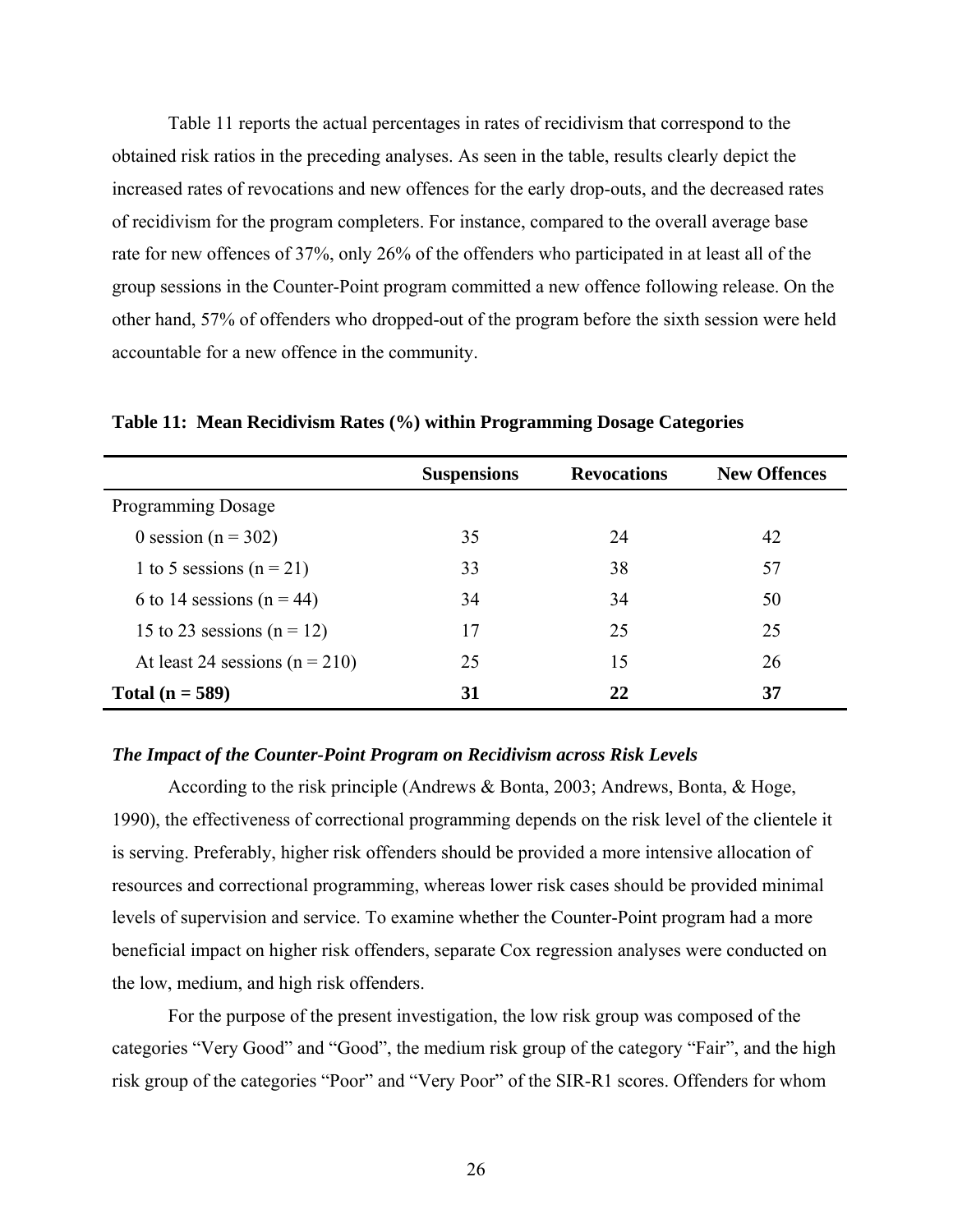<span id="page-32-0"></span>Table 11 reports the actual percentages in rates of recidivism that correspond to the obtained risk ratios in the preceding analyses. As seen in the table, results clearly depict the increased rates of revocations and new offences for the early drop-outs, and the decreased rates of recidivism for the program completers. For instance, compared to the overall average base rate for new offences of 37%, only 26% of the offenders who participated in at least all of the group sessions in the Counter-Point program committed a new offence following release. On the other hand, 57% of offenders who dropped-out of the program before the sixth session were held accountable for a new offence in the community.

|                                    | <b>Suspensions</b> | <b>Revocations</b> | <b>New Offences</b> |
|------------------------------------|--------------------|--------------------|---------------------|
| <b>Programming Dosage</b>          |                    |                    |                     |
| 0 session ( $n = 302$ )            | 35                 | 24                 | 42                  |
| 1 to 5 sessions ( $n = 21$ )       | 33                 | 38                 | 57                  |
| 6 to 14 sessions ( $n = 44$ )      | 34                 | 34                 | 50                  |
| 15 to 23 sessions ( $n = 12$ )     | 17                 | 25                 | 25                  |
| At least 24 sessions ( $n = 210$ ) | 25                 | 15                 | 26                  |
| Total $(n = 589)$                  | 31                 | 22                 | 37                  |

**Table 11: Mean Recidivism Rates (%) within Programming Dosage Categories** 

### *The Impact of the Counter-Point Program on Recidivism across Risk Levels*

According to the risk principle (Andrews & Bonta, 2003; Andrews, Bonta, & Hoge, 1990), the effectiveness of correctional programming depends on the risk level of the clientele it is serving. Preferably, higher risk offenders should be provided a more intensive allocation of resources and correctional programming, whereas lower risk cases should be provided minimal levels of supervision and service. To examine whether the Counter-Point program had a more beneficial impact on higher risk offenders, separate Cox regression analyses were conducted on the low, medium, and high risk offenders.

For the purpose of the present investigation, the low risk group was composed of the categories "Very Good" and "Good", the medium risk group of the category "Fair", and the high risk group of the categories "Poor" and "Very Poor" of the SIR-R1 scores. Offenders for whom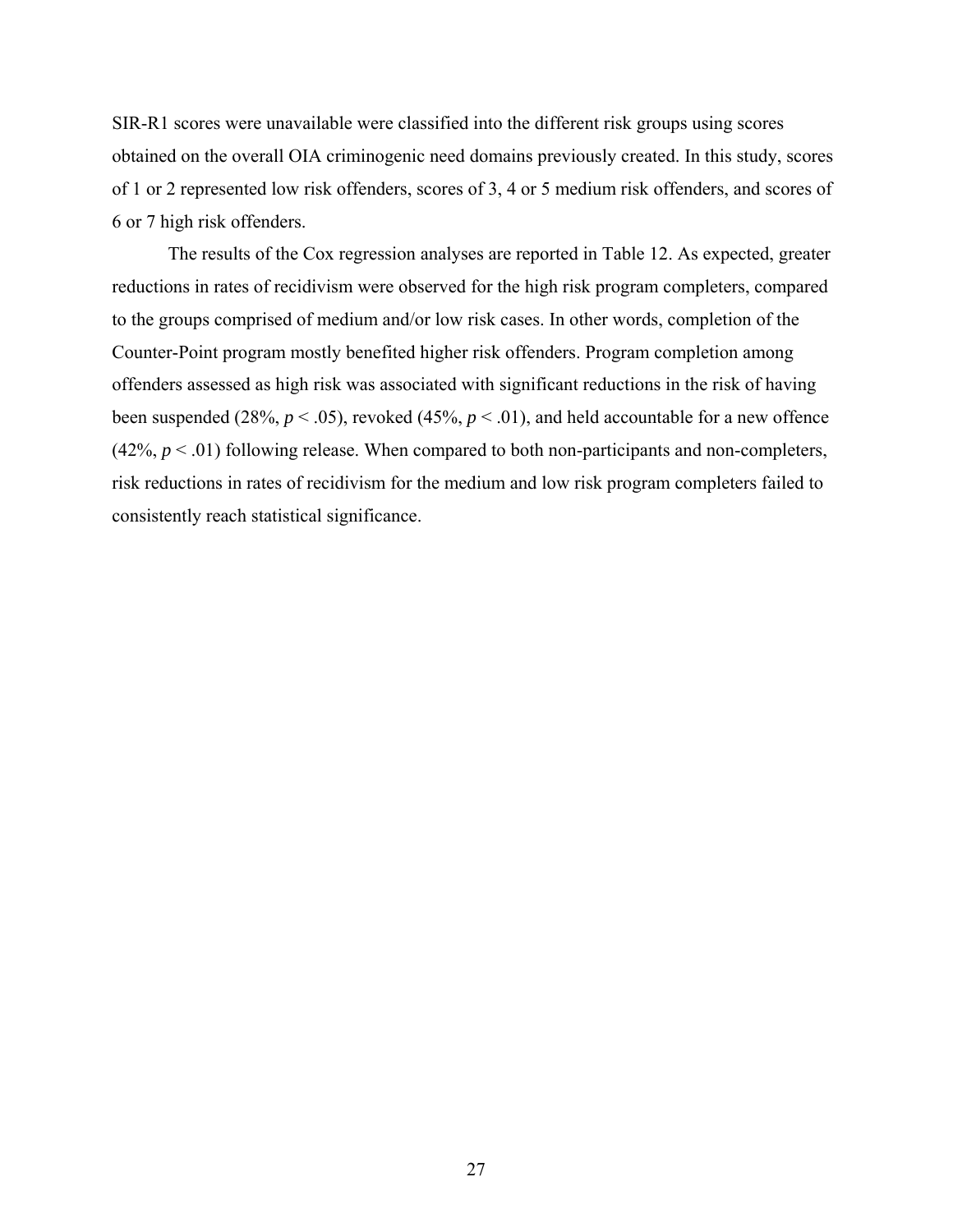SIR-R1 scores were unavailable were classified into the different risk groups using scores obtained on the overall OIA criminogenic need domains previously created. In this study, scores of 1 or 2 represented low risk offenders, scores of 3, 4 or 5 medium risk offenders, and scores of 6 or 7 high risk offenders.

The results of the Cox regression analyses are reported in Table 12. As expected, greater reductions in rates of recidivism were observed for the high risk program completers, compared to the groups comprised of medium and/or low risk cases. In other words, completion of the Counter-Point program mostly benefited higher risk offenders. Program completion among offenders assessed as high risk was associated with significant reductions in the risk of having been suspended (28%,  $p < .05$ ), revoked (45%,  $p < .01$ ), and held accountable for a new offence  $(42\%, p < .01)$  following release. When compared to both non-participants and non-completers, risk reductions in rates of recidivism for the medium and low risk program completers failed to consistently reach statistical significance.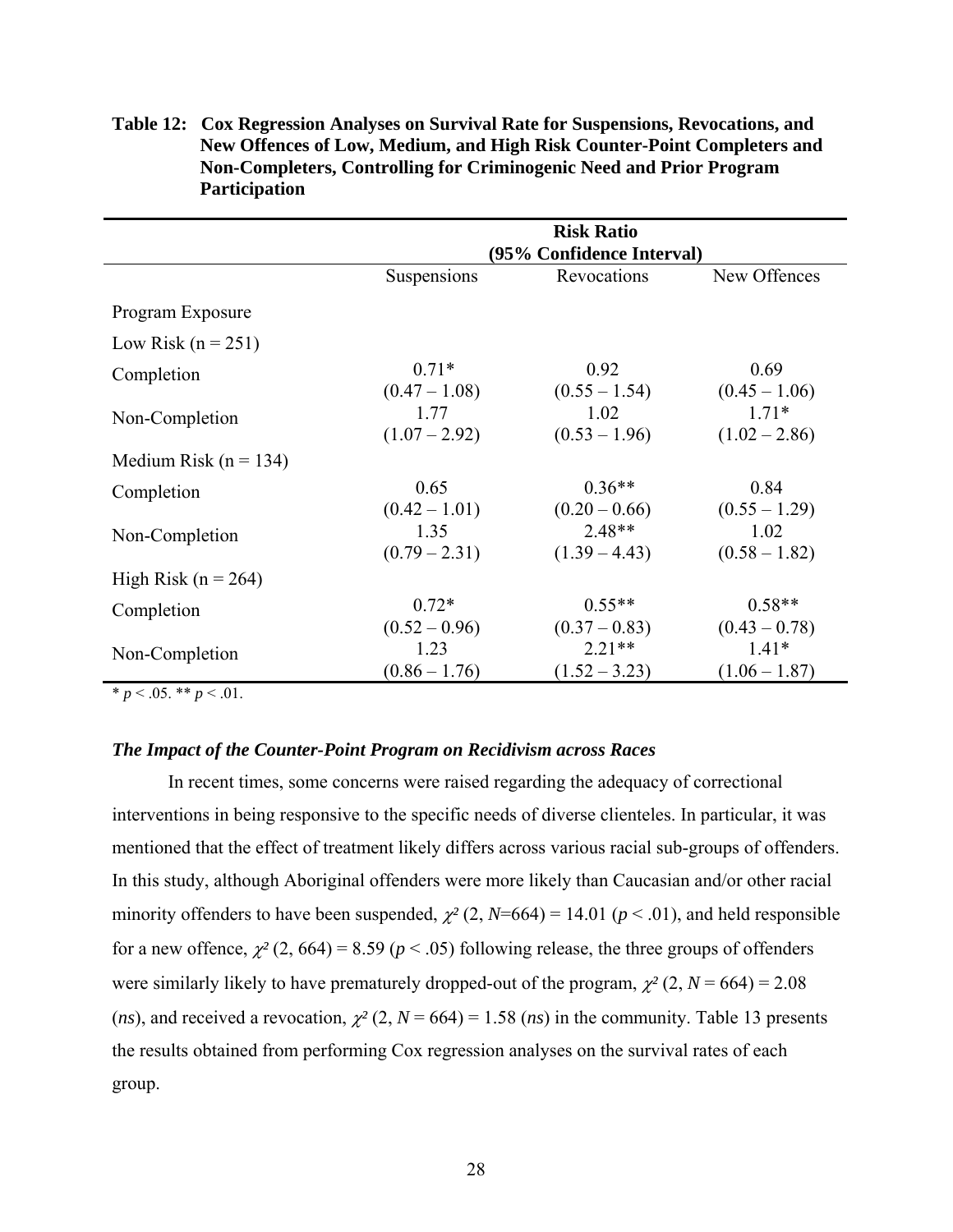|                           | <b>Risk Ratio</b><br>(95% Confidence Interval) |                 |                 |
|---------------------------|------------------------------------------------|-----------------|-----------------|
|                           |                                                |                 |                 |
|                           | Suspensions                                    | Revocations     | New Offences    |
| Program Exposure          |                                                |                 |                 |
| Low Risk $(n = 251)$      |                                                |                 |                 |
| Completion                | $0.71*$                                        | 0.92            | 0.69            |
|                           | $(0.47 - 1.08)$                                | $(0.55 - 1.54)$ | $(0.45 - 1.06)$ |
| Non-Completion            | 1.77                                           | 1.02            | $1.71*$         |
|                           | $(1.07 - 2.92)$                                | $(0.53 - 1.96)$ | $(1.02 - 2.86)$ |
| Medium Risk ( $n = 134$ ) |                                                |                 |                 |
| Completion                | 0.65                                           | $0.36**$        | 0.84            |
|                           | $(0.42 - 1.01)$                                | $(0.20 - 0.66)$ | $(0.55 - 1.29)$ |
| Non-Completion            | 1.35                                           | $2.48**$        | 1.02            |
|                           | $(0.79 - 2.31)$                                | $(1.39 - 4.43)$ | $(0.58 - 1.82)$ |
| High Risk ( $n = 264$ )   |                                                |                 |                 |
| Completion                | $0.72*$                                        | $0.55**$        | $0.58**$        |
|                           | $(0.52 - 0.96)$                                | $(0.37 - 0.83)$ | $(0.43 - 0.78)$ |
| Non-Completion            | 1.23                                           | $2.21**$        | $1.41*$         |
|                           | $(0.86 - 1.76)$                                | $(1.52 - 3.23)$ | $(1.06 - 1.87)$ |

<span id="page-34-0"></span>**Table 12: Cox Regression Analyses on Survival Rate for Suspensions, Revocations, and New Offences of Low, Medium, and High Risk Counter-Point Completers and Non-Completers, Controlling for Criminogenic Need and Prior Program Participation** 

\*  $p < .05$ . \*\*  $p < .01$ .

## *The Impact of the Counter-Point Program on Recidivism across Races*

In recent times, some concerns were raised regarding the adequacy of correctional interventions in being responsive to the specific needs of diverse clienteles. In particular, it was mentioned that the effect of treatment likely differs across various racial sub-groups of offenders. In this study, although Aboriginal offenders were more likely than Caucasian and/or other racial minority offenders to have been suspended,  $\chi^2$  (2, *N*=664) = 14.01 ( $p$  < .01), and held responsible for a new offence,  $\chi^2$  (2, 664) = 8.59 ( $p < .05$ ) following release, the three groups of offenders were similarly likely to have prematurely dropped-out of the program,  $\chi^2$  (2, *N* = 664) = 2.08 (*ns*), and received a revocation,  $\chi^2$  (2, *N* = 664) = 1.58 (*ns*) in the community. Table 13 presents the results obtained from performing Cox regression analyses on the survival rates of each group.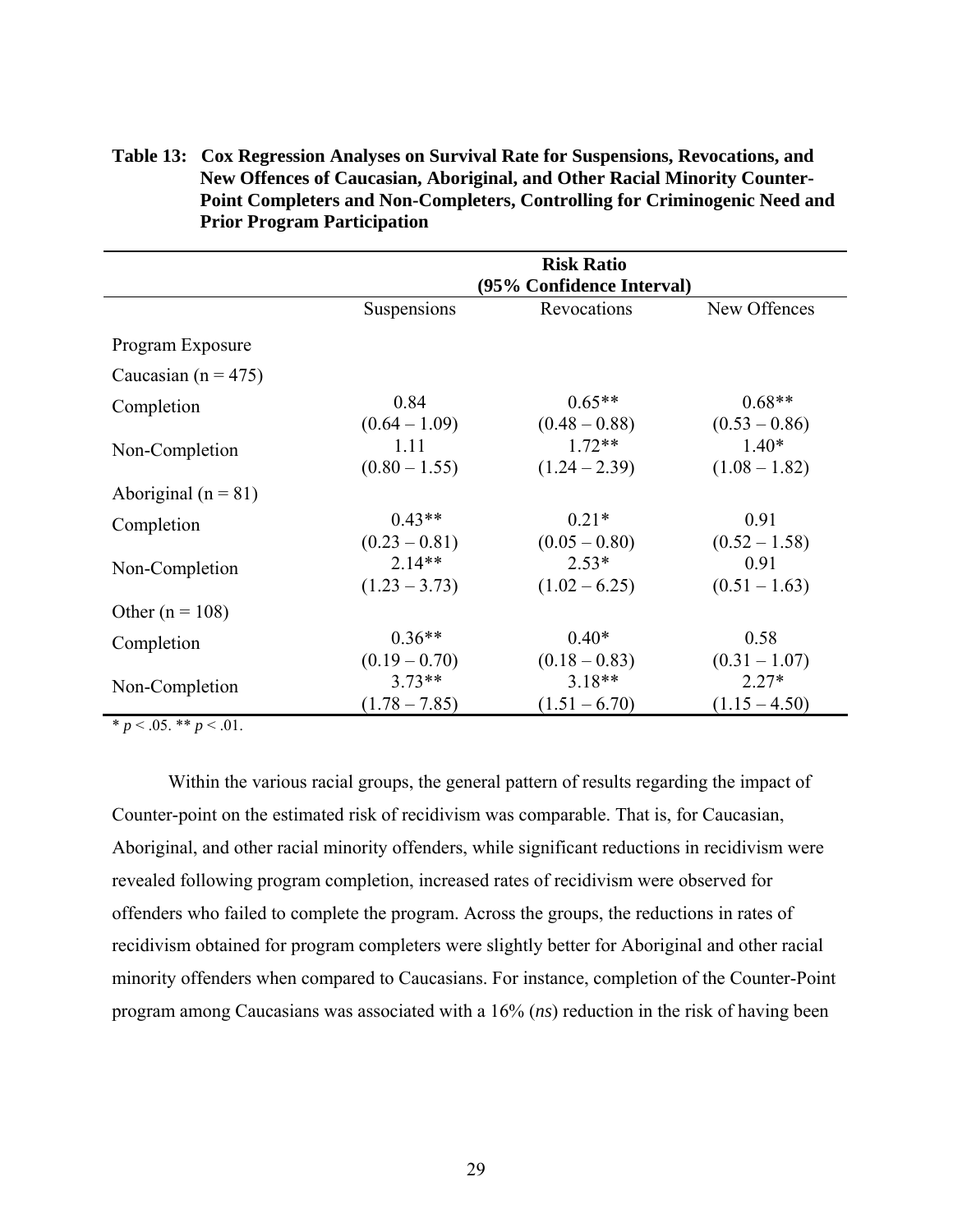|                         | <b>Risk Ratio</b><br>(95% Confidence Interval) |                             |                             |
|-------------------------|------------------------------------------------|-----------------------------|-----------------------------|
|                         | Suspensions                                    | Revocations                 | New Offences                |
| Program Exposure        |                                                |                             |                             |
| Caucasian ( $n = 475$ ) |                                                |                             |                             |
| Completion              | 0.84<br>$(0.64 - 1.09)$                        | $0.65**$<br>$(0.48 - 0.88)$ | $0.68**$<br>$(0.53 - 0.86)$ |
| Non-Completion          | 1.11<br>$(0.80 - 1.55)$                        | $1.72**$<br>$(1.24 - 2.39)$ | $1.40*$<br>$(1.08 - 1.82)$  |
| Aboriginal ( $n = 81$ ) |                                                |                             |                             |
| Completion              | $0.43**$<br>$(0.23 - 0.81)$                    | $0.21*$<br>$(0.05 - 0.80)$  | 0.91<br>$(0.52 - 1.58)$     |
| Non-Completion          | $2.14**$<br>$(1.23 - 3.73)$                    | $2.53*$<br>$(1.02 - 6.25)$  | 0.91<br>$(0.51 - 1.63)$     |
| Other ( $n = 108$ )     |                                                |                             |                             |
| Completion              | $0.36**$<br>$(0.19 - 0.70)$                    | $0.40*$<br>$(0.18 - 0.83)$  | 0.58<br>$(0.31 - 1.07)$     |
| Non-Completion          | $3.73**$<br>$(1.78 - 7.85)$                    | $3.18**$<br>$(1.51 - 6.70)$ | $2.27*$<br>$(1.15 - 4.50)$  |

<span id="page-35-0"></span>**Table 13: Cox Regression Analyses on Survival Rate for Suspensions, Revocations, and New Offences of Caucasian, Aboriginal, and Other Racial Minority Counter-Point Completers and Non-Completers, Controlling for Criminogenic Need and Prior Program Participation** 

 $* p < .05$ . \*\*  $p < .01$ .

Within the various racial groups, the general pattern of results regarding the impact of Counter-point on the estimated risk of recidivism was comparable. That is, for Caucasian, Aboriginal, and other racial minority offenders, while significant reductions in recidivism were revealed following program completion, increased rates of recidivism were observed for offenders who failed to complete the program. Across the groups, the reductions in rates of recidivism obtained for program completers were slightly better for Aboriginal and other racial minority offenders when compared to Caucasians. For instance, completion of the Counter-Point program among Caucasians was associated with a 16% (*ns*) reduction in the risk of having been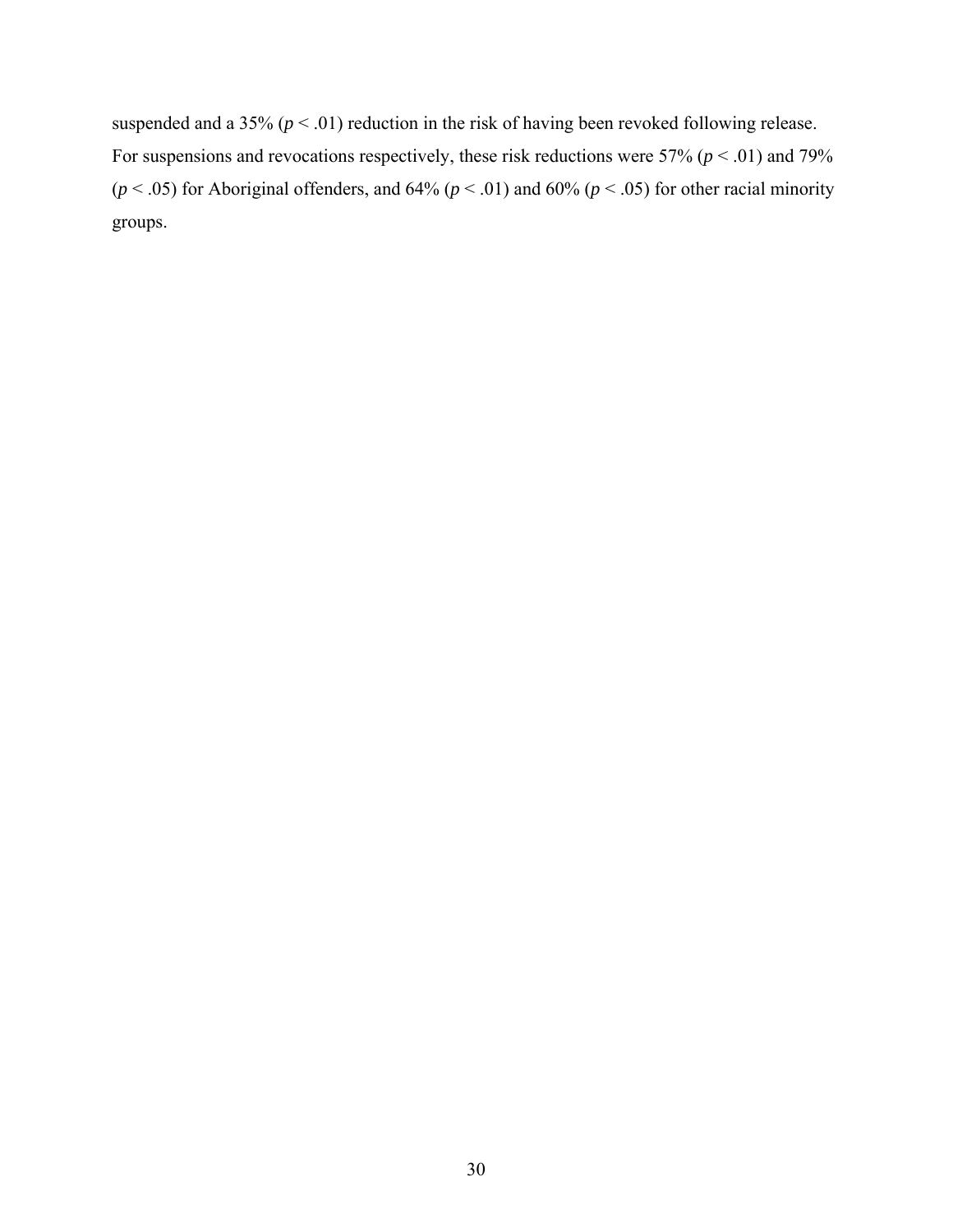suspended and a 35% (*p* < .01) reduction in the risk of having been revoked following release. For suspensions and revocations respectively, these risk reductions were 57% (*p* < .01) and 79% ( $p$  < .05) for Aboriginal offenders, and 64% ( $p$  < .01) and 60% ( $p$  < .05) for other racial minority groups.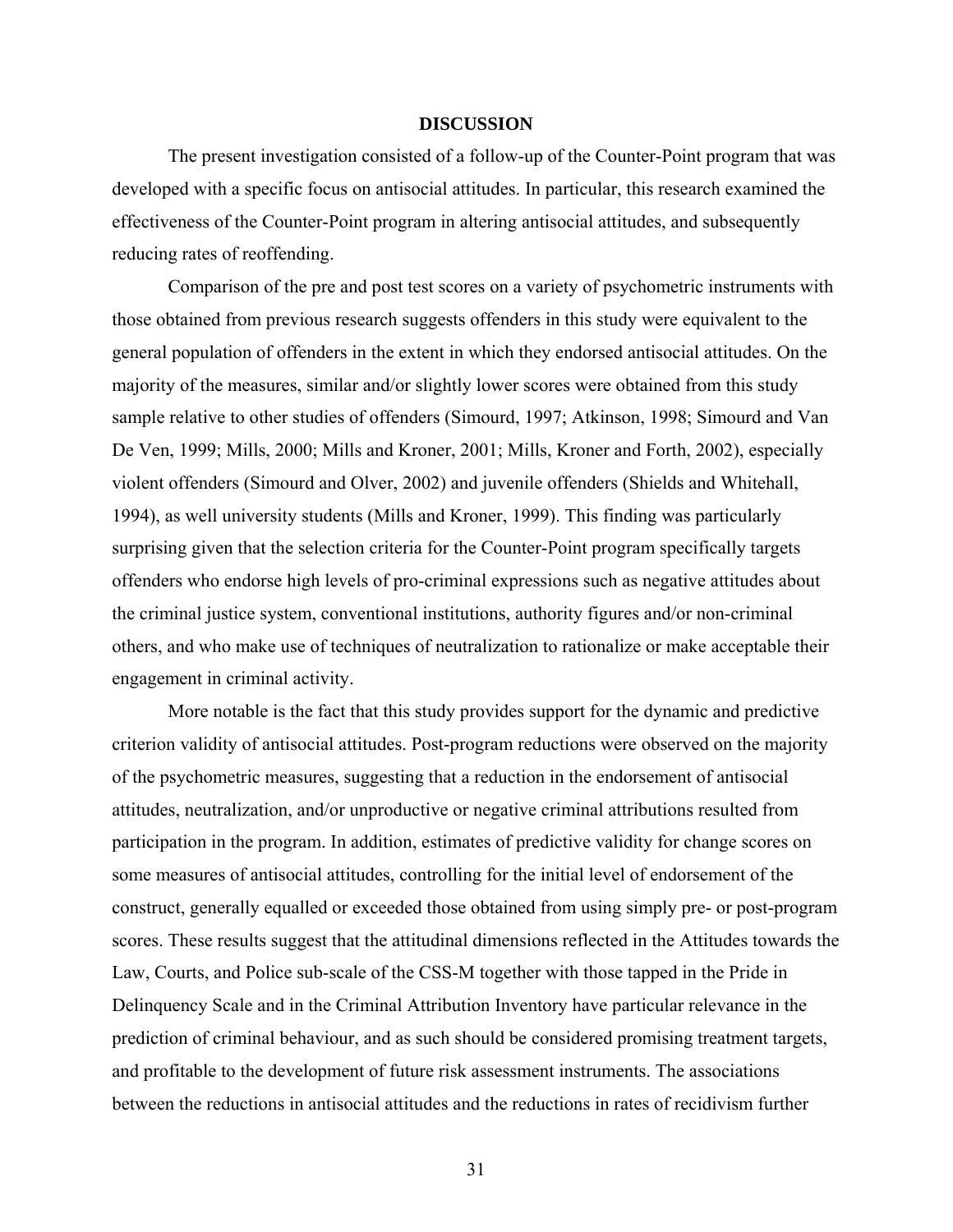## **DISCUSSION**

<span id="page-37-0"></span>The present investigation consisted of a follow-up of the Counter-Point program that was developed with a specific focus on antisocial attitudes. In particular, this research examined the effectiveness of the Counter-Point program in altering antisocial attitudes, and subsequently reducing rates of reoffending.

Comparison of the pre and post test scores on a variety of psychometric instruments with those obtained from previous research suggests offenders in this study were equivalent to the general population of offenders in the extent in which they endorsed antisocial attitudes. On the majority of the measures, similar and/or slightly lower scores were obtained from this study sample relative to other studies of offenders (Simourd, 1997; Atkinson, 1998; Simourd and Van De Ven, 1999; Mills, 2000; Mills and Kroner, 2001; Mills, Kroner and Forth, 2002), especially violent offenders (Simourd and Olver, 2002) and juvenile offenders (Shields and Whitehall, 1994), as well university students (Mills and Kroner, 1999). This finding was particularly surprising given that the selection criteria for the Counter-Point program specifically targets offenders who endorse high levels of pro-criminal expressions such as negative attitudes about the criminal justice system, conventional institutions, authority figures and/or non-criminal others, and who make use of techniques of neutralization to rationalize or make acceptable their engagement in criminal activity.

More notable is the fact that this study provides support for the dynamic and predictive criterion validity of antisocial attitudes. Post-program reductions were observed on the majority of the psychometric measures, suggesting that a reduction in the endorsement of antisocial attitudes, neutralization, and/or unproductive or negative criminal attributions resulted from participation in the program. In addition, estimates of predictive validity for change scores on some measures of antisocial attitudes, controlling for the initial level of endorsement of the construct, generally equalled or exceeded those obtained from using simply pre- or post-program scores. These results suggest that the attitudinal dimensions reflected in the Attitudes towards the Law, Courts, and Police sub-scale of the CSS-M together with those tapped in the Pride in Delinquency Scale and in the Criminal Attribution Inventory have particular relevance in the prediction of criminal behaviour, and as such should be considered promising treatment targets, and profitable to the development of future risk assessment instruments. The associations between the reductions in antisocial attitudes and the reductions in rates of recidivism further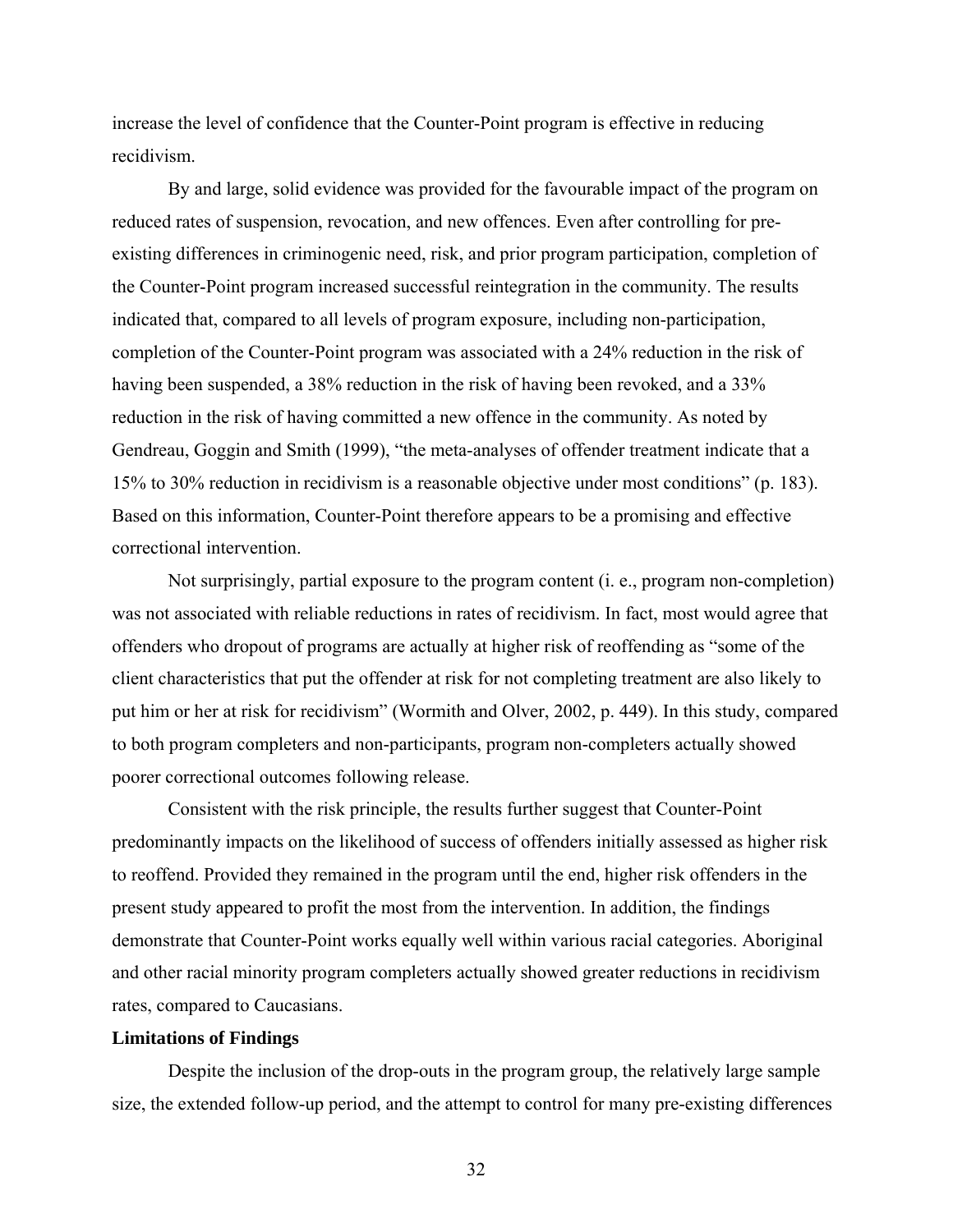<span id="page-38-0"></span>increase the level of confidence that the Counter-Point program is effective in reducing recidivism.

By and large, solid evidence was provided for the favourable impact of the program on reduced rates of suspension, revocation, and new offences. Even after controlling for preexisting differences in criminogenic need, risk, and prior program participation, completion of the Counter-Point program increased successful reintegration in the community. The results indicated that, compared to all levels of program exposure, including non-participation, completion of the Counter-Point program was associated with a 24% reduction in the risk of having been suspended, a 38% reduction in the risk of having been revoked, and a 33% reduction in the risk of having committed a new offence in the community. As noted by Gendreau, Goggin and Smith (1999), "the meta-analyses of offender treatment indicate that a 15% to 30% reduction in recidivism is a reasonable objective under most conditions" (p. 183). Based on this information, Counter-Point therefore appears to be a promising and effective correctional intervention.

Not surprisingly, partial exposure to the program content (i. e., program non-completion) was not associated with reliable reductions in rates of recidivism. In fact, most would agree that offenders who dropout of programs are actually at higher risk of reoffending as "some of the client characteristics that put the offender at risk for not completing treatment are also likely to put him or her at risk for recidivism" (Wormith and Olver, 2002, p. 449). In this study, compared to both program completers and non-participants, program non-completers actually showed poorer correctional outcomes following release.

Consistent with the risk principle, the results further suggest that Counter-Point predominantly impacts on the likelihood of success of offenders initially assessed as higher risk to reoffend. Provided they remained in the program until the end, higher risk offenders in the present study appeared to profit the most from the intervention. In addition, the findings demonstrate that Counter-Point works equally well within various racial categories. Aboriginal and other racial minority program completers actually showed greater reductions in recidivism rates, compared to Caucasians.

## **Limitations of Findings**

Despite the inclusion of the drop-outs in the program group, the relatively large sample size, the extended follow-up period, and the attempt to control for many pre-existing differences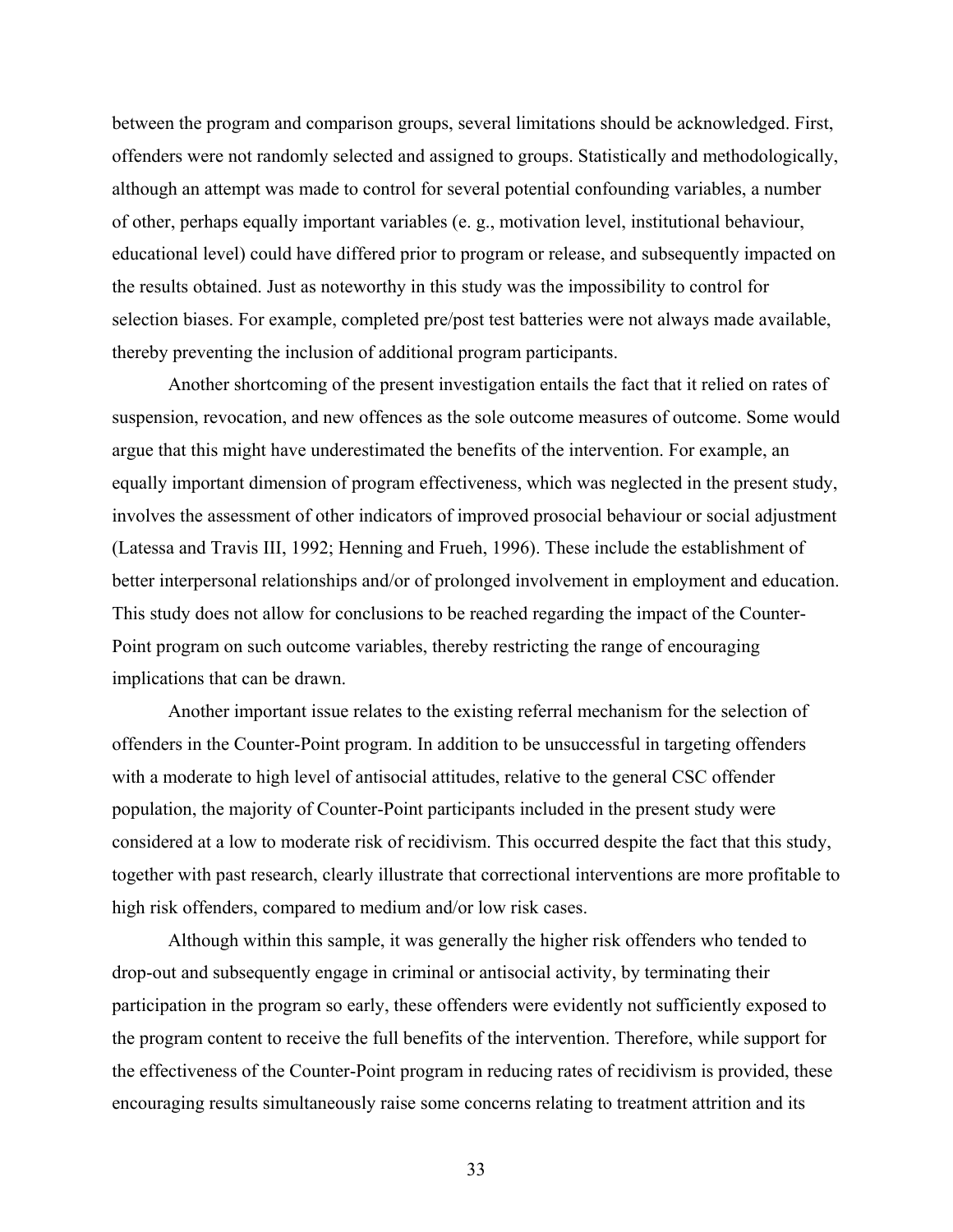between the program and comparison groups, several limitations should be acknowledged. First, offenders were not randomly selected and assigned to groups. Statistically and methodologically, although an attempt was made to control for several potential confounding variables, a number of other, perhaps equally important variables (e. g., motivation level, institutional behaviour, educational level) could have differed prior to program or release, and subsequently impacted on the results obtained. Just as noteworthy in this study was the impossibility to control for selection biases. For example, completed pre/post test batteries were not always made available, thereby preventing the inclusion of additional program participants.

Another shortcoming of the present investigation entails the fact that it relied on rates of suspension, revocation, and new offences as the sole outcome measures of outcome. Some would argue that this might have underestimated the benefits of the intervention. For example, an equally important dimension of program effectiveness, which was neglected in the present study, involves the assessment of other indicators of improved prosocial behaviour or social adjustment (Latessa and Travis III, 1992; Henning and Frueh, 1996). These include the establishment of better interpersonal relationships and/or of prolonged involvement in employment and education. This study does not allow for conclusions to be reached regarding the impact of the Counter-Point program on such outcome variables, thereby restricting the range of encouraging implications that can be drawn.

Another important issue relates to the existing referral mechanism for the selection of offenders in the Counter-Point program. In addition to be unsuccessful in targeting offenders with a moderate to high level of antisocial attitudes, relative to the general CSC offender population, the majority of Counter-Point participants included in the present study were considered at a low to moderate risk of recidivism. This occurred despite the fact that this study, together with past research, clearly illustrate that correctional interventions are more profitable to high risk offenders, compared to medium and/or low risk cases.

Although within this sample, it was generally the higher risk offenders who tended to drop-out and subsequently engage in criminal or antisocial activity, by terminating their participation in the program so early, these offenders were evidently not sufficiently exposed to the program content to receive the full benefits of the intervention. Therefore, while support for the effectiveness of the Counter-Point program in reducing rates of recidivism is provided, these encouraging results simultaneously raise some concerns relating to treatment attrition and its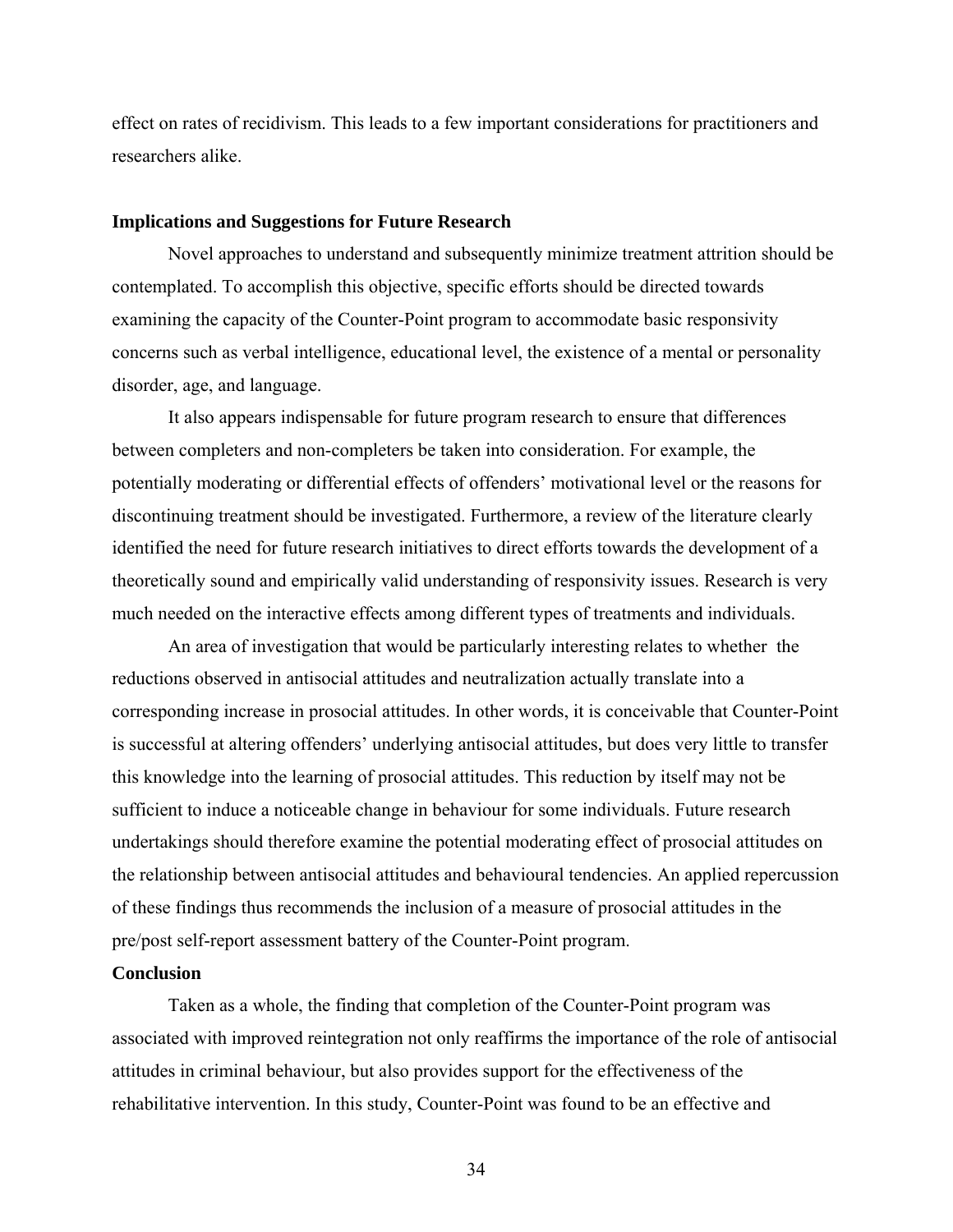<span id="page-40-0"></span>effect on rates of recidivism. This leads to a few important considerations for practitioners and researchers alike.

## **Implications and Suggestions for Future Research**

Novel approaches to understand and subsequently minimize treatment attrition should be contemplated. To accomplish this objective, specific efforts should be directed towards examining the capacity of the Counter-Point program to accommodate basic responsivity concerns such as verbal intelligence, educational level, the existence of a mental or personality disorder, age, and language.

It also appears indispensable for future program research to ensure that differences between completers and non-completers be taken into consideration. For example, the potentially moderating or differential effects of offenders' motivational level or the reasons for discontinuing treatment should be investigated. Furthermore, a review of the literature clearly identified the need for future research initiatives to direct efforts towards the development of a theoretically sound and empirically valid understanding of responsivity issues. Research is very much needed on the interactive effects among different types of treatments and individuals.

An area of investigation that would be particularly interesting relates to whether the reductions observed in antisocial attitudes and neutralization actually translate into a corresponding increase in prosocial attitudes. In other words, it is conceivable that Counter-Point is successful at altering offenders' underlying antisocial attitudes, but does very little to transfer this knowledge into the learning of prosocial attitudes. This reduction by itself may not be sufficient to induce a noticeable change in behaviour for some individuals. Future research undertakings should therefore examine the potential moderating effect of prosocial attitudes on the relationship between antisocial attitudes and behavioural tendencies. An applied repercussion of these findings thus recommends the inclusion of a measure of prosocial attitudes in the pre/post self-report assessment battery of the Counter-Point program.

### **Conclusion**

Taken as a whole, the finding that completion of the Counter-Point program was associated with improved reintegration not only reaffirms the importance of the role of antisocial attitudes in criminal behaviour, but also provides support for the effectiveness of the rehabilitative intervention. In this study, Counter-Point was found to be an effective and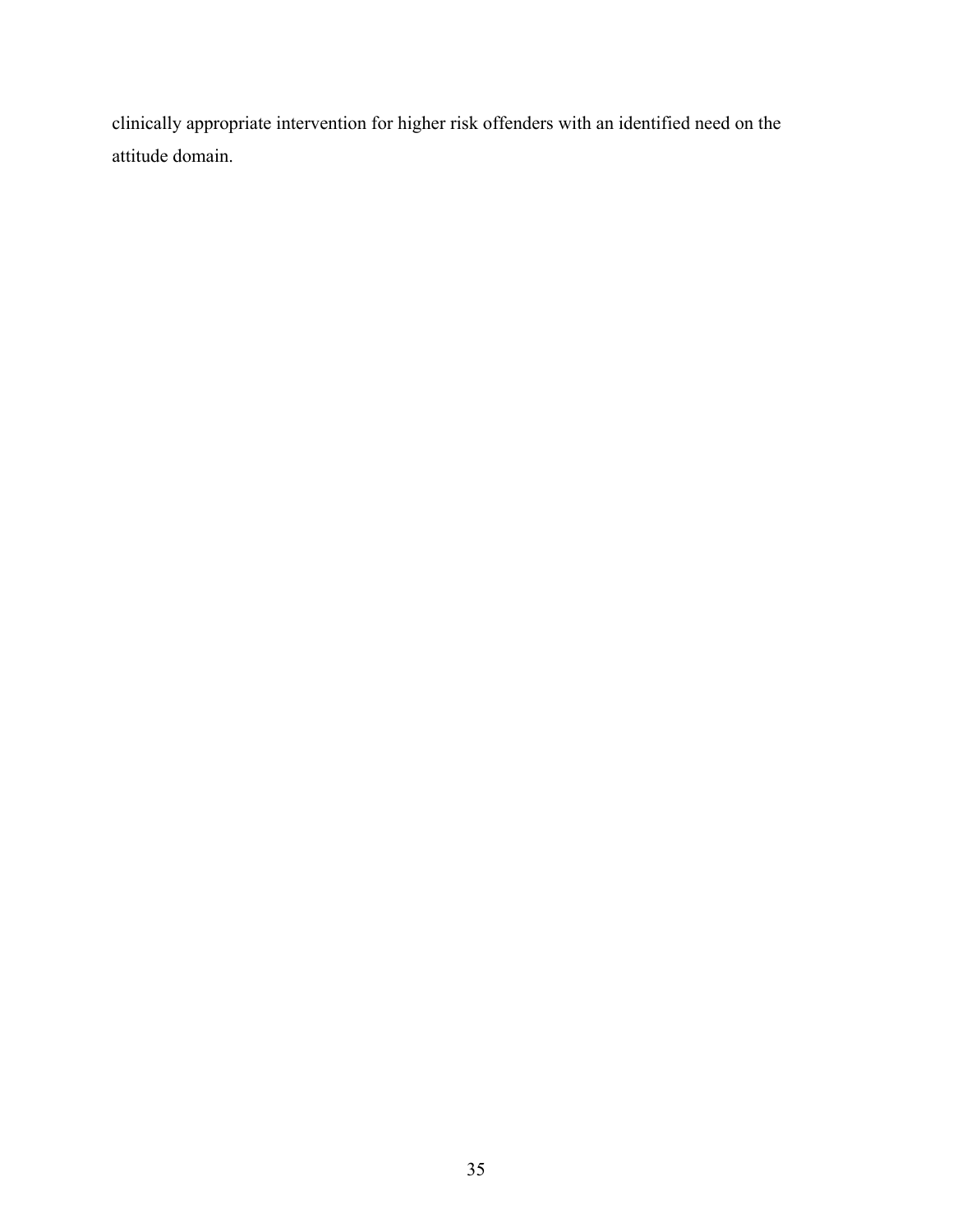clinically appropriate intervention for higher risk offenders with an identified need on the attitude domain.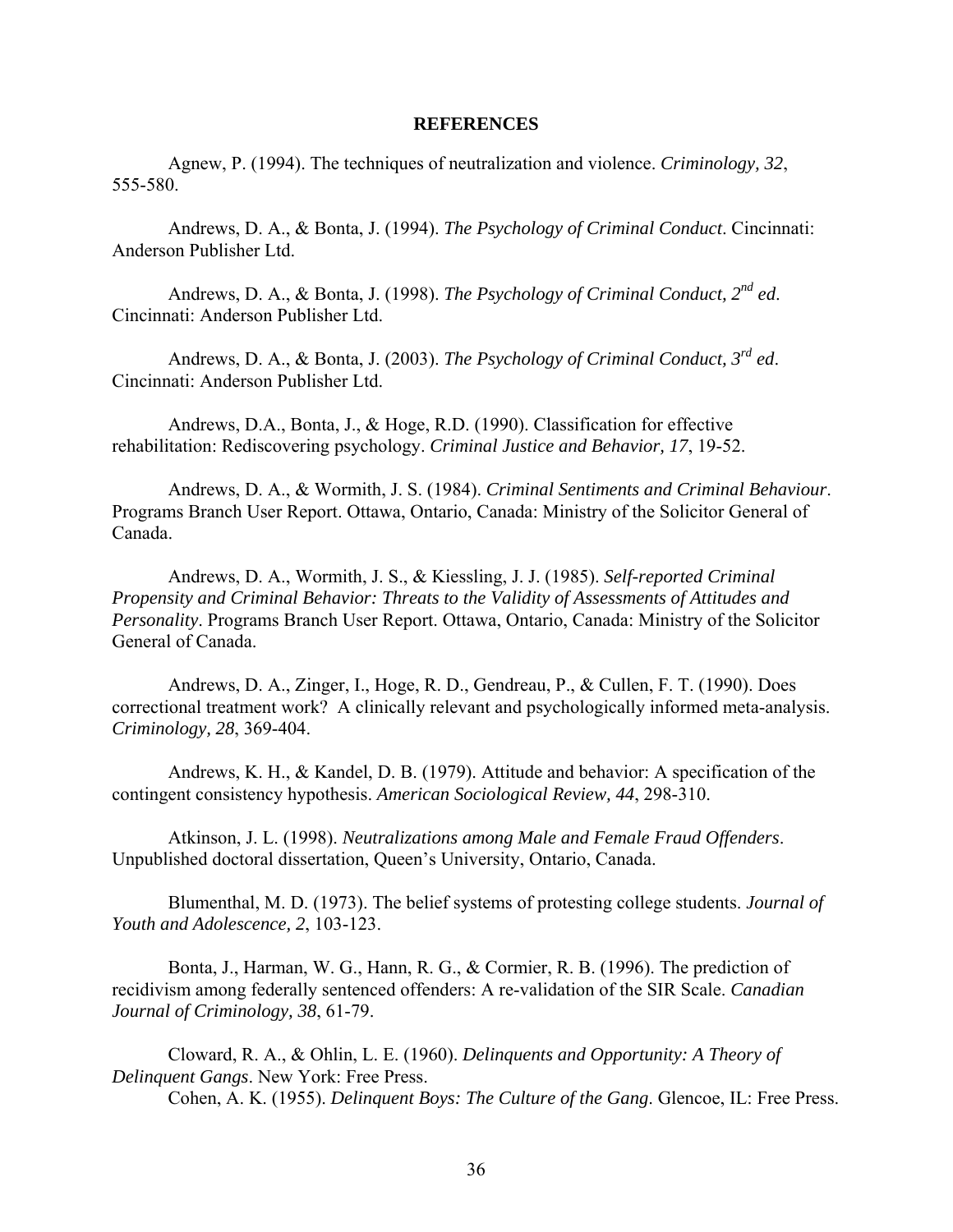### **REFERENCES**

<span id="page-42-0"></span>Agnew, P. (1994). The techniques of neutralization and violence. *Criminology, 32*, 555-580.

Andrews, D. A., & Bonta, J. (1994). *The Psychology of Criminal Conduct*. Cincinnati: Anderson Publisher Ltd.

Andrews, D. A., & Bonta, J. (1998). *The Psychology of Criminal Conduct, 2nd ed*. Cincinnati: Anderson Publisher Ltd.

Andrews, D. A., & Bonta, J. (2003). *The Psychology of Criminal Conduct, 3rd ed*. Cincinnati: Anderson Publisher Ltd.

Andrews, D.A., Bonta, J., & Hoge, R.D. (1990). Classification for effective rehabilitation: Rediscovering psychology. *Criminal Justice and Behavior, 17*, 19-52.

Andrews, D. A., & Wormith, J. S. (1984). *Criminal Sentiments and Criminal Behaviour*. Programs Branch User Report. Ottawa, Ontario, Canada: Ministry of the Solicitor General of Canada.

Andrews, D. A., Wormith, J. S., & Kiessling, J. J. (1985). *Self-reported Criminal Propensity and Criminal Behavior: Threats to the Validity of Assessments of Attitudes and Personality*. Programs Branch User Report. Ottawa, Ontario, Canada: Ministry of the Solicitor General of Canada.

Andrews, D. A., Zinger, I., Hoge, R. D., Gendreau, P., & Cullen, F. T. (1990). Does correctional treatment work? A clinically relevant and psychologically informed meta-analysis. *Criminology, 28*, 369-404.

Andrews, K. H., & Kandel, D. B. (1979). Attitude and behavior: A specification of the contingent consistency hypothesis. *American Sociological Review, 44*, 298-310.

Atkinson, J. L. (1998). *Neutralizations among Male and Female Fraud Offenders*. Unpublished doctoral dissertation, Queen's University, Ontario, Canada.

Blumenthal, M. D. (1973). The belief systems of protesting college students. *Journal of Youth and Adolescence, 2*, 103-123.

Bonta, J., Harman, W. G., Hann, R. G., & Cormier, R. B. (1996). The prediction of recidivism among federally sentenced offenders: A re-validation of the SIR Scale. *Canadian Journal of Criminology, 38*, 61-79.

Cloward, R. A., & Ohlin, L. E. (1960). *Delinquents and Opportunity: A Theory of Delinquent Gangs*. New York: Free Press. Cohen, A. K. (1955). *Delinquent Boys: The Culture of the Gang*. Glencoe, IL: Free Press.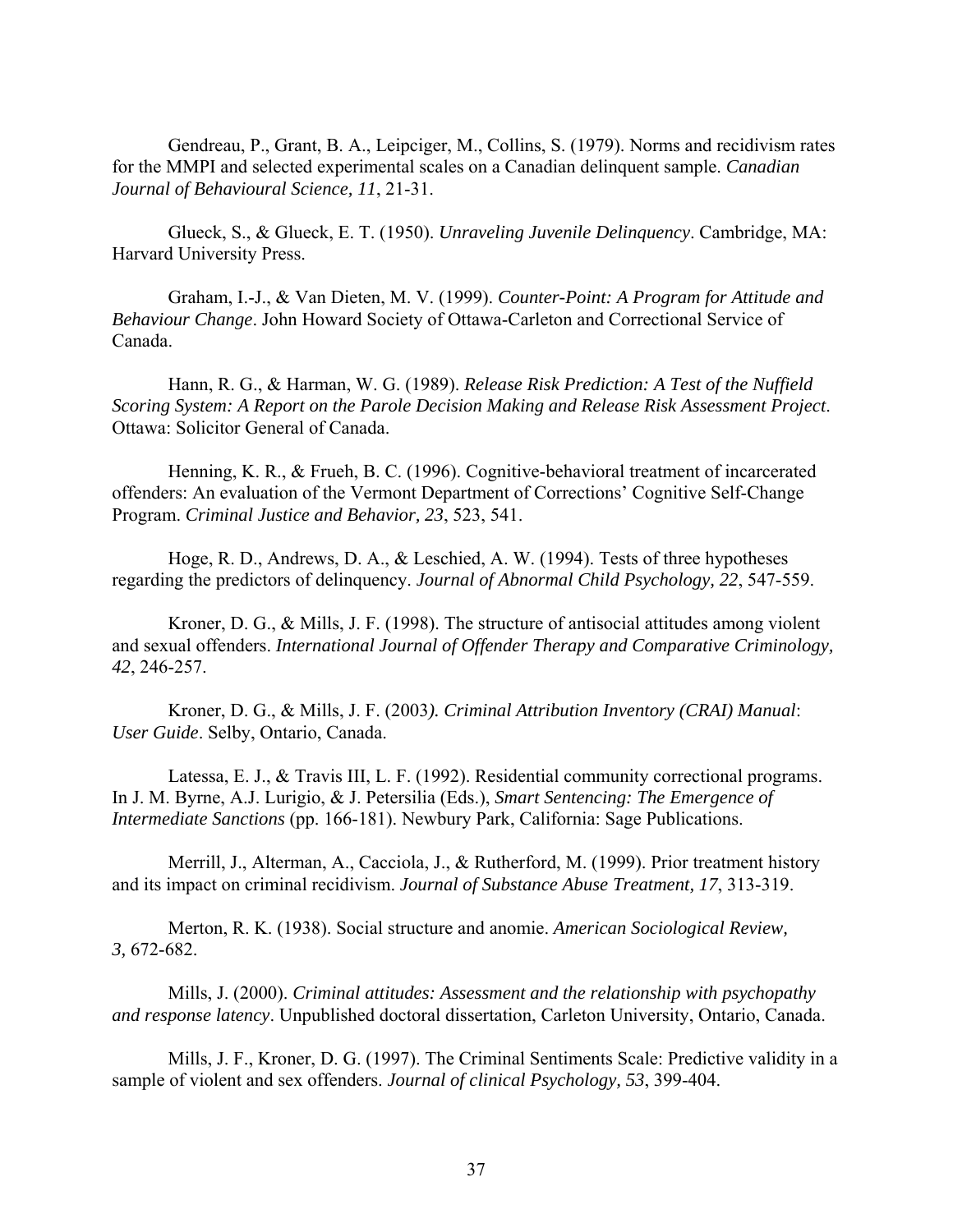Gendreau, P., Grant, B. A., Leipciger, M., Collins, S. (1979). Norms and recidivism rates for the MMPI and selected experimental scales on a Canadian delinquent sample. *Canadian Journal of Behavioural Science, 11*, 21-31.

Glueck, S., & Glueck, E. T. (1950). *Unraveling Juvenile Delinquency*. Cambridge, MA: Harvard University Press.

Graham, I.-J., & Van Dieten, M. V. (1999). *Counter-Point: A Program for Attitude and Behaviour Change*. John Howard Society of Ottawa-Carleton and Correctional Service of Canada.

Hann, R. G., & Harman, W. G. (1989). *Release Risk Prediction: A Test of the Nuffield Scoring System: A Report on the Parole Decision Making and Release Risk Assessment Project*. Ottawa: Solicitor General of Canada.

Henning, K. R., & Frueh, B. C. (1996). Cognitive-behavioral treatment of incarcerated offenders: An evaluation of the Vermont Department of Corrections' Cognitive Self-Change Program. *Criminal Justice and Behavior, 23*, 523, 541.

Hoge, R. D., Andrews, D. A., & Leschied, A. W. (1994). Tests of three hypotheses regarding the predictors of delinquency. *Journal of Abnormal Child Psychology, 22*, 547-559.

Kroner, D. G., & Mills, J. F. (1998). The structure of antisocial attitudes among violent and sexual offenders. *International Journal of Offender Therapy and Comparative Criminology, 42*, 246-257.

Kroner, D. G., & Mills, J. F. (2003*). Criminal Attribution Inventory (CRAI) Manual*: *User Guide*. Selby, Ontario, Canada.

Latessa, E. J., & Travis III, L. F. (1992). Residential community correctional programs. In J. M. Byrne, A.J. Lurigio, & J. Petersilia (Eds.), *Smart Sentencing: The Emergence of Intermediate Sanctions* (pp. 166-181). Newbury Park, California: Sage Publications.

Merrill, J., Alterman, A., Cacciola, J., & Rutherford, M. (1999). Prior treatment history and its impact on criminal recidivism. *Journal of Substance Abuse Treatment, 17*, 313-319.

Merton, R. K. (1938). Social structure and anomie. *American Sociological Review, 3,* 672-682.

Mills, J. (2000). *Criminal attitudes: Assessment and the relationship with psychopathy and response latency*. Unpublished doctoral dissertation, Carleton University, Ontario, Canada.

Mills, J. F., Kroner, D. G. (1997). The Criminal Sentiments Scale: Predictive validity in a sample of violent and sex offenders. *Journal of clinical Psychology, 53*, 399-404.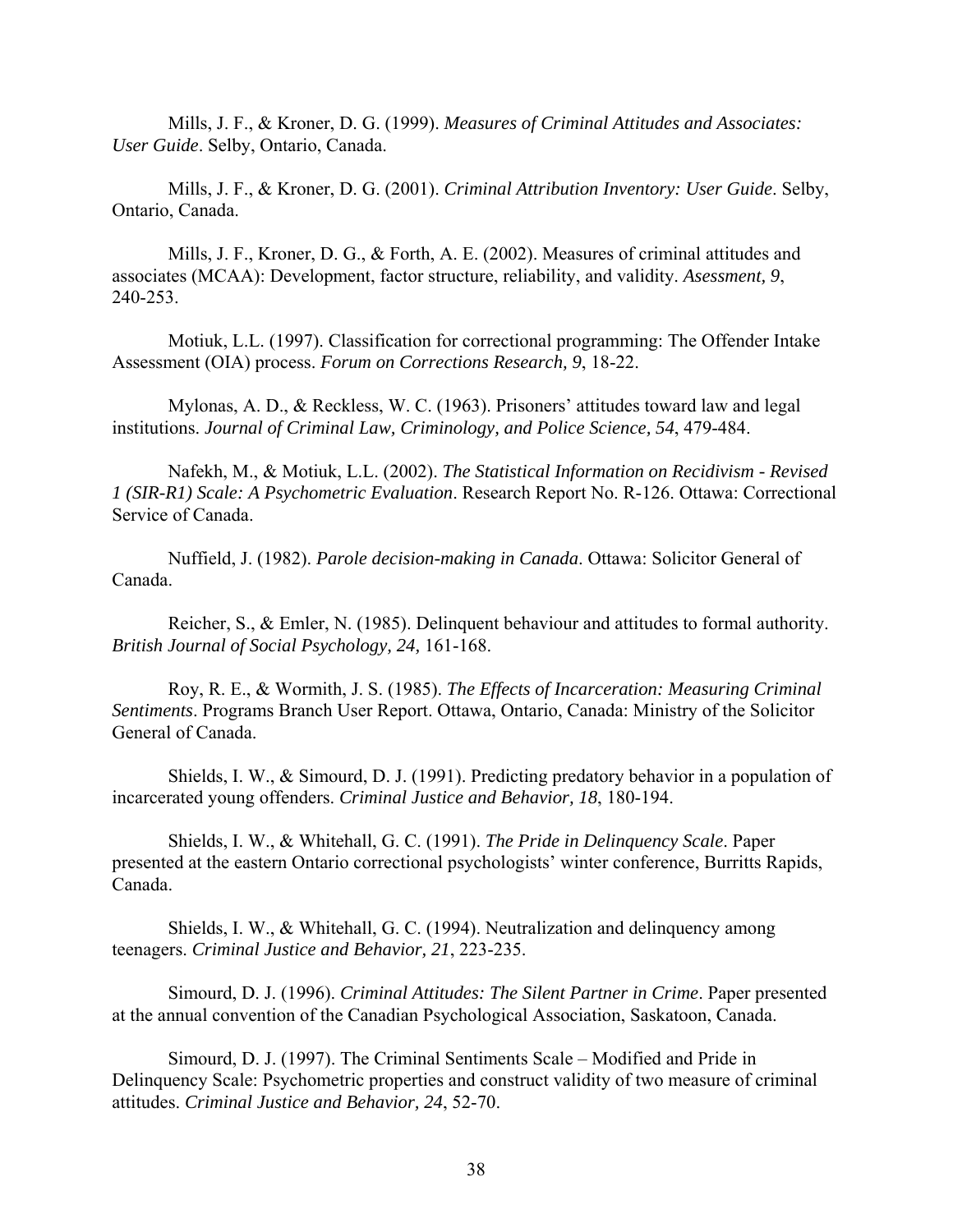Mills, J. F., & Kroner, D. G. (1999). *Measures of Criminal Attitudes and Associates: User Guide*. Selby, Ontario, Canada.

Mills, J. F., & Kroner, D. G. (2001). *Criminal Attribution Inventory: User Guide*. Selby, Ontario, Canada.

Mills, J. F., Kroner, D. G., & Forth, A. E. (2002). Measures of criminal attitudes and associates (MCAA): Development, factor structure, reliability, and validity. *Asessment, 9*, 240-253.

Motiuk, L.L. (1997). Classification for correctional programming: The Offender Intake Assessment (OIA) process. *Forum on Corrections Research, 9*, 18-22.

Mylonas, A. D., & Reckless, W. C. (1963). Prisoners' attitudes toward law and legal institutions. *Journal of Criminal Law, Criminology, and Police Science, 54*, 479-484.

Nafekh, M., & Motiuk, L.L. (2002). *The Statistical Information on Recidivism - Revised 1 (SIR-R1) Scale: A Psychometric Evaluation*. Research Report No. R-126. Ottawa: Correctional Service of Canada.

Nuffield, J. (1982). *Parole decision-making in Canada*. Ottawa: Solicitor General of Canada.

Reicher, S., & Emler, N. (1985). Delinquent behaviour and attitudes to formal authority. *British Journal of Social Psychology, 24,* 161-168.

Roy, R. E., & Wormith, J. S. (1985). *The Effects of Incarceration: Measuring Criminal Sentiments*. Programs Branch User Report. Ottawa, Ontario, Canada: Ministry of the Solicitor General of Canada.

Shields, I. W., & Simourd, D. J. (1991). Predicting predatory behavior in a population of incarcerated young offenders. *Criminal Justice and Behavior, 18*, 180-194.

Shields, I. W., & Whitehall, G. C. (1991). *The Pride in Delinquency Scale*. Paper presented at the eastern Ontario correctional psychologists' winter conference, Burritts Rapids, Canada.

Shields, I. W., & Whitehall, G. C. (1994). Neutralization and delinquency among teenagers. *Criminal Justice and Behavior, 21*, 223-235.

Simourd, D. J. (1996). *Criminal Attitudes: The Silent Partner in Crime*. Paper presented at the annual convention of the Canadian Psychological Association, Saskatoon, Canada.

Simourd, D. J. (1997). The Criminal Sentiments Scale – Modified and Pride in Delinquency Scale: Psychometric properties and construct validity of two measure of criminal attitudes. *Criminal Justice and Behavior, 24*, 52-70.